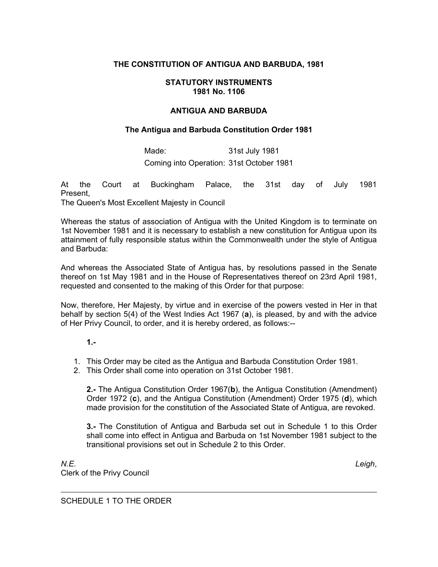# **THE CONSTITUTION OF ANTIGUA AND BARBUDA, 1981**

## **STATUTORY INSTRUMENTS 1981 No. 1106**

# **ANTIGUA AND BARBUDA**

## **The Antigua and Barbuda Constitution Order 1981**

Made: 31st July 1981

Coming into Operation: 31st October 1981

At the Court at Buckingham Palace, the 31st day of July 1981 Present,

The Queen's Most Excellent Majesty in Council

Whereas the status of association of Antigua with the United Kingdom is to terminate on 1st November 1981 and it is necessary to establish a new constitution for Antigua upon its attainment of fully responsible status within the Commonwealth under the style of Antigua and Barbuda:

And whereas the Associated State of Antigua has, by resolutions passed in the Senate thereof on 1st May 1981 and in the House of Representatives thereof on 23rd April 1981, requested and consented to the making of this Order for that purpose:

Now, therefore, Her Majesty, by virtue and in exercise of the powers vested in Her in that behalf by section 5(4) of the West Indies Act 1967 (**a**), is pleased, by and with the advice of Her Privy Council, to order, and it is hereby ordered, as follows:--

## **1.-**

- 1. This Order may be cited as the Antigua and Barbuda Constitution Order 1981.
- 2. This Order shall come into operation on 31st October 1981.

**2.-** The Antigua Constitution Order 1967(**b**), the Antigua Constitution (Amendment) Order 1972 (**c**), and the Antigua Constitution (Amendment) Order 1975 (**d**), which made provision for the constitution of the Associated State of Antigua, are revoked.

**3.-** The Constitution of Antigua and Barbuda set out in Schedule 1 to this Order shall come into effect in Antigua and Barbuda on 1st November 1981 subject to the transitional provisions set out in Schedule 2 to this Order.

*N.E. Leigh*, Clerk of the Privy Council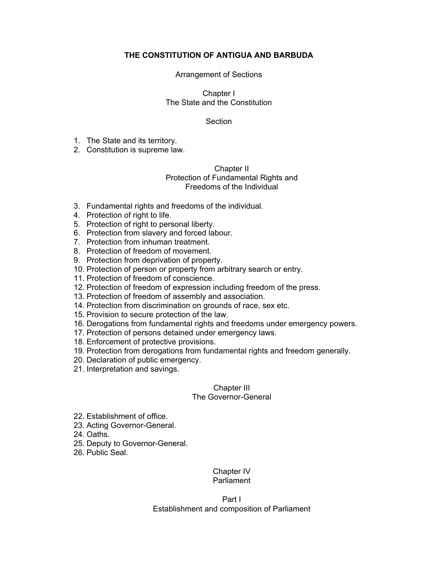# **THE CONSTITUTION OF ANTIGUA AND BARBUDA**

#### Arrangement of Sections

#### Chapter I The State and the Constitution

#### **Section**

- 1. The State and its territory.
- 2. Constitution is supreme law.

#### Chapter II Protection of Fundamental Rights and Freedoms of the Individual

- 3. Fundamental rights and freedoms of the individual.
- 4. Protection of right to life.
- 5. Protection of right to personal liberty.
- 6. Protection from slavery and forced labour.
- 7. Protection from inhuman treatment.
- 8. Protection of freedom of movement.
- 9. Protection from deprivation of property.
- 10. Protection of person or property from arbitrary search or entry.
- 11. Protection of freedom of conscience.
- 12. Protection of freedom of expression including freedom of the press.
- 13. Protection of freedom of assembly and association.
- 14. Protection from discrimination on grounds of race, sex etc.
- 15. Provision to secure protection of the law.
- 16. Derogations from fundamental rights and freedoms under emergency powers.
- 17. Protection of persons detained under emergency laws.
- 18. Enforcement of protective provisions.
- 19. Protection from derogations from fundamental rights and freedom generally.
- 20. Declaration of public emergency.
- 21. Interpretation and savings.

#### Chapter III The Governor-General

- 22. Establishment of office.
- 23. Acting Governor-General.
- 24. Oaths.
- 25. Deputy to Governor-General.
- 26. Public Seal.

#### Chapter IV Parliament

#### Part I Establishment and composition of Parliament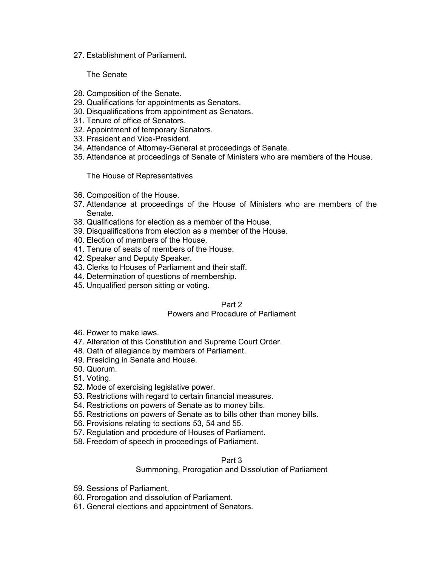27. Establishment of Parliament.

The Senate

- 28. Composition of the Senate.
- 29. Qualifications for appointments as Senators.
- 30. Disqualifications from appointment as Senators.
- 31. Tenure of office of Senators.
- 32. Appointment of temporary Senators.
- 33. President and Vice-President.
- 34. Attendance of Attorney-General at proceedings of Senate.
- 35. Attendance at proceedings of Senate of Ministers who are members of the House.

The House of Representatives

- 36. Composition of the House.
- 37. Attendance at proceedings of the House of Ministers who are members of the Senate.
- 38. Qualifications for election as a member of the House.
- 39. Disqualifications from election as a member of the House.
- 40. Election of members of the House.
- 41. Tenure of seats of members of the House.
- 42. Speaker and Deputy Speaker.
- 43. Clerks to Houses of Parliament and their staff.
- 44. Determination of questions of membership.
- 45. Unqualified person sitting or voting.

#### Part 2

#### Powers and Procedure of Parliament

- 46. Power to make laws.
- 47. Alteration of this Constitution and Supreme Court Order.
- 48. Oath of allegiance by members of Parliament.
- 49. Presiding in Senate and House.
- 50. Quorum.
- 51. Voting.
- 52. Mode of exercising legislative power.
- 53. Restrictions with regard to certain financial measures.
- 54. Restrictions on powers of Senate as to money bills.
- 55. Restrictions on powers of Senate as to bills other than money bills.
- 56. Provisions relating to sections 53, 54 and 55.
- 57. Regulation and procedure of Houses of Parliament.
- 58. Freedom of speech in proceedings of Parliament.

#### Part 3

Summoning, Prorogation and Dissolution of Parliament

- 59. Sessions of Parliament.
- 60. Prorogation and dissolution of Parliament.
- 61. General elections and appointment of Senators.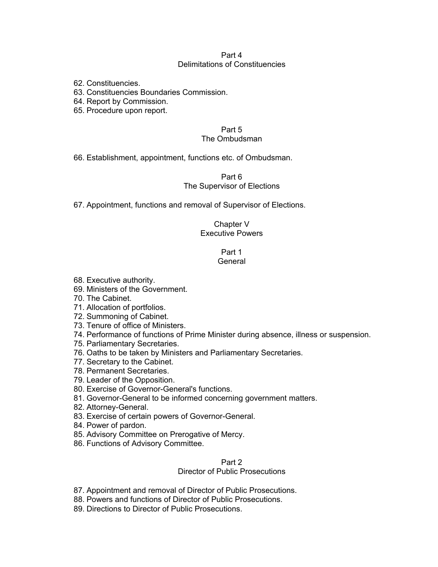#### Part 4 Delimitations of Constituencies

62. Constituencies.

63. Constituencies Boundaries Commission.

64. Report by Commission.

65. Procedure upon report.

# Part 5

# The Ombudsman

66. Establishment, appointment, functions etc. of Ombudsman.

## Part 6 The Supervisor of Elections

67. Appointment, functions and removal of Supervisor of Elections.

# Chapter V Executive Powers

# Part 1

# General

- 68. Executive authority.
- 69. Ministers of the Government.
- 70. The Cabinet.
- 71. Allocation of portfolios.
- 72. Summoning of Cabinet.
- 73. Tenure of office of Ministers.
- 74. Performance of functions of Prime Minister during absence, illness or suspension.
- 75. Parliamentary Secretaries.
- 76. Oaths to be taken by Ministers and Parliamentary Secretaries.
- 77. Secretary to the Cabinet.
- 78. Permanent Secretaries.
- 79. Leader of the Opposition.
- 80. Exercise of Governor-General's functions.
- 81. Governor-General to be informed concerning government matters.
- 82. Attorney-General.
- 83. Exercise of certain powers of Governor-General.
- 84. Power of pardon.
- 85. Advisory Committee on Prerogative of Mercy.
- 86. Functions of Advisory Committee.

## Part 2 Director of Public Prosecutions

- 87. Appointment and removal of Director of Public Prosecutions.
- 88. Powers and functions of Director of Public Prosecutions.
- 89. Directions to Director of Public Prosecutions.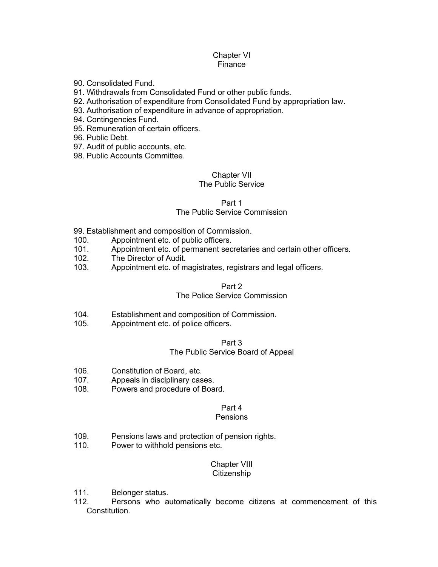#### Chapter VI Finance

- 90. Consolidated Fund.
- 91. Withdrawals from Consolidated Fund or other public funds.
- 92. Authorisation of expenditure from Consolidated Fund by appropriation law.
- 93. Authorisation of expenditure in advance of appropriation.
- 94. Contingencies Fund.
- 95. Remuneration of certain officers.
- 96. Public Debt.
- 97. Audit of public accounts, etc.
- 98. Public Accounts Committee.

# Chapter VII

# The Public Service

# Part 1

#### The Public Service Commission

- 99. Establishment and composition of Commission.
- 100. Appointment etc. of public officers.<br>101. Appointment etc. of permanent sec
- Appointment etc. of permanent secretaries and certain other officers.
- 102. The Director of Audit.
- 103. Appointment etc. of magistrates, registrars and legal officers.

#### Part 2

## The Police Service Commission

- 104. Establishment and composition of Commission.
- 105. Appointment etc. of police officers.

#### Part 3 The Public Service Board of Appeal

- 106. Constitution of Board, etc.
- 107. Appeals in disciplinary cases.
- 108. Powers and procedure of Board.

# Part 4

#### **Pensions**

- 109. Pensions laws and protection of pension rights.
- 110. Power to withhold pensions etc.

#### Chapter VIII **Citizenship**

- 111. Belonger status.
- 112. Persons who automatically become citizens at commencement of this Constitution.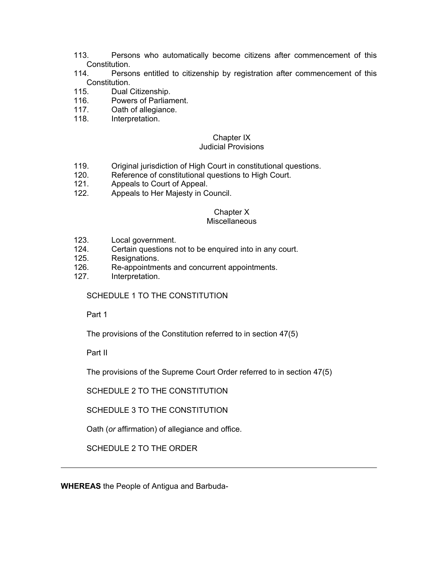- 113. Persons who automatically become citizens after commencement of this Constitution.
- 114. Persons entitled to citizenship by registration after commencement of this Constitution.
- 115. Dual Citizenship.
- 116. Powers of Parliament.
- 117. Oath of allegiance.
- 118. Interpretation.

#### Chapter IX Judicial Provisions

- 119. Original jurisdiction of High Court in constitutional questions.
- 120. Reference of constitutional questions to High Court.
- 121. Appeals to Court of Appeal.
- 122. Appeals to Her Majesty in Council.

## Chapter X

#### **Miscellaneous**

- 123. Local government.
- 124. Certain questions not to be enquired into in any court.
- 125. Resignations.
- 126. Re-appointments and concurrent appointments.
- 127. Interpretation.

SCHEDULE 1 TO THE CONSTITUTION

Part 1

The provisions of the Constitution referred to in section 47(5)

Part II

The provisions of the Supreme Court Order referred to in section 47(5)

SCHEDULE 2 TO THE CONSTITUTION

SCHEDULE 3 TO THE CONSTITUTION

Oath (*or* affirmation) of allegiance and office.

SCHEDULE 2 TO THE ORDER

**WHEREAS** the People of Antigua and Barbuda-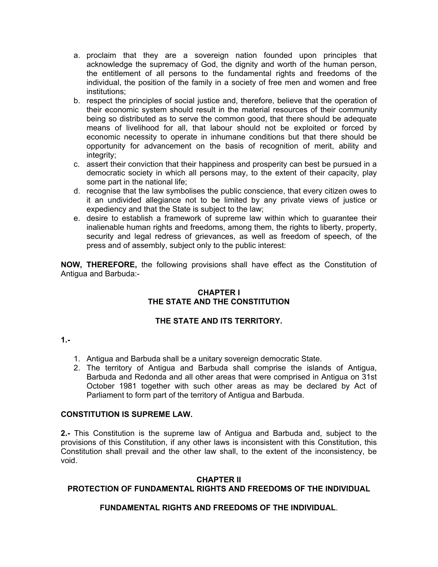- a. proclaim that they are a sovereign nation founded upon principles that acknowledge the supremacy of God, the dignity and worth of the human person, the entitlement of all persons to the fundamental rights and freedoms of the individual, the position of the family in a society of free men and women and free institutions;
- b. respect the principles of social justice and, therefore, believe that the operation of their economic system should result in the material resources of their community being so distributed as to serve the common good, that there should be adequate means of livelihood for all, that labour should not be exploited or forced by economic necessity to operate in inhumane conditions but that there should be opportunity for advancement on the basis of recognition of merit, ability and integrity;
- c. assert their conviction that their happiness and prosperity can best be pursued in a democratic society in which all persons may, to the extent of their capacity, play some part in the national life;
- d. recognise that the law symbolises the public conscience, that every citizen owes to it an undivided allegiance not to be limited by any private views of justice or expediency and that the State is subject to the law;
- e. desire to establish a framework of supreme law within which to guarantee their inalienable human rights and freedoms, among them, the rights to liberty, property, security and legal redress of grievances, as well as freedom of speech, of the press and of assembly, subject only to the public interest:

**NOW, THEREFORE,** the following provisions shall have effect as the Constitution of Antigua and Barbuda:-

## **CHAPTER I THE STATE AND THE CONSTITUTION**

# **THE STATE AND ITS TERRITORY.**

#### **1.-**

- 1. Antigua and Barbuda shall be a unitary sovereign democratic State.
- 2. The territory of Antigua and Barbuda shall comprise the islands of Antigua, Barbuda and Redonda and all other areas that were comprised in Antigua on 31st October 1981 together with such other areas as may be declared by Act of Parliament to form part of the territory of Antigua and Barbuda.

## **CONSTITUTION IS SUPREME LAW.**

**2.-** This Constitution is the supreme law of Antigua and Barbuda and, subject to the provisions of this Constitution, if any other laws is inconsistent with this Constitution, this Constitution shall prevail and the other law shall, to the extent of the inconsistency, be void.

#### **CHAPTER II**

# **PROTECTION OF FUNDAMENTAL RIGHTS AND FREEDOMS OF THE INDIVIDUAL**

## **FUNDAMENTAL RIGHTS AND FREEDOMS OF THE INDIVIDUAL**.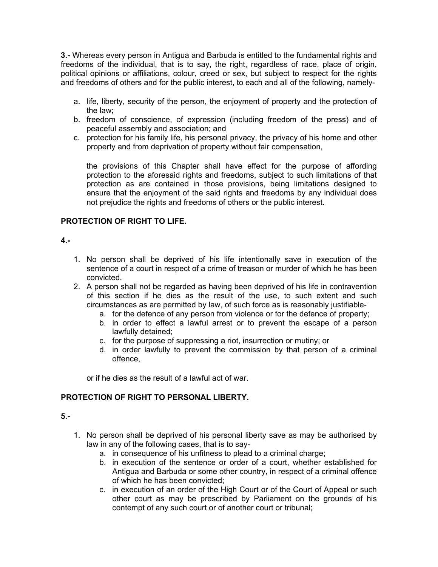**3.-** Whereas every person in Antigua and Barbuda is entitled to the fundamental rights and freedoms of the individual, that is to say, the right, regardless of race, place of origin, political opinions or affiliations, colour, creed or sex, but subject to respect for the rights and freedoms of others and for the public interest, to each and all of the following, namely-

- a. life, liberty, security of the person, the enjoyment of property and the protection of the law;
- b. freedom of conscience, of expression (including freedom of the press) and of peaceful assembly and association; and
- c. protection for his family life, his personal privacy, the privacy of his home and other property and from deprivation of property without fair compensation,

the provisions of this Chapter shall have effect for the purpose of affording protection to the aforesaid rights and freedoms, subject to such limitations of that protection as are contained in those provisions, being limitations designed to ensure that the enjoyment of the said rights and freedoms by any individual does not prejudice the rights and freedoms of others or the public interest.

## **PROTECTION OF RIGHT TO LIFE.**

#### **4.-**

- 1. No person shall be deprived of his life intentionally save in execution of the sentence of a court in respect of a crime of treason or murder of which he has been convicted.
- 2. A person shall not be regarded as having been deprived of his life in contravention of this section if he dies as the result of the use, to such extent and such circumstances as are permitted by law, of such force as is reasonably justifiable
	- a. for the defence of any person from violence or for the defence of property;
	- b. in order to effect a lawful arrest or to prevent the escape of a person lawfully detained;
	- c. for the purpose of suppressing a riot, insurrection or mutiny; or
	- d. in order lawfully to prevent the commission by that person of a criminal offence,

or if he dies as the result of a lawful act of war.

# **PROTECTION OF RIGHT TO PERSONAL LIBERTY.**

- 1. No person shall be deprived of his personal liberty save as may be authorised by law in any of the following cases, that is to say
	- a. in consequence of his unfitness to plead to a criminal charge;
	- b. in execution of the sentence or order of a court, whether established for Antigua and Barbuda or some other country, in respect of a criminal offence of which he has been convicted;
	- c. in execution of an order of the High Court or of the Court of Appeal or such other court as may be prescribed by Parliament on the grounds of his contempt of any such court or of another court or tribunal;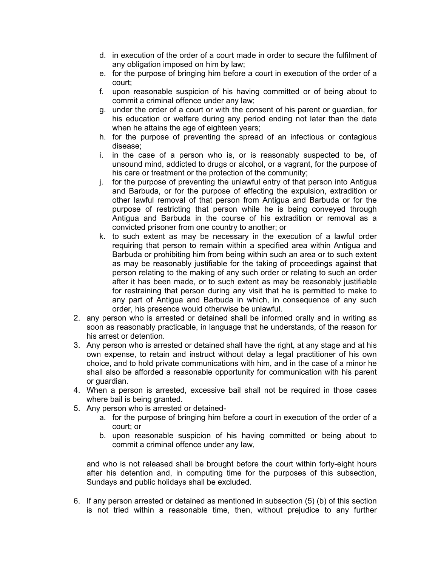- d. in execution of the order of a court made in order to secure the fulfilment of any obligation imposed on him by law;
- e. for the purpose of bringing him before a court in execution of the order of a court;
- f. upon reasonable suspicion of his having committed or of being about to commit a criminal offence under any law;
- g. under the order of a court or with the consent of his parent or guardian, for his education or welfare during any period ending not later than the date when he attains the age of eighteen years;
- h. for the purpose of preventing the spread of an infectious or contagious disease;
- i. in the case of a person who is, or is reasonably suspected to be, of unsound mind, addicted to drugs or alcohol, or a vagrant, for the purpose of his care or treatment or the protection of the community;
- j. for the purpose of preventing the unlawful entry of that person into Antigua and Barbuda, or for the purpose of effecting the expulsion, extradition or other lawful removal of that person from Antigua and Barbuda or for the purpose of restricting that person while he is being conveyed through Antigua and Barbuda in the course of his extradition or removal as a convicted prisoner from one country to another; or
- k. to such extent as may be necessary in the execution of a lawful order requiring that person to remain within a specified area within Antigua and Barbuda or prohibiting him from being within such an area or to such extent as may be reasonably justifiable for the taking of proceedings against that person relating to the making of any such order or relating to such an order after it has been made, or to such extent as may be reasonably justifiable for restraining that person during any visit that he is permitted to make to any part of Antigua and Barbuda in which, in consequence of any such order, his presence would otherwise be unlawful.
- 2. any person who is arrested or detained shall be informed orally and in writing as soon as reasonably practicable, in language that he understands, of the reason for his arrest or detention.
- 3. Any person who is arrested or detained shall have the right, at any stage and at his own expense, to retain and instruct without delay a legal practitioner of his own choice, and to hold private communications with him, and in the case of a minor he shall also be afforded a reasonable opportunity for communication with his parent or guardian.
- 4. When a person is arrested, excessive bail shall not be required in those cases where bail is being granted.
- 5. Any person who is arrested or detained
	- a. for the purpose of bringing him before a court in execution of the order of a court; or
	- b. upon reasonable suspicion of his having committed or being about to commit a criminal offence under any law,

and who is not released shall be brought before the court within forty-eight hours after his detention and, in computing time for the purposes of this subsection, Sundays and public holidays shall be excluded.

6. If any person arrested or detained as mentioned in subsection (5) (b) of this section is not tried within a reasonable time, then, without prejudice to any further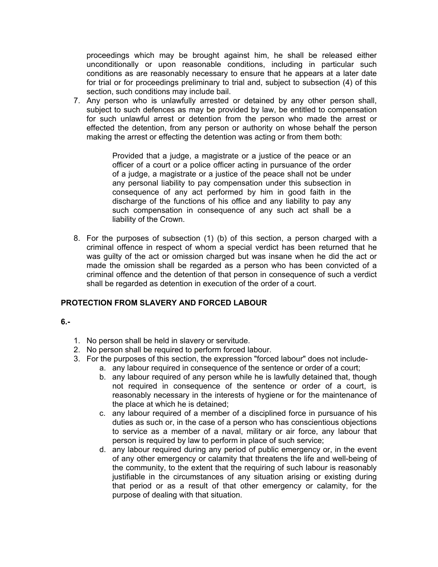proceedings which may be brought against him, he shall be released either unconditionally or upon reasonable conditions, including in particular such conditions as are reasonably necessary to ensure that he appears at a later date for trial or for proceedings preliminary to trial and, subject to subsection (4) of this section, such conditions may include bail.

7. Any person who is unlawfully arrested or detained by any other person shall, subject to such defences as may be provided by law, be entitled to compensation for such unlawful arrest or detention from the person who made the arrest or effected the detention, from any person or authority on whose behalf the person making the arrest or effecting the detention was acting or from them both:

> Provided that a judge, a magistrate or a justice of the peace or an officer of a court or a police officer acting in pursuance of the order of a judge, a magistrate or a justice of the peace shall not be under any personal liability to pay compensation under this subsection in consequence of any act performed by him in good faith in the discharge of the functions of his office and any liability to pay any such compensation in consequence of any such act shall be a liability of the Crown.

8. For the purposes of subsection (1) (b) of this section, a person charged with a criminal offence in respect of whom a special verdict has been returned that he was guilty of the act or omission charged but was insane when he did the act or made the omission shall be regarded as a person who has been convicted of a criminal offence and the detention of that person in consequence of such a verdict shall be regarded as detention in execution of the order of a court.

# **PROTECTION FROM SLAVERY AND FORCED LABOUR**

- 1. No person shall be held in slavery or servitude.
- 2. No person shall be required to perform forced labour.
- 3. For the purposes of this section, the expression "forced labour" does not include
	- a. any labour required in consequence of the sentence or order of a court;
		- b. any labour required of any person while he is lawfully detained that, though not required in consequence of the sentence or order of a court, is reasonably necessary in the interests of hygiene or for the maintenance of the place at which he is detained;
		- c. any labour required of a member of a disciplined force in pursuance of his duties as such or, in the case of a person who has conscientious objections to service as a member of a naval, military or air force, any labour that person is required by law to perform in place of such service;
		- d. any labour required during any period of public emergency or, in the event of any other emergency or calamity that threatens the life and well-being of the community, to the extent that the requiring of such labour is reasonably justifiable in the circumstances of any situation arising or existing during that period or as a result of that other emergency or calamity, for the purpose of dealing with that situation.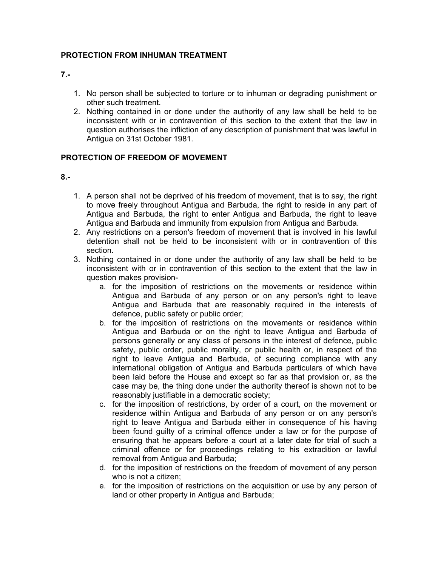# **PROTECTION FROM INHUMAN TREATMENT**

# **7.-**

- 1. No person shall be subjected to torture or to inhuman or degrading punishment or other such treatment.
- 2. Nothing contained in or done under the authority of any law shall be held to be inconsistent with or in contravention of this section to the extent that the law in question authorises the infliction of any description of punishment that was lawful in Antigua on 31st October 1981.

## **PROTECTION OF FREEDOM OF MOVEMENT**

- 1. A person shall not be deprived of his freedom of movement, that is to say, the right to move freely throughout Antigua and Barbuda, the right to reside in any part of Antigua and Barbuda, the right to enter Antigua and Barbuda, the right to leave Antigua and Barbuda and immunity from expulsion from Antigua and Barbuda.
- 2. Any restrictions on a person's freedom of movement that is involved in his lawful detention shall not be held to be inconsistent with or in contravention of this section.
- 3. Nothing contained in or done under the authority of any law shall be held to be inconsistent with or in contravention of this section to the extent that the law in question makes provision
	- a. for the imposition of restrictions on the movements or residence within Antigua and Barbuda of any person or on any person's right to leave Antigua and Barbuda that are reasonably required in the interests of defence, public safety or public order;
	- b. for the imposition of restrictions on the movements or residence within Antigua and Barbuda or on the right to leave Antigua and Barbuda of persons generally or any class of persons in the interest of defence, public safety, public order, public morality, or public health or, in respect of the right to leave Antigua and Barbuda, of securing compliance with any international obligation of Antigua and Barbuda particulars of which have been laid before the House and except so far as that provision or, as the case may be, the thing done under the authority thereof is shown not to be reasonably justifiable in a democratic society;
	- c. for the imposition of restrictions, by order of a court, on the movement or residence within Antigua and Barbuda of any person or on any person's right to leave Antigua and Barbuda either in consequence of his having been found guilty of a criminal offence under a law or for the purpose of ensuring that he appears before a court at a later date for trial of such a criminal offence or for proceedings relating to his extradition or lawful removal from Antigua and Barbuda;
	- d. for the imposition of restrictions on the freedom of movement of any person who is not a citizen;
	- e. for the imposition of restrictions on the acquisition or use by any person of land or other property in Antigua and Barbuda;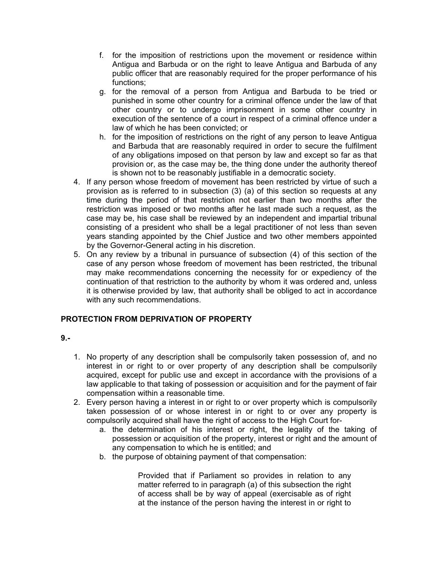- f. for the imposition of restrictions upon the movement or residence within Antigua and Barbuda or on the right to leave Antigua and Barbuda of any public officer that are reasonably required for the proper performance of his functions;
- g. for the removal of a person from Antigua and Barbuda to be tried or punished in some other country for a criminal offence under the law of that other country or to undergo imprisonment in some other country in execution of the sentence of a court in respect of a criminal offence under a law of which he has been convicted; or
- h. for the imposition of restrictions on the right of any person to leave Antigua and Barbuda that are reasonably required in order to secure the fulfilment of any obligations imposed on that person by law and except so far as that provision or, as the case may be, the thing done under the authority thereof is shown not to be reasonably justifiable in a democratic society.
- 4. If any person whose freedom of movement has been restricted by virtue of such a provision as is referred to in subsection (3) (a) of this section so requests at any time during the period of that restriction not earlier than two months after the restriction was imposed or two months after he last made such a request, as the case may be, his case shall be reviewed by an independent and impartial tribunal consisting of a president who shall be a legal practitioner of not less than seven years standing appointed by the Chief Justice and two other members appointed by the Governor-General acting in his discretion.
- 5. On any review by a tribunal in pursuance of subsection (4) of this section of the case of any person whose freedom of movement has been restricted, the tribunal may make recommendations concerning the necessity for or expediency of the continuation of that restriction to the authority by whom it was ordered and, unless it is otherwise provided by law, that authority shall be obliged to act in accordance with any such recommendations.

## **PROTECTION FROM DEPRIVATION OF PROPERTY**

## **9.-**

- 1. No property of any description shall be compulsorily taken possession of, and no interest in or right to or over property of any description shall be compulsorily acquired, except for public use and except in accordance with the provisions of a law applicable to that taking of possession or acquisition and for the payment of fair compensation within a reasonable time.
- 2. Every person having a interest in or right to or over property which is compulsorily taken possession of or whose interest in or right to or over any property is compulsorily acquired shall have the right of access to the High Court for
	- a. the determination of his interest or right, the legality of the taking of possession or acquisition of the property, interest or right and the amount of any compensation to which he is entitled; and
	- b. the purpose of obtaining payment of that compensation:

Provided that if Parliament so provides in relation to any matter referred to in paragraph (a) of this subsection the right of access shall be by way of appeal (exercisable as of right at the instance of the person having the interest in or right to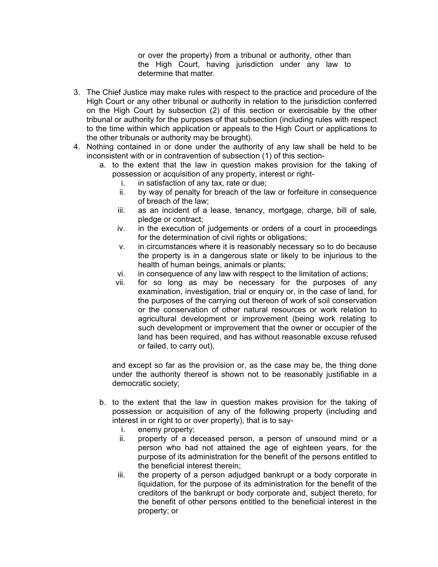or over the property) from a tribunal or authority, other than the High Court, having jurisdiction under any law to determine that matter.

- 3. The Chief Justice may make rules with respect to the practice and procedure of the High Court or any other tribunal or authority in relation to the jurisdiction conferred on the High Court by subsection (2) of this section or exercisable by the other tribunal or authority for the purposes of that subsection (including rules with respect to the time within which application or appeals to the High Court or applications to the other tribunals or authority may be brought).
- 4. Nothing contained in or done under the authority of any law shall be held to be inconsistent with or in contravention of subsection (1) of this section
	- a. to the extent that the law in question makes provision for the taking of possession or acquisition of any property, interest or right
		- i. in satisfaction of any tax, rate or due;
		- ii. by way of penalty for breach of the law or forfeiture in consequence of breach of the law;
		- iii. as an incident of a lease, tenancy, mortgage, charge, bill of sale, pledge or contract;
		- iv. in the execution of judgements or orders of a court in proceedings for the determination of civil rights or obligations;
		- v. in circumstances where it is reasonably necessary so to do because the property is in a dangerous state or likely to be injurious to the health of human beings, animals or plants;
		- vi. in consequence of any law with respect to the limitation of actions;
		- vii. for so long as may be necessary for the purposes of any examination, investigation, trial or enquiry or, in the case of land, for the purposes of the carrying out thereon of work of soil conservation or the conservation of other natural resources or work relation to agricultural development or improvement (being work relating to such development or improvement that the owner or occupier of the land has been required, and has without reasonable excuse refused or failed, to carry out),

and except so far as the provision or, as the case may be, the thing done under the authority thereof is shown not to be reasonably justifiable in a democratic society;

- b. to the extent that the law in question makes provision for the taking of possession or acquisition of any of the following property (including and interest in or right to or over property), that is to say
	- i. enemy property;
	- ii. property of a deceased person, a person of unsound mind or a person who had not attained the age of eighteen years, for the purpose of its administration for the benefit of the persons entitled to the beneficial interest therein;
	- iii. the property of a person adjudged bankrupt or a body corporate in liquidation, for the purpose of its administration for the benefit of the creditors of the bankrupt or body corporate and, subject thereto, for the benefit of other persons entitled to the beneficial interest in the property; or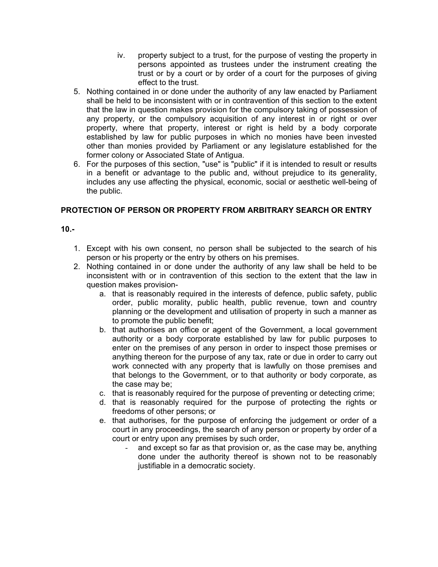- iv. property subject to a trust, for the purpose of vesting the property in persons appointed as trustees under the instrument creating the trust or by a court or by order of a court for the purposes of giving effect to the trust.
- 5. Nothing contained in or done under the authority of any law enacted by Parliament shall be held to be inconsistent with or in contravention of this section to the extent that the law in question makes provision for the compulsory taking of possession of any property, or the compulsory acquisition of any interest in or right or over property, where that property, interest or right is held by a body corporate established by law for public purposes in which no monies have been invested other than monies provided by Parliament or any legislature established for the former colony or Associated State of Antigua.
- 6. For the purposes of this section, "use" is "public" if it is intended to result or results in a benefit or advantage to the public and, without prejudice to its generality, includes any use affecting the physical, economic, social or aesthetic well-being of the public.

# **PROTECTION OF PERSON OR PROPERTY FROM ARBITRARY SEARCH OR ENTRY**

- 1. Except with his own consent, no person shall be subjected to the search of his person or his property or the entry by others on his premises.
- 2. Nothing contained in or done under the authority of any law shall be held to be inconsistent with or in contravention of this section to the extent that the law in question makes provision
	- a. that is reasonably required in the interests of defence, public safety, public order, public morality, public health, public revenue, town and country planning or the development and utilisation of property in such a manner as to promote the public benefit;
	- b. that authorises an office or agent of the Government, a local government authority or a body corporate established by law for public purposes to enter on the premises of any person in order to inspect those premises or anything thereon for the purpose of any tax, rate or due in order to carry out work connected with any property that is lawfully on those premises and that belongs to the Government, or to that authority or body corporate, as the case may be;
	- c. that is reasonably required for the purpose of preventing or detecting crime;
	- d. that is reasonably required for the purpose of protecting the rights or freedoms of other persons; or
	- e. that authorises, for the purpose of enforcing the judgement or order of a court in any proceedings, the search of any person or property by order of a court or entry upon any premises by such order,
		- and except so far as that provision or, as the case may be, anything done under the authority thereof is shown not to be reasonably justifiable in a democratic society.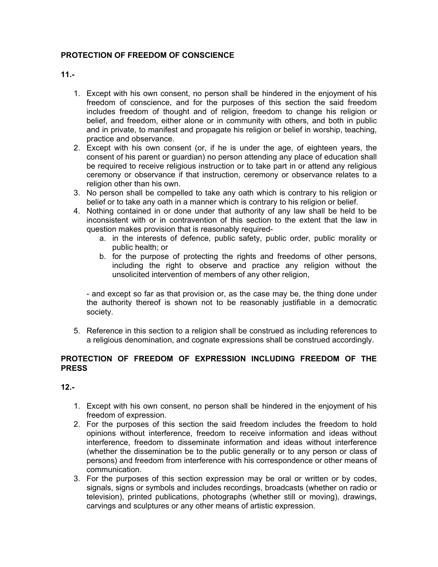# **PROTECTION OF FREEDOM OF CONSCIENCE**

# **11.-**

- 1. Except with his own consent, no person shall be hindered in the enjoyment of his freedom of conscience, and for the purposes of this section the said freedom includes freedom of thought and of religion, freedom to change his religion or belief, and freedom, either alone or in community with others, and both in public and in private, to manifest and propagate his religion or belief in worship, teaching, practice and observance.
- 2. Except with his own consent (or, if he is under the age, of eighteen years, the consent of his parent or guardian) no person attending any place of education shall be required to receive religious instruction or to take part in or attend any religious ceremony or observance if that instruction, ceremony or observance relates to a religion other than his own.
- 3. No person shall be compelled to take any oath which is contrary to his religion or belief or to take any oath in a manner which is contrary to his religion or belief.
- 4. Nothing contained in or done under that authority of any law shall be held to be inconsistent with or in contravention of this section to the extent that the law in question makes provision that is reasonably required
	- a. in the interests of defence, public safety, public order, public morality or public health; or
	- b. for the purpose of protecting the rights and freedoms of other persons, including the right to observe and practice any religion without the unsolicited intervention of members of any other religion,

- and except so far as that provision or, as the case may be, the thing done under the authority thereof is shown not to be reasonably justifiable in a democratic society.

5. Reference in this section to a religion shall be construed as including references to a religious denomination, and cognate expressions shall be construed accordingly.

## **PROTECTION OF FREEDOM OF EXPRESSION INCLUDING FREEDOM OF THE PRESS**

- 1. Except with his own consent, no person shall be hindered in the enjoyment of his freedom of expression.
- 2. For the purposes of this section the said freedom includes the freedom to hold opinions without interference, freedom to receive information and ideas without interference, freedom to disseminate information and ideas without interference (whether the dissemination be to the public generally or to any person or class of persons) and freedom from interference with his correspondence or other means of communication.
- 3. For the purposes of this section expression may be oral or written or by codes, signals, signs or symbols and includes recordings, broadcasts (whether on radio or television), printed publications, photographs (whether still or moving), drawings, carvings and sculptures or any other means of artistic expression.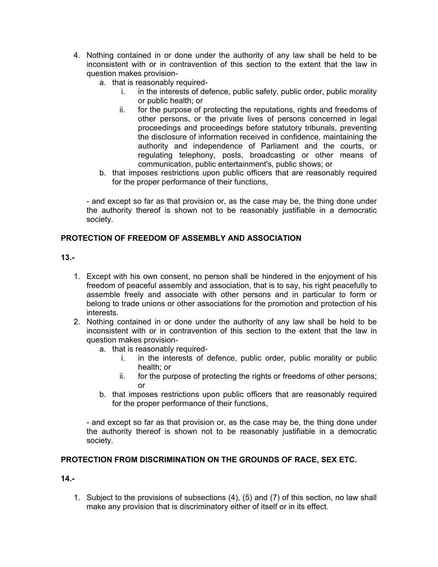- 4. Nothing contained in or done under the authority of any law shall be held to be inconsistent with or in contravention of this section to the extent that the law in question makes provision
	- a. that is reasonably required
		- i. in the interests of defence, public safety, public order, public morality or public health; or
		- ii. for the purpose of protecting the reputations, rights and freedoms of other persons, or the private lives of persons concerned in legal proceedings and proceedings before statutory tribunals, preventing the disclosure of information received in confidence, maintaining the authority and independence of Parliament and the courts, or regulating telephony, posts, broadcasting or other means of communication, public entertainment's, public shows; or
	- b. that imposes restrictions upon public officers that are reasonably required for the proper performance of their functions,

- and except so far as that provision or, as the case may be, the thing done under the authority thereof is shown not to be reasonably justifiable in a democratic society.

## **PROTECTION OF FREEDOM OF ASSEMBLY AND ASSOCIATION**

#### **13.-**

- 1. Except with his own consent, no person shall be hindered in the enjoyment of his freedom of peaceful assembly and association, that is to say, his right peacefully to assemble freely and associate with other persons and in particular to form or belong to trade unions or other associations for the promotion and protection of his interests.
- 2. Nothing contained in or done under the authority of any law shall be held to be inconsistent with or in contravention of this section to the extent that the law in question makes provision
	- a. that is reasonably required
		- i. in the interests of defence, public order, public morality or public health; or
		- ii. for the purpose of protecting the rights or freedoms of other persons; or
	- b. that imposes restrictions upon public officers that are reasonably required for the proper performance of their functions,

- and except so far as that provision or, as the case may be, the thing done under the authority thereof is shown not to be reasonably justifiable in a democratic society.

## **PROTECTION FROM DISCRIMINATION ON THE GROUNDS OF RACE, SEX ETC.**

# **14.-**

1. Subject to the provisions of subsections (4), (5) and (7) of this section, no law shall make any provision that is discriminatory either of itself or in its effect.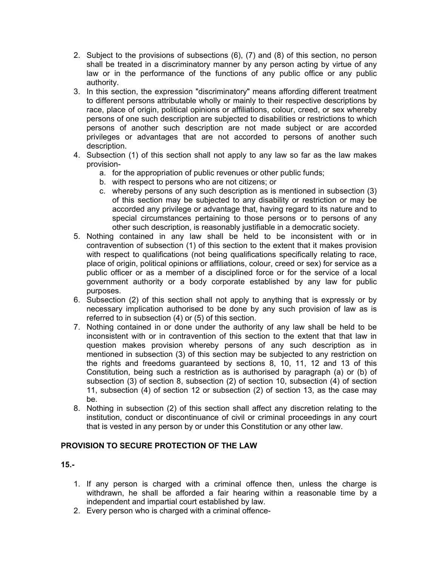- 2. Subject to the provisions of subsections (6), (7) and (8) of this section, no person shall be treated in a discriminatory manner by any person acting by virtue of any law or in the performance of the functions of any public office or any public authority.
- 3. In this section, the expression "discriminatory" means affording different treatment to different persons attributable wholly or mainly to their respective descriptions by race, place of origin, political opinions or affiliations, colour, creed, or sex whereby persons of one such description are subjected to disabilities or restrictions to which persons of another such description are not made subject or are accorded privileges or advantages that are not accorded to persons of another such description.
- 4. Subsection (1) of this section shall not apply to any law so far as the law makes provision
	- a. for the appropriation of public revenues or other public funds;
	- b. with respect to persons who are not citizens; or
	- c. whereby persons of any such description as is mentioned in subsection (3) of this section may be subjected to any disability or restriction or may be accorded any privilege or advantage that, having regard to its nature and to special circumstances pertaining to those persons or to persons of any other such description, is reasonably justifiable in a democratic society.
- 5. Nothing contained in any law shall be held to be inconsistent with or in contravention of subsection (1) of this section to the extent that it makes provision with respect to qualifications (not being qualifications specifically relating to race, place of origin, political opinions or affiliations, colour, creed or sex) for service as a public officer or as a member of a disciplined force or for the service of a local government authority or a body corporate established by any law for public purposes.
- 6. Subsection (2) of this section shall not apply to anything that is expressly or by necessary implication authorised to be done by any such provision of law as is referred to in subsection (4) or (5) of this section.
- 7. Nothing contained in or done under the authority of any law shall be held to be inconsistent with or in contravention of this section to the extent that that law in question makes provision whereby persons of any such description as in mentioned in subsection (3) of this section may be subjected to any restriction on the rights and freedoms guaranteed by sections 8, 10, 11, 12 and 13 of this Constitution, being such a restriction as is authorised by paragraph (a) or (b) of subsection (3) of section 8, subsection (2) of section 10, subsection (4) of section 11, subsection (4) of section 12 or subsection (2) of section 13, as the case may be.
- 8. Nothing in subsection (2) of this section shall affect any discretion relating to the institution, conduct or discontinuance of civil or criminal proceedings in any court that is vested in any person by or under this Constitution or any other law.

# **PROVISION TO SECURE PROTECTION OF THE LAW**

- 1. If any person is charged with a criminal offence then, unless the charge is withdrawn, he shall be afforded a fair hearing within a reasonable time by a independent and impartial court established by law.
- 2. Every person who is charged with a criminal offence-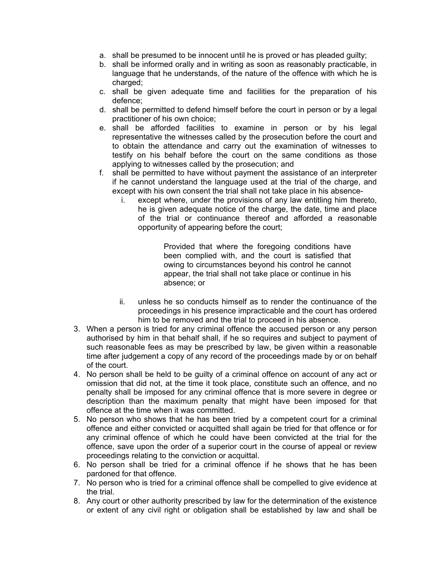- a. shall be presumed to be innocent until he is proved or has pleaded guilty;
- b. shall be informed orally and in writing as soon as reasonably practicable, in language that he understands, of the nature of the offence with which he is charged;
- c. shall be given adequate time and facilities for the preparation of his defence;
- d. shall be permitted to defend himself before the court in person or by a legal practitioner of his own choice;
- e. shall be afforded facilities to examine in person or by his legal representative the witnesses called by the prosecution before the court and to obtain the attendance and carry out the examination of witnesses to testify on his behalf before the court on the same conditions as those applying to witnesses called by the prosecution; and
- f. shall be permitted to have without payment the assistance of an interpreter if he cannot understand the language used at the trial of the charge, and except with his own consent the trial shall not take place in his absence
	- i. except where, under the provisions of any law entitling him thereto, he is given adequate notice of the charge, the date, time and place of the trial or continuance thereof and afforded a reasonable opportunity of appearing before the court;

Provided that where the foregoing conditions have been complied with, and the court is satisfied that owing to circumstances beyond his control he cannot appear, the trial shall not take place or continue in his absence; or

- ii. unless he so conducts himself as to render the continuance of the proceedings in his presence impracticable and the court has ordered him to be removed and the trial to proceed in his absence.
- 3. When a person is tried for any criminal offence the accused person or any person authorised by him in that behalf shall, if he so requires and subject to payment of such reasonable fees as may be prescribed by law, be given within a reasonable time after judgement a copy of any record of the proceedings made by or on behalf of the court.
- 4. No person shall be held to be guilty of a criminal offence on account of any act or omission that did not, at the time it took place, constitute such an offence, and no penalty shall be imposed for any criminal offence that is more severe in degree or description than the maximum penalty that might have been imposed for that offence at the time when it was committed.
- 5. No person who shows that he has been tried by a competent court for a criminal offence and either convicted or acquitted shall again be tried for that offence or for any criminal offence of which he could have been convicted at the trial for the offence, save upon the order of a superior court in the course of appeal or review proceedings relating to the conviction or acquittal.
- 6. No person shall be tried for a criminal offence if he shows that he has been pardoned for that offence.
- 7. No person who is tried for a criminal offence shall be compelled to give evidence at the trial.
- 8. Any court or other authority prescribed by law for the determination of the existence or extent of any civil right or obligation shall be established by law and shall be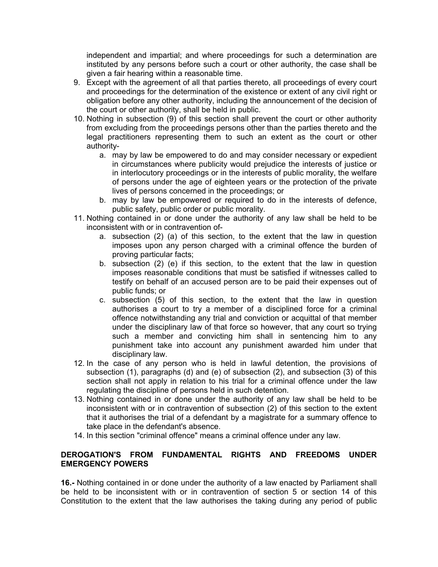independent and impartial; and where proceedings for such a determination are instituted by any persons before such a court or other authority, the case shall be given a fair hearing within a reasonable time.

- 9. Except with the agreement of all that parties thereto, all proceedings of every court and proceedings for the determination of the existence or extent of any civil right or obligation before any other authority, including the announcement of the decision of the court or other authority, shall be held in public.
- 10. Nothing in subsection (9) of this section shall prevent the court or other authority from excluding from the proceedings persons other than the parties thereto and the legal practitioners representing them to such an extent as the court or other authority
	- a. may by law be empowered to do and may consider necessary or expedient in circumstances where publicity would prejudice the interests of justice or in interlocutory proceedings or in the interests of public morality, the welfare of persons under the age of eighteen years or the protection of the private lives of persons concerned in the proceedings; or
	- b. may by law be empowered or required to do in the interests of defence, public safety, public order or public morality.
- 11. Nothing contained in or done under the authority of any law shall be held to be inconsistent with or in contravention of
	- a. subsection (2) (a) of this section, to the extent that the law in question imposes upon any person charged with a criminal offence the burden of proving particular facts;
	- b. subsection (2) (e) if this section, to the extent that the law in question imposes reasonable conditions that must be satisfied if witnesses called to testify on behalf of an accused person are to be paid their expenses out of public funds; or
	- c. subsection (5) of this section, to the extent that the law in question authorises a court to try a member of a disciplined force for a criminal offence notwithstanding any trial and conviction or acquittal of that member under the disciplinary law of that force so however, that any court so trying such a member and convicting him shall in sentencing him to any punishment take into account any punishment awarded him under that disciplinary law.
- 12. In the case of any person who is held in lawful detention, the provisions of subsection (1), paragraphs (d) and (e) of subsection (2), and subsection (3) of this section shall not apply in relation to his trial for a criminal offence under the law regulating the discipline of persons held in such detention.
- 13. Nothing contained in or done under the authority of any law shall be held to be inconsistent with or in contravention of subsection (2) of this section to the extent that it authorises the trial of a defendant by a magistrate for a summary offence to take place in the defendant's absence.
- 14. In this section "criminal offence" means a criminal offence under any law.

## **DEROGATION'S FROM FUNDAMENTAL RIGHTS AND FREEDOMS UNDER EMERGENCY POWERS**

**16.-** Nothing contained in or done under the authority of a law enacted by Parliament shall be held to be inconsistent with or in contravention of section 5 or section 14 of this Constitution to the extent that the law authorises the taking during any period of public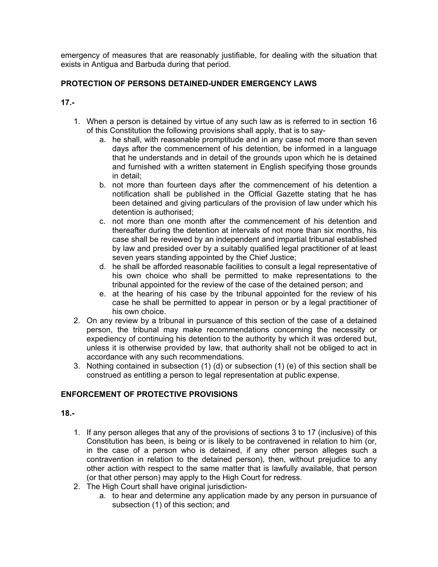emergency of measures that are reasonably justifiable, for dealing with the situation that exists in Antigua and Barbuda during that period.

# **PROTECTION OF PERSONS DETAINED-UNDER EMERGENCY LAWS**

## **17.-**

- 1. When a person is detained by virtue of any such law as is referred to in section 16 of this Constitution the following provisions shall apply, that is to say
	- a. he shall, with reasonable promptitude and in any case not more than seven days after the commencement of his detention, be informed in a language that he understands and in detail of the grounds upon which he is detained and furnished with a written statement in English specifying those grounds in detail;
	- b. not more than fourteen days after the commencement of his detention a notification shall be published in the Official Gazette stating that he has been detained and giving particulars of the provision of law under which his detention is authorised;
	- c. not more than one month after the commencement of his detention and thereafter during the detention at intervals of not more than six months, his case shall be reviewed by an independent and impartial tribunal established by law and presided over by a suitably qualified legal practitioner of at least seven years standing appointed by the Chief Justice;
	- d. he shall be afforded reasonable facilities to consult a legal representative of his own choice who shall be permitted to make representations to the tribunal appointed for the review of the case of the detained person; and
	- e. at the hearing of his case by the tribunal appointed for the review of his case he shall be permitted to appear in person or by a legal practitioner of his own choice.
- 2. On any review by a tribunal in pursuance of this section of the case of a detained person, the tribunal may make recommendations concerning the necessity or expediency of continuing his detention to the authority by which it was ordered but, unless it is otherwise provided by law, that authority shall not be obliged to act in accordance with any such recommendations.
- 3. Nothing contained in subsection (1) (d) or subsection (1) (e) of this section shall be construed as entitling a person to legal representation at public expense.

# **ENFORCEMENT OF PROTECTIVE PROVISIONS**

- 1. If any person alleges that any of the provisions of sections 3 to 17 (inclusive) of this Constitution has been, is being or is likely to be contravened in relation to him (or, in the case of a person who is detained, if any other person alleges such a contravention in relation to the detained person), then, without prejudice to any other action with respect to the same matter that is lawfully available, that person (or that other person) may apply to the High Court for redress.
- 2. The High Court shall have original jurisdiction
	- a. to hear and determine any application made by any person in pursuance of subsection (1) of this section; and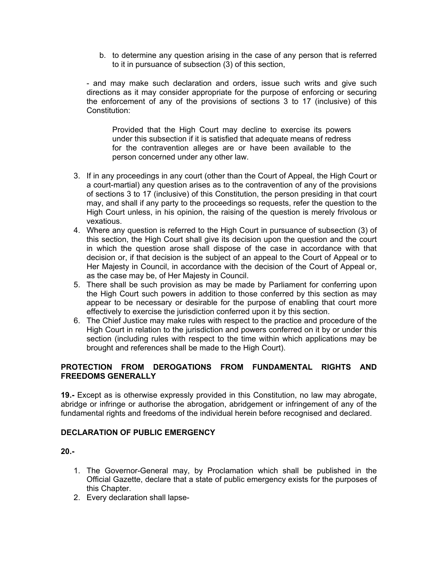b. to determine any question arising in the case of any person that is referred to it in pursuance of subsection (3) of this section,

- and may make such declaration and orders, issue such writs and give such directions as it may consider appropriate for the purpose of enforcing or securing the enforcement of any of the provisions of sections 3 to 17 (inclusive) of this Constitution:

Provided that the High Court may decline to exercise its powers under this subsection if it is satisfied that adequate means of redress for the contravention alleges are or have been available to the person concerned under any other law.

- 3. If in any proceedings in any court (other than the Court of Appeal, the High Court or a court-martial) any question arises as to the contravention of any of the provisions of sections 3 to 17 (inclusive) of this Constitution, the person presiding in that court may, and shall if any party to the proceedings so requests, refer the question to the High Court unless, in his opinion, the raising of the question is merely frivolous or vexatious.
- 4. Where any question is referred to the High Court in pursuance of subsection (3) of this section, the High Court shall give its decision upon the question and the court in which the question arose shall dispose of the case in accordance with that decision or, if that decision is the subject of an appeal to the Court of Appeal or to Her Majesty in Council, in accordance with the decision of the Court of Appeal or, as the case may be, of Her Majesty in Council.
- 5. There shall be such provision as may be made by Parliament for conferring upon the High Court such powers in addition to those conferred by this section as may appear to be necessary or desirable for the purpose of enabling that court more effectively to exercise the jurisdiction conferred upon it by this section.
- 6. The Chief Justice may make rules with respect to the practice and procedure of the High Court in relation to the jurisdiction and powers conferred on it by or under this section (including rules with respect to the time within which applications may be brought and references shall be made to the High Court).

# **PROTECTION FROM DEROGATIONS FROM FUNDAMENTAL RIGHTS AND FREEDOMS GENERALLY**

**19.-** Except as is otherwise expressly provided in this Constitution, no law may abrogate, abridge or infringe or authorise the abrogation, abridgement or infringement of any of the fundamental rights and freedoms of the individual herein before recognised and declared.

# **DECLARATION OF PUBLIC EMERGENCY**

- 1. The Governor-General may, by Proclamation which shall be published in the Official Gazette, declare that a state of public emergency exists for the purposes of this Chapter.
- 2. Every declaration shall lapse-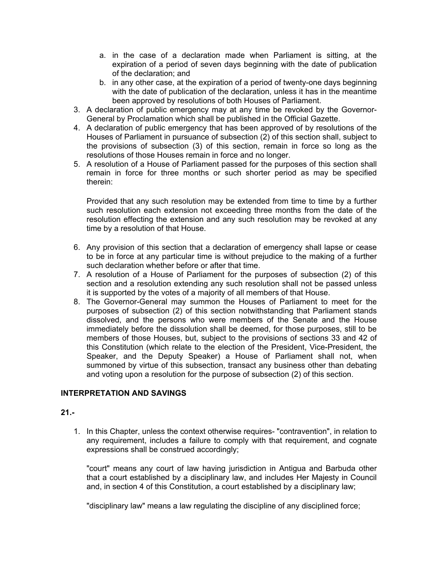- a. in the case of a declaration made when Parliament is sitting, at the expiration of a period of seven days beginning with the date of publication of the declaration; and
- b. in any other case, at the expiration of a period of twenty-one days beginning with the date of publication of the declaration, unless it has in the meantime been approved by resolutions of both Houses of Parliament.
- 3. A declaration of public emergency may at any time be revoked by the Governor-General by Proclamation which shall be published in the Official Gazette.
- 4. A declaration of public emergency that has been approved of by resolutions of the Houses of Parliament in pursuance of subsection (2) of this section shall, subject to the provisions of subsection (3) of this section, remain in force so long as the resolutions of those Houses remain in force and no longer.
- 5. A resolution of a House of Parliament passed for the purposes of this section shall remain in force for three months or such shorter period as may be specified therein:

Provided that any such resolution may be extended from time to time by a further such resolution each extension not exceeding three months from the date of the resolution effecting the extension and any such resolution may be revoked at any time by a resolution of that House.

- 6. Any provision of this section that a declaration of emergency shall lapse or cease to be in force at any particular time is without prejudice to the making of a further such declaration whether before or after that time.
- 7. A resolution of a House of Parliament for the purposes of subsection (2) of this section and a resolution extending any such resolution shall not be passed unless it is supported by the votes of a majority of all members of that House.
- 8. The Governor-General may summon the Houses of Parliament to meet for the purposes of subsection (2) of this section notwithstanding that Parliament stands dissolved, and the persons who were members of the Senate and the House immediately before the dissolution shall be deemed, for those purposes, still to be members of those Houses, but, subject to the provisions of sections 33 and 42 of this Constitution (which relate to the election of the President, Vice-President, the Speaker, and the Deputy Speaker) a House of Parliament shall not, when summoned by virtue of this subsection, transact any business other than debating and voting upon a resolution for the purpose of subsection (2) of this section.

## **INTERPRETATION AND SAVINGS**

## **21.-**

1. In this Chapter, unless the context otherwise requires- "contravention", in relation to any requirement, includes a failure to comply with that requirement, and cognate expressions shall be construed accordingly;

"court" means any court of law having jurisdiction in Antigua and Barbuda other that a court established by a disciplinary law, and includes Her Majesty in Council and, in section 4 of this Constitution, a court established by a disciplinary law;

"disciplinary law" means a law regulating the discipline of any disciplined force;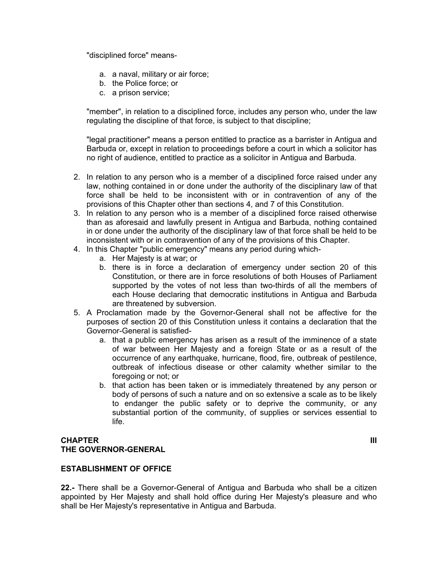"disciplined force" means-

- a. a naval, military or air force;
- b. the Police force; or
- c. a prison service;

"member", in relation to a disciplined force, includes any person who, under the law regulating the discipline of that force, is subject to that discipline;

"legal practitioner" means a person entitled to practice as a barrister in Antigua and Barbuda or, except in relation to proceedings before a court in which a solicitor has no right of audience, entitled to practice as a solicitor in Antigua and Barbuda.

- 2. In relation to any person who is a member of a disciplined force raised under any law, nothing contained in or done under the authority of the disciplinary law of that force shall be held to be inconsistent with or in contravention of any of the provisions of this Chapter other than sections 4, and 7 of this Constitution.
- 3. In relation to any person who is a member of a disciplined force raised otherwise than as aforesaid and lawfully present in Antigua and Barbuda, nothing contained in or done under the authority of the disciplinary law of that force shall be held to be inconsistent with or in contravention of any of the provisions of this Chapter.
- 4. In this Chapter "public emergency" means any period during which
	- a. Her Majesty is at war; or
	- b. there is in force a declaration of emergency under section 20 of this Constitution, or there are in force resolutions of both Houses of Parliament supported by the votes of not less than two-thirds of all the members of each House declaring that democratic institutions in Antigua and Barbuda are threatened by subversion.
- 5. A Proclamation made by the Governor-General shall not be affective for the purposes of section 20 of this Constitution unless it contains a declaration that the Governor-General is satisfied
	- a. that a public emergency has arisen as a result of the imminence of a state of war between Her Majesty and a foreign State or as a result of the occurrence of any earthquake, hurricane, flood, fire, outbreak of pestilence, outbreak of infectious disease or other calamity whether similar to the foregoing or not; or
	- b. that action has been taken or is immediately threatened by any person or body of persons of such a nature and on so extensive a scale as to be likely to endanger the public safety or to deprive the community, or any substantial portion of the community, of supplies or services essential to life.

## **CHAPTER** III **THE GOVERNOR-GENERAL**

## **ESTABLISHMENT OF OFFICE**

**22.-** There shall be a Governor-General of Antigua and Barbuda who shall be a citizen appointed by Her Majesty and shall hold office during Her Majesty's pleasure and who shall be Her Majesty's representative in Antigua and Barbuda.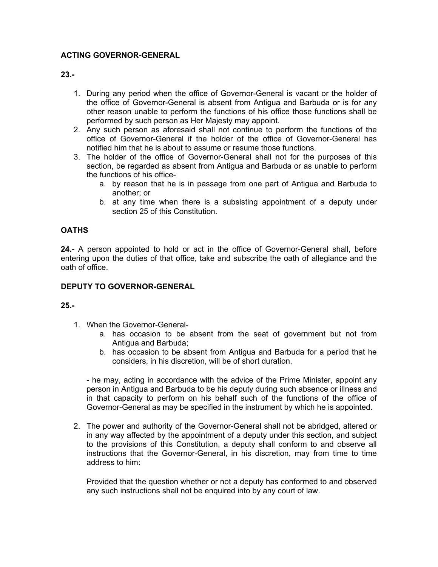# **ACTING GOVERNOR-GENERAL**

## **23.-**

- 1. During any period when the office of Governor-General is vacant or the holder of the office of Governor-General is absent from Antigua and Barbuda or is for any other reason unable to perform the functions of his office those functions shall be performed by such person as Her Majesty may appoint.
- 2. Any such person as aforesaid shall not continue to perform the functions of the office of Governor-General if the holder of the office of Governor-General has notified him that he is about to assume or resume those functions.
- 3. The holder of the office of Governor-General shall not for the purposes of this section, be regarded as absent from Antigua and Barbuda or as unable to perform the functions of his office
	- a. by reason that he is in passage from one part of Antigua and Barbuda to another; or
	- b. at any time when there is a subsisting appointment of a deputy under section 25 of this Constitution.

# **OATHS**

**24.-** A person appointed to hold or act in the office of Governor-General shall, before entering upon the duties of that office, take and subscribe the oath of allegiance and the oath of office.

## **DEPUTY TO GOVERNOR-GENERAL**

## **25.-**

- 1. When the Governor-General
	- a. has occasion to be absent from the seat of government but not from Antigua and Barbuda;
	- b. has occasion to be absent from Antigua and Barbuda for a period that he considers, in his discretion, will be of short duration,

- he may, acting in accordance with the advice of the Prime Minister, appoint any person in Antigua and Barbuda to be his deputy during such absence or illness and in that capacity to perform on his behalf such of the functions of the office of Governor-General as may be specified in the instrument by which he is appointed.

2. The power and authority of the Governor-General shall not be abridged, altered or in any way affected by the appointment of a deputy under this section, and subject to the provisions of this Constitution, a deputy shall conform to and observe all instructions that the Governor-General, in his discretion, may from time to time address to him:

Provided that the question whether or not a deputy has conformed to and observed any such instructions shall not be enquired into by any court of law.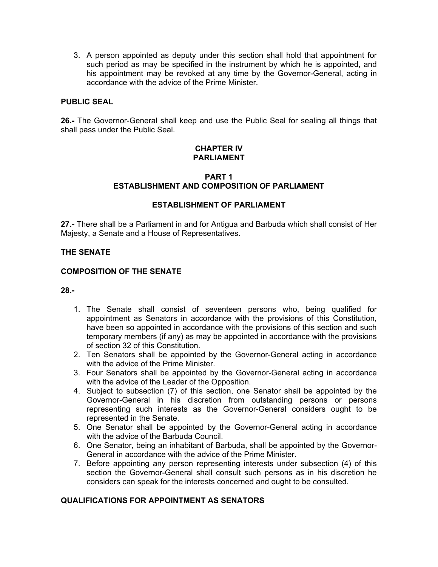3. A person appointed as deputy under this section shall hold that appointment for such period as may be specified in the instrument by which he is appointed, and his appointment may be revoked at any time by the Governor-General, acting in accordance with the advice of the Prime Minister.

#### **PUBLIC SEAL**

**26.-** The Governor-General shall keep and use the Public Seal for sealing all things that shall pass under the Public Seal.

#### **CHAPTER IV PARLIAMENT**

#### **PART 1 ESTABLISHMENT AND COMPOSITION OF PARLIAMENT**

#### **ESTABLISHMENT OF PARLIAMENT**

**27.-** There shall be a Parliament in and for Antigua and Barbuda which shall consist of Her Majesty, a Senate and a House of Representatives.

#### **THE SENATE**

#### **COMPOSITION OF THE SENATE**

#### **28.-**

- 1. The Senate shall consist of seventeen persons who, being qualified for appointment as Senators in accordance with the provisions of this Constitution, have been so appointed in accordance with the provisions of this section and such temporary members (if any) as may be appointed in accordance with the provisions of section 32 of this Constitution.
- 2. Ten Senators shall be appointed by the Governor-General acting in accordance with the advice of the Prime Minister.
- 3. Four Senators shall be appointed by the Governor-General acting in accordance with the advice of the Leader of the Opposition.
- 4. Subject to subsection (7) of this section, one Senator shall be appointed by the Governor-General in his discretion from outstanding persons or persons representing such interests as the Governor-General considers ought to be represented in the Senate.
- 5. One Senator shall be appointed by the Governor-General acting in accordance with the advice of the Barbuda Council.
- 6. One Senator, being an inhabitant of Barbuda, shall be appointed by the Governor-General in accordance with the advice of the Prime Minister.
- 7. Before appointing any person representing interests under subsection (4) of this section the Governor-General shall consult such persons as in his discretion he considers can speak for the interests concerned and ought to be consulted.

#### **QUALIFICATIONS FOR APPOINTMENT AS SENATORS**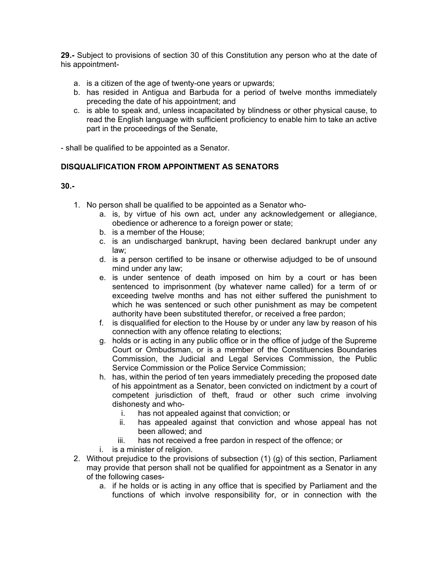**29.-** Subject to provisions of section 30 of this Constitution any person who at the date of his appointment-

- a. is a citizen of the age of twenty-one years or upwards;
- b. has resided in Antigua and Barbuda for a period of twelve months immediately preceding the date of his appointment; and
- c. is able to speak and, unless incapacitated by blindness or other physical cause, to read the English language with sufficient proficiency to enable him to take an active part in the proceedings of the Senate,

- shall be qualified to be appointed as a Senator.

## **DISQUALIFICATION FROM APPOINTMENT AS SENATORS**

- 1. No person shall be qualified to be appointed as a Senator who
	- a. is, by virtue of his own act, under any acknowledgement or allegiance, obedience or adherence to a foreign power or state;
	- b. is a member of the House;
	- c. is an undischarged bankrupt, having been declared bankrupt under any law;
	- d. is a person certified to be insane or otherwise adjudged to be of unsound mind under any law;
	- e. is under sentence of death imposed on him by a court or has been sentenced to imprisonment (by whatever name called) for a term of or exceeding twelve months and has not either suffered the punishment to which he was sentenced or such other punishment as may be competent authority have been substituted therefor, or received a free pardon;
	- f. is disqualified for election to the House by or under any law by reason of his connection with any offence relating to elections;
	- g. holds or is acting in any public office or in the office of judge of the Supreme Court or Ombudsman, or is a member of the Constituencies Boundaries Commission, the Judicial and Legal Services Commission, the Public Service Commission or the Police Service Commission;
	- h. has, within the period of ten years immediately preceding the proposed date of his appointment as a Senator, been convicted on indictment by a court of competent jurisdiction of theft, fraud or other such crime involving dishonesty and who
		- i. has not appealed against that conviction; or
		- ii. has appealed against that conviction and whose appeal has not been allowed; and
		- iii. has not received a free pardon in respect of the offence; or
	- i. is a minister of religion.
- 2. Without prejudice to the provisions of subsection (1) (g) of this section, Parliament may provide that person shall not be qualified for appointment as a Senator in any of the following cases
	- a. if he holds or is acting in any office that is specified by Parliament and the functions of which involve responsibility for, or in connection with the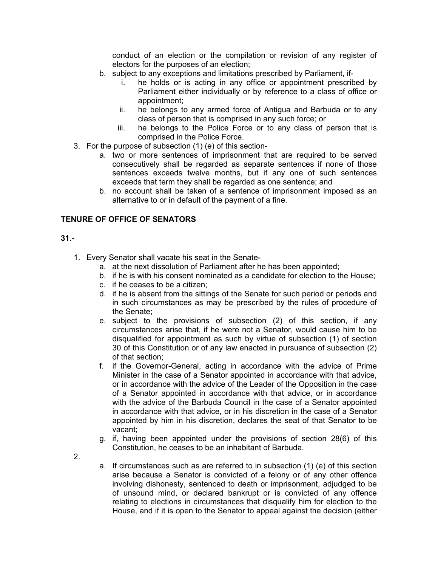conduct of an election or the compilation or revision of any register of electors for the purposes of an election;

- b. subject to any exceptions and limitations prescribed by Parliament, if
	- i. he holds or is acting in any office or appointment prescribed by Parliament either individually or by reference to a class of office or appointment;
	- ii. he belongs to any armed force of Antigua and Barbuda or to any class of person that is comprised in any such force; or
	- iii. he belongs to the Police Force or to any class of person that is comprised in the Police Force.
- 3. For the purpose of subsection (1) (e) of this section
	- a. two or more sentences of imprisonment that are required to be served consecutively shall be regarded as separate sentences if none of those sentences exceeds twelve months, but if any one of such sentences exceeds that term they shall be regarded as one sentence; and
	- b. no account shall be taken of a sentence of imprisonment imposed as an alternative to or in default of the payment of a fine.

# **TENURE OF OFFICE OF SENATORS**

- 1. Every Senator shall vacate his seat in the Senate
	- a. at the next dissolution of Parliament after he has been appointed;
	- b. if he is with his consent nominated as a candidate for election to the House;
	- c. if he ceases to be a citizen;
	- d. if he is absent from the sittings of the Senate for such period or periods and in such circumstances as may be prescribed by the rules of procedure of the Senate;
	- e. subject to the provisions of subsection (2) of this section, if any circumstances arise that, if he were not a Senator, would cause him to be disqualified for appointment as such by virtue of subsection (1) of section 30 of this Constitution or of any law enacted in pursuance of subsection (2) of that section;
	- f. if the Governor-General, acting in accordance with the advice of Prime Minister in the case of a Senator appointed in accordance with that advice, or in accordance with the advice of the Leader of the Opposition in the case of a Senator appointed in accordance with that advice, or in accordance with the advice of the Barbuda Council in the case of a Senator appointed in accordance with that advice, or in his discretion in the case of a Senator appointed by him in his discretion, declares the seat of that Senator to be vacant;
	- g. if, having been appointed under the provisions of section 28(6) of this Constitution, he ceases to be an inhabitant of Barbuda.
- 2.
- a. If circumstances such as are referred to in subsection (1) (e) of this section arise because a Senator is convicted of a felony or of any other offence involving dishonesty, sentenced to death or imprisonment, adjudged to be of unsound mind, or declared bankrupt or is convicted of any offence relating to elections in circumstances that disqualify him for election to the House, and if it is open to the Senator to appeal against the decision (either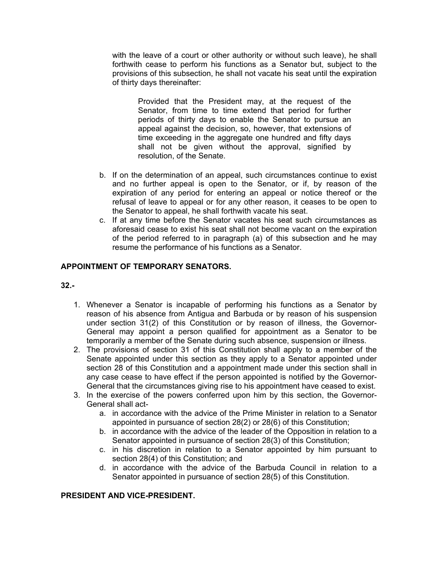with the leave of a court or other authority or without such leave), he shall forthwith cease to perform his functions as a Senator but, subject to the provisions of this subsection, he shall not vacate his seat until the expiration of thirty days thereinafter:

Provided that the President may, at the request of the Senator, from time to time extend that period for further periods of thirty days to enable the Senator to pursue an appeal against the decision, so, however, that extensions of time exceeding in the aggregate one hundred and fifty days shall not be given without the approval, signified by resolution, of the Senate.

- b. If on the determination of an appeal, such circumstances continue to exist and no further appeal is open to the Senator, or if, by reason of the expiration of any period for entering an appeal or notice thereof or the refusal of leave to appeal or for any other reason, it ceases to be open to the Senator to appeal, he shall forthwith vacate his seat.
- c. If at any time before the Senator vacates his seat such circumstances as aforesaid cease to exist his seat shall not become vacant on the expiration of the period referred to in paragraph (a) of this subsection and he may resume the performance of his functions as a Senator.

# **APPOINTMENT OF TEMPORARY SENATORS.**

#### **32.-**

- 1. Whenever a Senator is incapable of performing his functions as a Senator by reason of his absence from Antigua and Barbuda or by reason of his suspension under section 31(2) of this Constitution or by reason of illness, the Governor-General may appoint a person qualified for appointment as a Senator to be temporarily a member of the Senate during such absence, suspension or illness.
- 2. The provisions of section 31 of this Constitution shall apply to a member of the Senate appointed under this section as they apply to a Senator appointed under section 28 of this Constitution and a appointment made under this section shall in any case cease to have effect if the person appointed is notified by the Governor-General that the circumstances giving rise to his appointment have ceased to exist.
- 3. In the exercise of the powers conferred upon him by this section, the Governor-General shall act
	- a. in accordance with the advice of the Prime Minister in relation to a Senator appointed in pursuance of section 28(2) or 28(6) of this Constitution;
	- b. in accordance with the advice of the leader of the Opposition in relation to a Senator appointed in pursuance of section 28(3) of this Constitution;
	- c. in his discretion in relation to a Senator appointed by him pursuant to section 28(4) of this Constitution; and
	- d. in accordance with the advice of the Barbuda Council in relation to a Senator appointed in pursuance of section 28(5) of this Constitution.

## **PRESIDENT AND VICE-PRESIDENT.**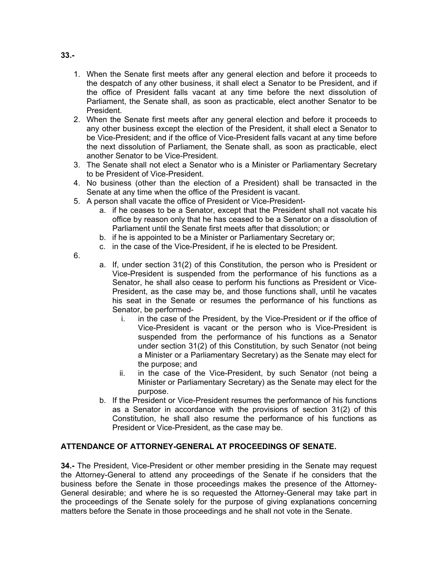- 1. When the Senate first meets after any general election and before it proceeds to the despatch of any other business, it shall elect a Senator to be President, and if the office of President falls vacant at any time before the next dissolution of Parliament, the Senate shall, as soon as practicable, elect another Senator to be President.
- 2. When the Senate first meets after any general election and before it proceeds to any other business except the election of the President, it shall elect a Senator to be Vice-President; and if the office of Vice-President falls vacant at any time before the next dissolution of Parliament, the Senate shall, as soon as practicable, elect another Senator to be Vice-President.
- 3. The Senate shall not elect a Senator who is a Minister or Parliamentary Secretary to be President of Vice-President.
- 4. No business (other than the election of a President) shall be transacted in the Senate at any time when the office of the President is vacant.
- 5. A person shall vacate the office of President or Vice-President
	- a. if he ceases to be a Senator, except that the President shall not vacate his office by reason only that he has ceased to be a Senator on a dissolution of Parliament until the Senate first meets after that dissolution; or
	- b. if he is appointed to be a Minister or Parliamentary Secretary or;
	- c. in the case of the Vice-President, if he is elected to be President.
- 6.
- a. If, under section 31(2) of this Constitution, the person who is President or Vice-President is suspended from the performance of his functions as a Senator, he shall also cease to perform his functions as President or Vice-President, as the case may be, and those functions shall, until he vacates his seat in the Senate or resumes the performance of his functions as Senator, be performed
	- i. in the case of the President, by the Vice-President or if the office of Vice-President is vacant or the person who is Vice-President is suspended from the performance of his functions as a Senator under section 31(2) of this Constitution, by such Senator (not being a Minister or a Parliamentary Secretary) as the Senate may elect for the purpose; and
	- ii. in the case of the Vice-President, by such Senator (not being a Minister or Parliamentary Secretary) as the Senate may elect for the purpose.
- b. If the President or Vice-President resumes the performance of his functions as a Senator in accordance with the provisions of section 31(2) of this Constitution, he shall also resume the performance of his functions as President or Vice-President, as the case may be.

## **ATTENDANCE OF ATTORNEY-GENERAL AT PROCEEDINGS OF SENATE.**

**34.-** The President, Vice-President or other member presiding in the Senate may request the Attorney-General to attend any proceedings of the Senate if he considers that the business before the Senate in those proceedings makes the presence of the Attorney-General desirable; and where he is so requested the Attorney-General may take part in the proceedings of the Senate solely for the purpose of giving explanations concerning matters before the Senate in those proceedings and he shall not vote in the Senate.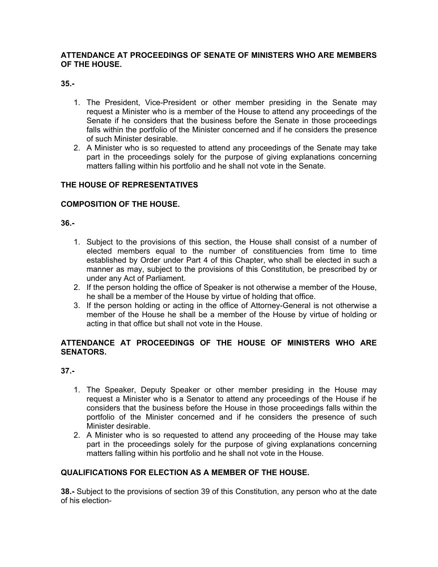## **ATTENDANCE AT PROCEEDINGS OF SENATE OF MINISTERS WHO ARE MEMBERS OF THE HOUSE.**

## **35.-**

- 1. The President, Vice-President or other member presiding in the Senate may request a Minister who is a member of the House to attend any proceedings of the Senate if he considers that the business before the Senate in those proceedings falls within the portfolio of the Minister concerned and if he considers the presence of such Minister desirable.
- 2. A Minister who is so requested to attend any proceedings of the Senate may take part in the proceedings solely for the purpose of giving explanations concerning matters falling within his portfolio and he shall not vote in the Senate.

# **THE HOUSE OF REPRESENTATIVES**

## **COMPOSITION OF THE HOUSE.**

#### **36.-**

- 1. Subject to the provisions of this section, the House shall consist of a number of elected members equal to the number of constituencies from time to time established by Order under Part 4 of this Chapter, who shall be elected in such a manner as may, subject to the provisions of this Constitution, be prescribed by or under any Act of Parliament.
- 2. If the person holding the office of Speaker is not otherwise a member of the House, he shall be a member of the House by virtue of holding that office.
- 3. If the person holding or acting in the office of Attorney-General is not otherwise a member of the House he shall be a member of the House by virtue of holding or acting in that office but shall not vote in the House.

# **ATTENDANCE AT PROCEEDINGS OF THE HOUSE OF MINISTERS WHO ARE SENATORS.**

## **37.-**

- 1. The Speaker, Deputy Speaker or other member presiding in the House may request a Minister who is a Senator to attend any proceedings of the House if he considers that the business before the House in those proceedings falls within the portfolio of the Minister concerned and if he considers the presence of such Minister desirable.
- 2. A Minister who is so requested to attend any proceeding of the House may take part in the proceedings solely for the purpose of giving explanations concerning matters falling within his portfolio and he shall not vote in the House.

# **QUALIFICATIONS FOR ELECTION AS A MEMBER OF THE HOUSE.**

**38.-** Subject to the provisions of section 39 of this Constitution, any person who at the date of his election-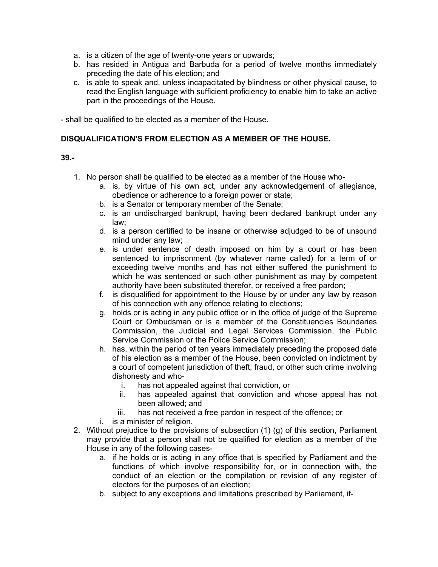- a. is a citizen of the age of twenty-one years or upwards;
- b. has resided in Antigua and Barbuda for a period of twelve months immediately preceding the date of his election; and
- c. is able to speak and, unless incapacitated by blindness or other physical cause, to read the English language with sufficient proficiency to enable him to take an active part in the proceedings of the House.

- shall be qualified to be elected as a member of the House.

## **DISQUALIFICATION'S FROM ELECTION AS A MEMBER OF THE HOUSE.**

- 1. No person shall be qualified to be elected as a member of the House who
	- a. is, by virtue of his own act, under any acknowledgement of allegiance, obedience or adherence to a foreign power or state;
	- b. is a Senator or temporary member of the Senate;
	- c. is an undischarged bankrupt, having been declared bankrupt under any law;
	- d. is a person certified to be insane or otherwise adjudged to be of unsound mind under any law;
	- e. is under sentence of death imposed on him by a court or has been sentenced to imprisonment (by whatever name called) for a term of or exceeding twelve months and has not either suffered the punishment to which he was sentenced or such other punishment as may by competent authority have been substituted therefor, or received a free pardon;
	- f. is disqualified for appointment to the House by or under any law by reason of his connection with any offence relating to elections;
	- g. holds or is acting in any public office or in the office of judge of the Supreme Court or Ombudsman or is a member of the Constituencies Boundaries Commission, the Judicial and Legal Services Commission, the Public Service Commission or the Police Service Commission;
	- h. has, within the period of ten years immediately preceding the proposed date of his election as a member of the House, been convicted on indictment by a court of competent jurisdiction of theft, fraud, or other such crime involving dishonesty and who
		- i. has not appealed against that conviction, or
		- ii. has appealed against that conviction and whose appeal has not been allowed; and
		- iii. has not received a free pardon in respect of the offence; or
	- i. is a minister of religion.
- 2. Without prejudice to the provisions of subsection (1) (g) of this section, Parliament may provide that a person shall not be qualified for election as a member of the House in any of the following cases
	- a. if he holds or is acting in any office that is specified by Parliament and the functions of which involve responsibility for, or in connection with, the conduct of an election or the compilation or revision of any register of electors for the purposes of an election;
	- b. subject to any exceptions and limitations prescribed by Parliament, if-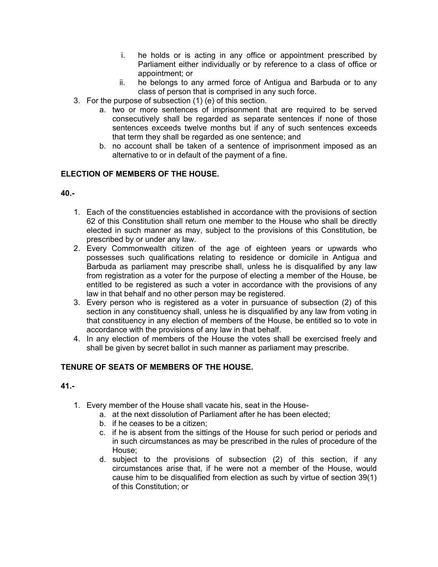- i. he holds or is acting in any office or appointment prescribed by Parliament either individually or by reference to a class of office or appointment; or
- ii. he belongs to any armed force of Antigua and Barbuda or to any class of person that is comprised in any such force.
- 3. For the purpose of subsection (1) (e) of this section.
	- a. two or more sentences of imprisonment that are required to be served consecutively shall be regarded as separate sentences if none of those sentences exceeds twelve months but if any of such sentences exceeds that term they shall be regarded as one sentence; and
	- b. no account shall be taken of a sentence of imprisonment imposed as an alternative to or in default of the payment of a fine.

# **ELECTION OF MEMBERS OF THE HOUSE.**

## **40.-**

- 1. Each of the constituencies established in accordance with the provisions of section 62 of this Constitution shall return one member to the House who shall be directly elected in such manner as may, subject to the provisions of this Constitution, be prescribed by or under any law.
- 2. Every Commonwealth citizen of the age of eighteen years or upwards who possesses such qualifications relating to residence or domicile in Antigua and Barbuda as parliament may prescribe shall, unless he is disqualified by any law from registration as a voter for the purpose of electing a member of the House, be entitled to be registered as such a voter in accordance with the provisions of any law in that behalf and no other person may be registered.
- 3. Every person who is registered as a voter in pursuance of subsection (2) of this section in any constituency shall, unless he is disqualified by any law from voting in that constituency in any election of members of the House, be entitled so to vote in accordance with the provisions of any law in that behalf.
- 4. In any election of members of the House the votes shall be exercised freely and shall be given by secret ballot in such manner as parliament may prescribe.

## **TENURE OF SEATS OF MEMBERS OF THE HOUSE.**

- 1. Every member of the House shall vacate his, seat in the House
	- a. at the next dissolution of Parliament after he has been elected;
	- b. if he ceases to be a citizen;
	- c. if he is absent from the sittings of the House for such period or periods and in such circumstances as may be prescribed in the rules of procedure of the House;
	- d. subject to the provisions of subsection (2) of this section, if any circumstances arise that, if he were not a member of the House, would cause him to be disqualified from election as such by virtue of section 39(1) of this Constitution; or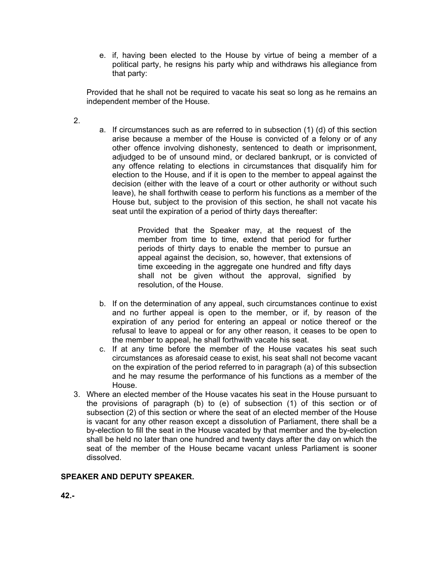e. if, having been elected to the House by virtue of being a member of a political party, he resigns his party whip and withdraws his allegiance from that party:

Provided that he shall not be required to vacate his seat so long as he remains an independent member of the House.

- 2.
- a. If circumstances such as are referred to in subsection (1) (d) of this section arise because a member of the House is convicted of a felony or of any other offence involving dishonesty, sentenced to death or imprisonment, adjudged to be of unsound mind, or declared bankrupt, or is convicted of any offence relating to elections in circumstances that disqualify him for election to the House, and if it is open to the member to appeal against the decision (either with the leave of a court or other authority or without such leave), he shall forthwith cease to perform his functions as a member of the House but, subject to the provision of this section, he shall not vacate his seat until the expiration of a period of thirty days thereafter:

Provided that the Speaker may, at the request of the member from time to time, extend that period for further periods of thirty days to enable the member to pursue an appeal against the decision, so, however, that extensions of time exceeding in the aggregate one hundred and fifty days shall not be given without the approval, signified by resolution, of the House.

- b. If on the determination of any appeal, such circumstances continue to exist and no further appeal is open to the member, or if, by reason of the expiration of any period for entering an appeal or notice thereof or the refusal to leave to appeal or for any other reason, it ceases to be open to the member to appeal, he shall forthwith vacate his seat.
- c. If at any time before the member of the House vacates his seat such circumstances as aforesaid cease to exist, his seat shall not become vacant on the expiration of the period referred to in paragraph (a) of this subsection and he may resume the performance of his functions as a member of the House.
- 3. Where an elected member of the House vacates his seat in the House pursuant to the provisions of paragraph (b) to (e) of subsection (1) of this section or of subsection (2) of this section or where the seat of an elected member of the House is vacant for any other reason except a dissolution of Parliament, there shall be a by-election to fill the seat in the House vacated by that member and the by-election shall be held no later than one hundred and twenty days after the day on which the seat of the member of the House became vacant unless Parliament is sooner dissolved.

## **SPEAKER AND DEPUTY SPEAKER.**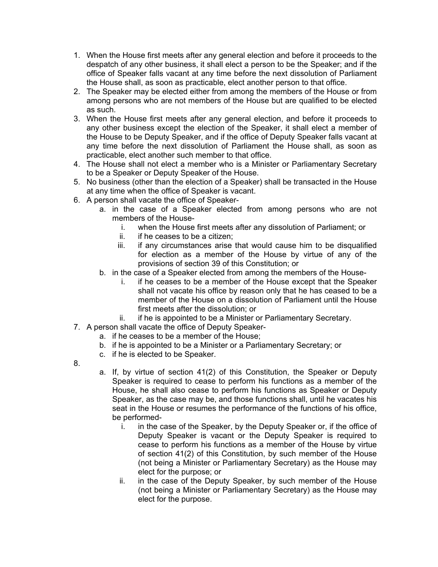- 1. When the House first meets after any general election and before it proceeds to the despatch of any other business, it shall elect a person to be the Speaker; and if the office of Speaker falls vacant at any time before the next dissolution of Parliament the House shall, as soon as practicable, elect another person to that office.
- 2. The Speaker may be elected either from among the members of the House or from among persons who are not members of the House but are qualified to be elected as such.
- 3. When the House first meets after any general election, and before it proceeds to any other business except the election of the Speaker, it shall elect a member of the House to be Deputy Speaker, and if the office of Deputy Speaker falls vacant at any time before the next dissolution of Parliament the House shall, as soon as practicable, elect another such member to that office.
- 4. The House shall not elect a member who is a Minister or Parliamentary Secretary to be a Speaker or Deputy Speaker of the House.
- 5. No business (other than the election of a Speaker) shall be transacted in the House at any time when the office of Speaker is vacant.
- 6. A person shall vacate the office of Speaker
	- a. in the case of a Speaker elected from among persons who are not members of the House
		- i. when the House first meets after any dissolution of Parliament; or
		- ii. if he ceases to be a citizen;
		- iii. if any circumstances arise that would cause him to be disqualified for election as a member of the House by virtue of any of the provisions of section 39 of this Constitution; or
	- b. in the case of a Speaker elected from among the members of the House
		- i. if he ceases to be a member of the House except that the Speaker shall not vacate his office by reason only that he has ceased to be a member of the House on a dissolution of Parliament until the House first meets after the dissolution; or
		- ii. if he is appointed to be a Minister or Parliamentary Secretary.
- 7. A person shall vacate the office of Deputy Speaker
	- a. if he ceases to be a member of the House;
	- b. if he is appointed to be a Minister or a Parliamentary Secretary; or
	- c. if he is elected to be Speaker.
- 8.
- a. If, by virtue of section 41(2) of this Constitution, the Speaker or Deputy Speaker is required to cease to perform his functions as a member of the House, he shall also cease to perform his functions as Speaker or Deputy Speaker, as the case may be, and those functions shall, until he vacates his seat in the House or resumes the performance of the functions of his office, be performed
	- i. in the case of the Speaker, by the Deputy Speaker or, if the office of Deputy Speaker is vacant or the Deputy Speaker is required to cease to perform his functions as a member of the House by virtue of section 41(2) of this Constitution, by such member of the House (not being a Minister or Parliamentary Secretary) as the House may elect for the purpose; or
	- ii. in the case of the Deputy Speaker, by such member of the House (not being a Minister or Parliamentary Secretary) as the House may elect for the purpose.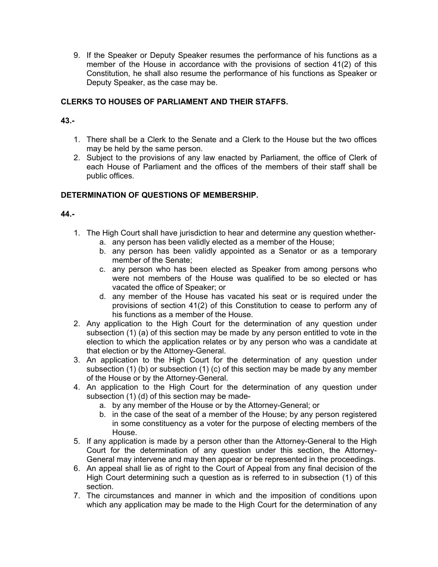9. If the Speaker or Deputy Speaker resumes the performance of his functions as a member of the House in accordance with the provisions of section 41(2) of this Constitution, he shall also resume the performance of his functions as Speaker or Deputy Speaker, as the case may be.

# **CLERKS TO HOUSES OF PARLIAMENT AND THEIR STAFFS.**

## **43.-**

- 1. There shall be a Clerk to the Senate and a Clerk to the House but the two offices may be held by the same person.
- 2. Subject to the provisions of any law enacted by Parliament, the office of Clerk of each House of Parliament and the offices of the members of their staff shall be public offices.

## **DETERMINATION OF QUESTIONS OF MEMBERSHIP.**

- 1. The High Court shall have jurisdiction to hear and determine any question whether
	- a. any person has been validly elected as a member of the House;
	- b. any person has been validly appointed as a Senator or as a temporary member of the Senate;
	- c. any person who has been elected as Speaker from among persons who were not members of the House was qualified to be so elected or has vacated the office of Speaker; or
	- d. any member of the House has vacated his seat or is required under the provisions of section 41(2) of this Constitution to cease to perform any of his functions as a member of the House.
- 2. Any application to the High Court for the determination of any question under subsection (1) (a) of this section may be made by any person entitled to vote in the election to which the application relates or by any person who was a candidate at that election or by the Attorney-General.
- 3. An application to the High Court for the determination of any question under subsection (1) (b) or subsection (1) (c) of this section may be made by any member of the House or by the Attorney-General.
- 4. An application to the High Court for the determination of any question under subsection (1) (d) of this section may be made
	- a. by any member of the House or by the Attorney-General; or
	- b. in the case of the seat of a member of the House; by any person registered in some constituency as a voter for the purpose of electing members of the House.
- 5. If any application is made by a person other than the Attorney-General to the High Court for the determination of any question under this section, the Attorney-General may intervene and may then appear or be represented in the proceedings.
- 6. An appeal shall lie as of right to the Court of Appeal from any final decision of the High Court determining such a question as is referred to in subsection (1) of this section.
- 7. The circumstances and manner in which and the imposition of conditions upon which any application may be made to the High Court for the determination of any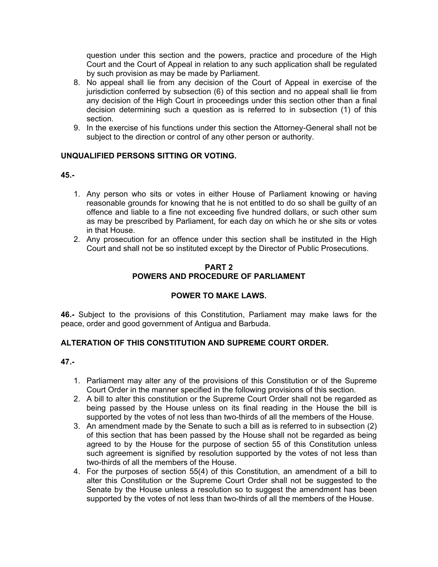question under this section and the powers, practice and procedure of the High Court and the Court of Appeal in relation to any such application shall be regulated by such provision as may be made by Parliament.

- 8. No appeal shall lie from any decision of the Court of Appeal in exercise of the jurisdiction conferred by subsection (6) of this section and no appeal shall lie from any decision of the High Court in proceedings under this section other than a final decision determining such a question as is referred to in subsection (1) of this section.
- 9. In the exercise of his functions under this section the Attorney-General shall not be subject to the direction or control of any other person or authority.

## **UNQUALIFIED PERSONS SITTING OR VOTING.**

#### **45.-**

- 1. Any person who sits or votes in either House of Parliament knowing or having reasonable grounds for knowing that he is not entitled to do so shall be guilty of an offence and liable to a fine not exceeding five hundred dollars, or such other sum as may be prescribed by Parliament, for each day on which he or she sits or votes in that House.
- 2. Any prosecution for an offence under this section shall be instituted in the High Court and shall not be so instituted except by the Director of Public Prosecutions.

#### **PART 2 POWERS AND PROCEDURE OF PARLIAMENT**

## **POWER TO MAKE LAWS.**

**46.-** Subject to the provisions of this Constitution, Parliament may make laws for the peace, order and good government of Antigua and Barbuda.

## **ALTERATION OF THIS CONSTITUTION AND SUPREME COURT ORDER.**

- 1. Parliament may alter any of the provisions of this Constitution or of the Supreme Court Order in the manner specified in the following provisions of this section.
- 2. A bill to alter this constitution or the Supreme Court Order shall not be regarded as being passed by the House unless on its final reading in the House the bill is supported by the votes of not less than two-thirds of all the members of the House.
- 3. An amendment made by the Senate to such a bill as is referred to in subsection (2) of this section that has been passed by the House shall not be regarded as being agreed to by the House for the purpose of section 55 of this Constitution unless such agreement is signified by resolution supported by the votes of not less than two-thirds of all the members of the House.
- 4. For the purposes of section 55(4) of this Constitution, an amendment of a bill to alter this Constitution or the Supreme Court Order shall not be suggested to the Senate by the House unless a resolution so to suggest the amendment has been supported by the votes of not less than two-thirds of all the members of the House.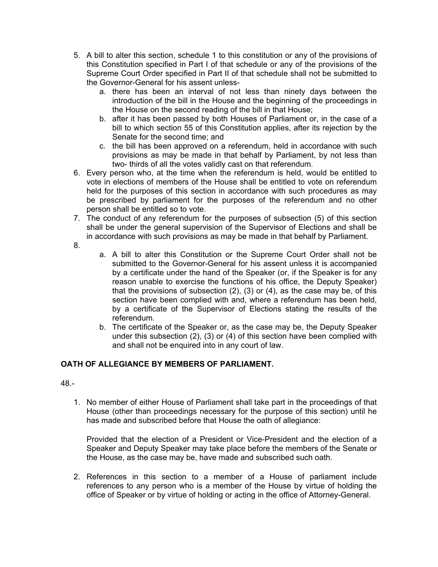- 5. A bill to alter this section, schedule 1 to this constitution or any of the provisions of this Constitution specified in Part I of that schedule or any of the provisions of the Supreme Court Order specified in Part II of that schedule shall not be submitted to the Governor-General for his assent unless
	- a. there has been an interval of not less than ninety days between the introduction of the bill in the House and the beginning of the proceedings in the House on the second reading of the bill in that House;
	- b. after it has been passed by both Houses of Parliament or, in the case of a bill to which section 55 of this Constitution applies, after its rejection by the Senate for the second time; and
	- c. the bill has been approved on a referendum, held in accordance with such provisions as may be made in that behalf by Parliament, by not less than two- thirds of all the votes validly cast on that referendum.
- 6. Every person who, at the time when the referendum is held, would be entitled to vote in elections of members of the House shall be entitled to vote on referendum held for the purposes of this section in accordance with such procedures as may be prescribed by parliament for the purposes of the referendum and no other person shall be entitled so to vote.
- 7. The conduct of any referendum for the purposes of subsection (5) of this section shall be under the general supervision of the Supervisor of Elections and shall be in accordance with such provisions as may be made in that behalf by Parliament.
- 8.
- a. A bill to alter this Constitution or the Supreme Court Order shall not be submitted to the Governor-General for his assent unless it is accompanied by a certificate under the hand of the Speaker (or, if the Speaker is for any reason unable to exercise the functions of his office, the Deputy Speaker) that the provisions of subsection (2), (3) or (4), as the case may be, of this section have been complied with and, where a referendum has been held, by a certificate of the Supervisor of Elections stating the results of the referendum.
- b. The certificate of the Speaker or, as the case may be, the Deputy Speaker under this subsection (2), (3) or (4) of this section have been complied with and shall not be enquired into in any court of law.

# **OATH OF ALLEGIANCE BY MEMBERS OF PARLIAMENT.**

### 48.-

1. No member of either House of Parliament shall take part in the proceedings of that House (other than proceedings necessary for the purpose of this section) until he has made and subscribed before that House the oath of allegiance:

Provided that the election of a President or Vice-President and the election of a Speaker and Deputy Speaker may take place before the members of the Senate or the House, as the case may be, have made and subscribed such oath.

2. References in this section to a member of a House of parliament include references to any person who is a member of the House by virtue of holding the office of Speaker or by virtue of holding or acting in the office of Attorney-General.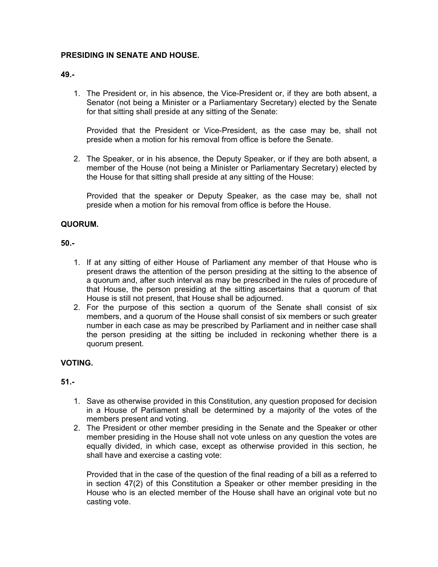# **PRESIDING IN SENATE AND HOUSE.**

### **49.-**

1. The President or, in his absence, the Vice-President or, if they are both absent, a Senator (not being a Minister or a Parliamentary Secretary) elected by the Senate for that sitting shall preside at any sitting of the Senate:

Provided that the President or Vice-President, as the case may be, shall not preside when a motion for his removal from office is before the Senate.

2. The Speaker, or in his absence, the Deputy Speaker, or if they are both absent, a member of the House (not being a Minister or Parliamentary Secretary) elected by the House for that sitting shall preside at any sitting of the House:

Provided that the speaker or Deputy Speaker, as the case may be, shall not preside when a motion for his removal from office is before the House.

### **QUORUM.**

#### **50.-**

- 1. If at any sitting of either House of Parliament any member of that House who is present draws the attention of the person presiding at the sitting to the absence of a quorum and, after such interval as may be prescribed in the rules of procedure of that House, the person presiding at the sitting ascertains that a quorum of that House is still not present, that House shall be adjourned.
- 2. For the purpose of this section a quorum of the Senate shall consist of six members, and a quorum of the House shall consist of six members or such greater number in each case as may be prescribed by Parliament and in neither case shall the person presiding at the sitting be included in reckoning whether there is a quorum present.

### **VOTING.**

### **51.-**

- 1. Save as otherwise provided in this Constitution, any question proposed for decision in a House of Parliament shall be determined by a majority of the votes of the members present and voting.
- 2. The President or other member presiding in the Senate and the Speaker or other member presiding in the House shall not vote unless on any question the votes are equally divided, in which case, except as otherwise provided in this section, he shall have and exercise a casting vote:

Provided that in the case of the question of the final reading of a bill as a referred to in section 47(2) of this Constitution a Speaker or other member presiding in the House who is an elected member of the House shall have an original vote but no casting vote.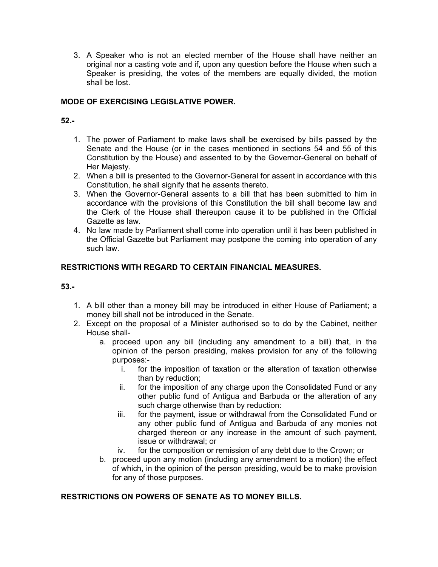3. A Speaker who is not an elected member of the House shall have neither an original nor a casting vote and if, upon any question before the House when such a Speaker is presiding, the votes of the members are equally divided, the motion shall be lost.

# **MODE OF EXERCISING LEGISLATIVE POWER.**

## **52.-**

- 1. The power of Parliament to make laws shall be exercised by bills passed by the Senate and the House (or in the cases mentioned in sections 54 and 55 of this Constitution by the House) and assented to by the Governor-General on behalf of Her Majesty.
- 2. When a bill is presented to the Governor-General for assent in accordance with this Constitution, he shall signify that he assents thereto.
- 3. When the Governor-General assents to a bill that has been submitted to him in accordance with the provisions of this Constitution the bill shall become law and the Clerk of the House shall thereupon cause it to be published in the Official Gazette as law.
- 4. No law made by Parliament shall come into operation until it has been published in the Official Gazette but Parliament may postpone the coming into operation of any such law.

# **RESTRICTIONS WITH REGARD TO CERTAIN FINANCIAL MEASURES.**

### **53.-**

- 1. A bill other than a money bill may be introduced in either House of Parliament; a money bill shall not be introduced in the Senate.
- 2. Except on the proposal of a Minister authorised so to do by the Cabinet, neither House shall
	- a. proceed upon any bill (including any amendment to a bill) that, in the opinion of the person presiding, makes provision for any of the following purposes:
		- i. for the imposition of taxation or the alteration of taxation otherwise than by reduction;
		- ii. for the imposition of any charge upon the Consolidated Fund or any other public fund of Antigua and Barbuda or the alteration of any such charge otherwise than by reduction:
		- iii. for the payment, issue or withdrawal from the Consolidated Fund or any other public fund of Antigua and Barbuda of any monies not charged thereon or any increase in the amount of such payment, issue or withdrawal; or
		- iv. for the composition or remission of any debt due to the Crown; or
	- b. proceed upon any motion (including any amendment to a motion) the effect of which, in the opinion of the person presiding, would be to make provision for any of those purposes.

## **RESTRICTIONS ON POWERS OF SENATE AS TO MONEY BILLS.**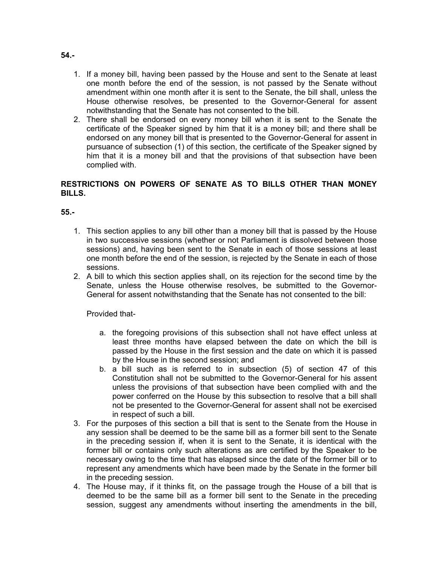- 1. If a money bill, having been passed by the House and sent to the Senate at least one month before the end of the session, is not passed by the Senate without amendment within one month after it is sent to the Senate, the bill shall, unless the House otherwise resolves, be presented to the Governor-General for assent notwithstanding that the Senate has not consented to the bill.
- 2. There shall be endorsed on every money bill when it is sent to the Senate the certificate of the Speaker signed by him that it is a money bill; and there shall be endorsed on any money bill that is presented to the Governor-General for assent in pursuance of subsection (1) of this section, the certificate of the Speaker signed by him that it is a money bill and that the provisions of that subsection have been complied with.

# **RESTRICTIONS ON POWERS OF SENATE AS TO BILLS OTHER THAN MONEY BILLS.**

**55.-** 

- 1. This section applies to any bill other than a money bill that is passed by the House in two successive sessions (whether or not Parliament is dissolved between those sessions) and, having been sent to the Senate in each of those sessions at least one month before the end of the session, is rejected by the Senate in each of those sessions.
- 2. A bill to which this section applies shall, on its rejection for the second time by the Senate, unless the House otherwise resolves, be submitted to the Governor-General for assent notwithstanding that the Senate has not consented to the bill:

Provided that-

- a. the foregoing provisions of this subsection shall not have effect unless at least three months have elapsed between the date on which the bill is passed by the House in the first session and the date on which it is passed by the House in the second session; and
- b. a bill such as is referred to in subsection (5) of section 47 of this Constitution shall not be submitted to the Governor-General for his assent unless the provisions of that subsection have been complied with and the power conferred on the House by this subsection to resolve that a bill shall not be presented to the Governor-General for assent shall not be exercised in respect of such a bill.
- 3. For the purposes of this section a bill that is sent to the Senate from the House in any session shall be deemed to be the same bill as a former bill sent to the Senate in the preceding session if, when it is sent to the Senate, it is identical with the former bill or contains only such alterations as are certified by the Speaker to be necessary owing to the time that has elapsed since the date of the former bill or to represent any amendments which have been made by the Senate in the former bill in the preceding session.
- 4. The House may, if it thinks fit, on the passage trough the House of a bill that is deemed to be the same bill as a former bill sent to the Senate in the preceding session, suggest any amendments without inserting the amendments in the bill,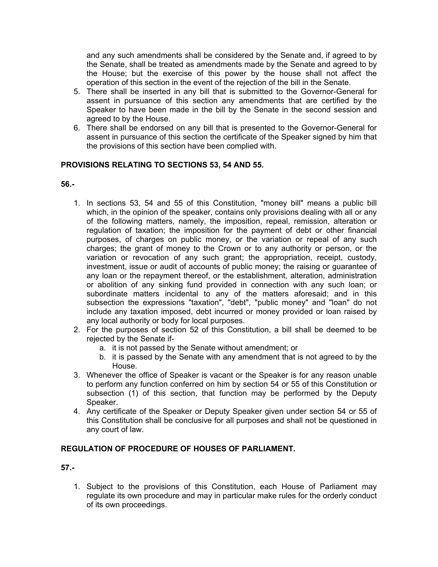and any such amendments shall be considered by the Senate and, if agreed to by the Senate, shall be treated as amendments made by the Senate and agreed to by the House; but the exercise of this power by the house shall not affect the operation of this section in the event of the rejection of the bill in the Senate.

- 5. There shall be inserted in any bill that is submitted to the Governor-General for assent in pursuance of this section any amendments that are certified by the Speaker to have been made in the bill by the Senate in the second session and agreed to by the House.
- 6. There shall be endorsed on any bill that is presented to the Governor-General for assent in pursuance of this section the certificate of the Speaker signed by him that the provisions of this section have been complied with.

# **PROVISIONS RELATING TO SECTIONS 53, 54 AND 55.**

### **56.-**

- 1. In sections 53, 54 and 55 of this Constitution, "money bill" means a public bill which, in the opinion of the speaker, contains only provisions dealing with all or any of the following matters, namely, the imposition, repeal, remission, alteration or regulation of taxation; the imposition for the payment of debt or other financial purposes, of charges on public money, or the variation or repeal of any such charges; the grant of money to the Crown or to any authority or person, or the variation or revocation of any such grant; the appropriation, receipt, custody, investment, issue or audit of accounts of public money; the raising or guarantee of any loan or the repayment thereof, or the establishment, alteration, administration or abolition of any sinking fund provided in connection with any such loan; or subordinate matters incidental to any of the matters aforesaid; and in this subsection the expressions "taxation", "debt", "public money" and "loan" do not include any taxation imposed, debt incurred or money provided or loan raised by any local authority or body for local purposes.
- 2. For the purposes of section 52 of this Constitution, a bill shall be deemed to be rejected by the Senate if
	- a. it is not passed by the Senate without amendment; or
	- b. it is passed by the Senate with any amendment that is not agreed to by the House.
- 3. Whenever the office of Speaker is vacant or the Speaker is for any reason unable to perform any function conferred on him by section 54 or 55 of this Constitution or subsection (1) of this section, that function may be performed by the Deputy Speaker.
- 4. Any certificate of the Speaker or Deputy Speaker given under section 54 or 55 of this Constitution shall be conclusive for all purposes and shall not be questioned in any court of law.

# **REGULATION OF PROCEDURE OF HOUSES OF PARLIAMENT.**

### **57.-**

1. Subject to the provisions of this Constitution, each House of Parliament may regulate its own procedure and may in particular make rules for the orderly conduct of its own proceedings.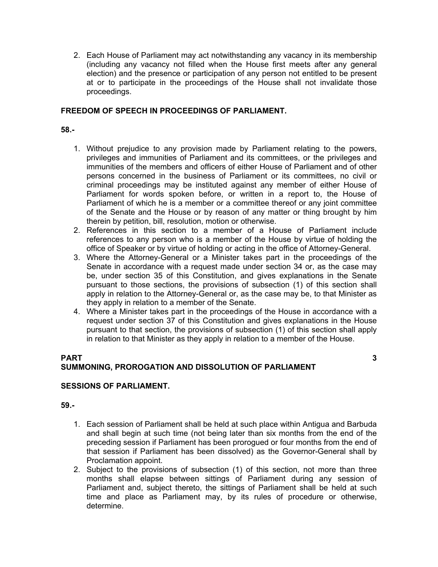2. Each House of Parliament may act notwithstanding any vacancy in its membership (including any vacancy not filled when the House first meets after any general election) and the presence or participation of any person not entitled to be present at or to participate in the proceedings of the House shall not invalidate those proceedings.

### **FREEDOM OF SPEECH IN PROCEEDINGS OF PARLIAMENT.**

### **58.-**

- 1. Without prejudice to any provision made by Parliament relating to the powers, privileges and immunities of Parliament and its committees, or the privileges and immunities of the members and officers of either House of Parliament and of other persons concerned in the business of Parliament or its committees, no civil or criminal proceedings may be instituted against any member of either House of Parliament for words spoken before, or written in a report to, the House of Parliament of which he is a member or a committee thereof or any joint committee of the Senate and the House or by reason of any matter or thing brought by him therein by petition, bill, resolution, motion or otherwise.
- 2. References in this section to a member of a House of Parliament include references to any person who is a member of the House by virtue of holding the office of Speaker or by virtue of holding or acting in the office of Attorney-General.
- 3. Where the Attorney-General or a Minister takes part in the proceedings of the Senate in accordance with a request made under section 34 or, as the case may be, under section 35 of this Constitution, and gives explanations in the Senate pursuant to those sections, the provisions of subsection (1) of this section shall apply in relation to the Attorney-General or, as the case may be, to that Minister as they apply in relation to a member of the Senate.
- 4. Where a Minister takes part in the proceedings of the House in accordance with a request under section 37 of this Constitution and gives explanations in the House pursuant to that section, the provisions of subsection (1) of this section shall apply in relation to that Minister as they apply in relation to a member of the House.

### **PART 3 SUMMONING, PROROGATION AND DISSOLUTION OF PARLIAMENT**

### **SESSIONS OF PARLIAMENT.**

- 1. Each session of Parliament shall be held at such place within Antigua and Barbuda and shall begin at such time (not being later than six months from the end of the preceding session if Parliament has been prorogued or four months from the end of that session if Parliament has been dissolved) as the Governor-General shall by Proclamation appoint.
- 2. Subject to the provisions of subsection (1) of this section, not more than three months shall elapse between sittings of Parliament during any session of Parliament and, subject thereto, the sittings of Parliament shall be held at such time and place as Parliament may, by its rules of procedure or otherwise, determine.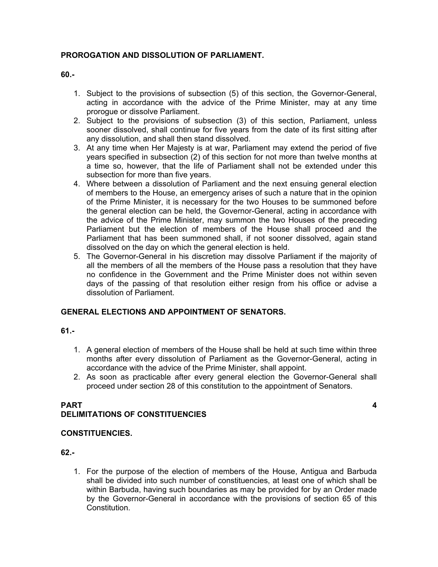# **PROROGATION AND DISSOLUTION OF PARLIAMENT.**

### **60.-**

- 1. Subject to the provisions of subsection (5) of this section, the Governor-General, acting in accordance with the advice of the Prime Minister, may at any time prorogue or dissolve Parliament.
- 2. Subject to the provisions of subsection (3) of this section, Parliament, unless sooner dissolved, shall continue for five years from the date of its first sitting after any dissolution, and shall then stand dissolved.
- 3. At any time when Her Majesty is at war, Parliament may extend the period of five years specified in subsection (2) of this section for not more than twelve months at a time so, however, that the life of Parliament shall not be extended under this subsection for more than five years.
- 4. Where between a dissolution of Parliament and the next ensuing general election of members to the House, an emergency arises of such a nature that in the opinion of the Prime Minister, it is necessary for the two Houses to be summoned before the general election can be held, the Governor-General, acting in accordance with the advice of the Prime Minister, may summon the two Houses of the preceding Parliament but the election of members of the House shall proceed and the Parliament that has been summoned shall, if not sooner dissolved, again stand dissolved on the day on which the general election is held.
- 5. The Governor-General in his discretion may dissolve Parliament if the majority of all the members of all the members of the House pass a resolution that they have no confidence in the Government and the Prime Minister does not within seven days of the passing of that resolution either resign from his office or advise a dissolution of Parliament.

# **GENERAL ELECTIONS AND APPOINTMENT OF SENATORS.**

### **61.-**

- 1. A general election of members of the House shall be held at such time within three months after every dissolution of Parliament as the Governor-General, acting in accordance with the advice of the Prime Minister, shall appoint.
- 2. As soon as practicable after every general election the Governor-General shall proceed under section 28 of this constitution to the appointment of Senators.

### **PART 4 DELIMITATIONS OF CONSTITUENCIES**

### **CONSTITUENCIES.**

### **62.-**

1. For the purpose of the election of members of the House, Antigua and Barbuda shall be divided into such number of constituencies, at least one of which shall be within Barbuda, having such boundaries as may be provided for by an Order made by the Governor-General in accordance with the provisions of section 65 of this Constitution.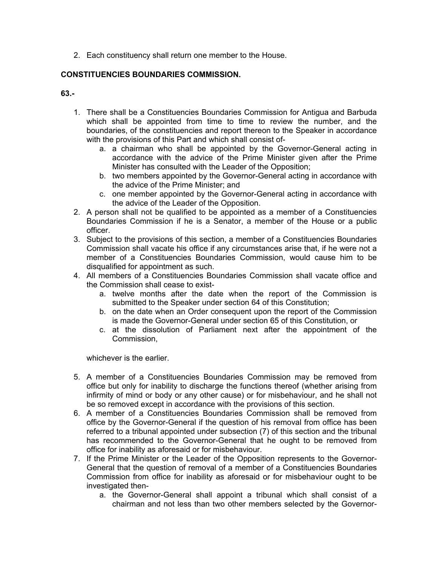2. Each constituency shall return one member to the House.

# **CONSTITUENCIES BOUNDARIES COMMISSION.**

# **63.-**

- 1. There shall be a Constituencies Boundaries Commission for Antigua and Barbuda which shall be appointed from time to time to review the number, and the boundaries, of the constituencies and report thereon to the Speaker in accordance with the provisions of this Part and which shall consist of
	- a. a chairman who shall be appointed by the Governor-General acting in accordance with the advice of the Prime Minister given after the Prime Minister has consulted with the Leader of the Opposition;
	- b. two members appointed by the Governor-General acting in accordance with the advice of the Prime Minister; and
	- c. one member appointed by the Governor-General acting in accordance with the advice of the Leader of the Opposition.
- 2. A person shall not be qualified to be appointed as a member of a Constituencies Boundaries Commission if he is a Senator, a member of the House or a public officer.
- 3. Subject to the provisions of this section, a member of a Constituencies Boundaries Commission shall vacate his office if any circumstances arise that, if he were not a member of a Constituencies Boundaries Commission, would cause him to be disqualified for appointment as such.
- 4. All members of a Constituencies Boundaries Commission shall vacate office and the Commission shall cease to exist
	- a. twelve months after the date when the report of the Commission is submitted to the Speaker under section 64 of this Constitution;
	- b. on the date when an Order consequent upon the report of the Commission is made the Governor-General under section 65 of this Constitution, or
	- c. at the dissolution of Parliament next after the appointment of the Commission,

whichever is the earlier.

- 5. A member of a Constituencies Boundaries Commission may be removed from office but only for inability to discharge the functions thereof (whether arising from infirmity of mind or body or any other cause) or for misbehaviour, and he shall not be so removed except in accordance with the provisions of this section.
- 6. A member of a Constituencies Boundaries Commission shall be removed from office by the Governor-General if the question of his removal from office has been referred to a tribunal appointed under subsection (7) of this section and the tribunal has recommended to the Governor-General that he ought to be removed from office for inability as aforesaid or for misbehaviour.
- 7. If the Prime Minister or the Leader of the Opposition represents to the Governor-General that the question of removal of a member of a Constituencies Boundaries Commission from office for inability as aforesaid or for misbehaviour ought to be investigated then
	- a. the Governor-General shall appoint a tribunal which shall consist of a chairman and not less than two other members selected by the Governor-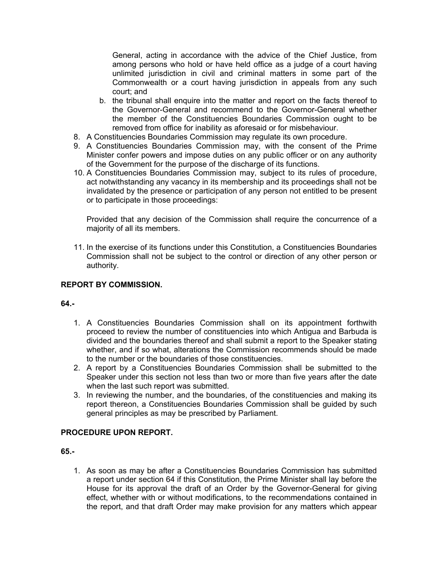General, acting in accordance with the advice of the Chief Justice, from among persons who hold or have held office as a judge of a court having unlimited jurisdiction in civil and criminal matters in some part of the Commonwealth or a court having jurisdiction in appeals from any such court; and

- b. the tribunal shall enquire into the matter and report on the facts thereof to the Governor-General and recommend to the Governor-General whether the member of the Constituencies Boundaries Commission ought to be removed from office for inability as aforesaid or for misbehaviour.
- 8. A Constituencies Boundaries Commission may regulate its own procedure.
- 9. A Constituencies Boundaries Commission may, with the consent of the Prime Minister confer powers and impose duties on any public officer or on any authority of the Government for the purpose of the discharge of its functions.
- 10. A Constituencies Boundaries Commission may, subject to its rules of procedure, act notwithstanding any vacancy in its membership and its proceedings shall not be invalidated by the presence or participation of any person not entitled to be present or to participate in those proceedings:

Provided that any decision of the Commission shall require the concurrence of a majority of all its members.

11. In the exercise of its functions under this Constitution, a Constituencies Boundaries Commission shall not be subject to the control or direction of any other person or authority.

### **REPORT BY COMMISSION.**

### **64.-**

- 1. A Constituencies Boundaries Commission shall on its appointment forthwith proceed to review the number of constituencies into which Antigua and Barbuda is divided and the boundaries thereof and shall submit a report to the Speaker stating whether, and if so what, alterations the Commission recommends should be made to the number or the boundaries of those constituencies.
- 2. A report by a Constituencies Boundaries Commission shall be submitted to the Speaker under this section not less than two or more than five years after the date when the last such report was submitted.
- 3. In reviewing the number, and the boundaries, of the constituencies and making its report thereon, a Constituencies Boundaries Commission shall be guided by such general principles as may be prescribed by Parliament.

### **PROCEDURE UPON REPORT.**

### **65.-**

1. As soon as may be after a Constituencies Boundaries Commission has submitted a report under section 64 if this Constitution, the Prime Minister shall lay before the House for its approval the draft of an Order by the Governor-General for giving effect, whether with or without modifications, to the recommendations contained in the report, and that draft Order may make provision for any matters which appear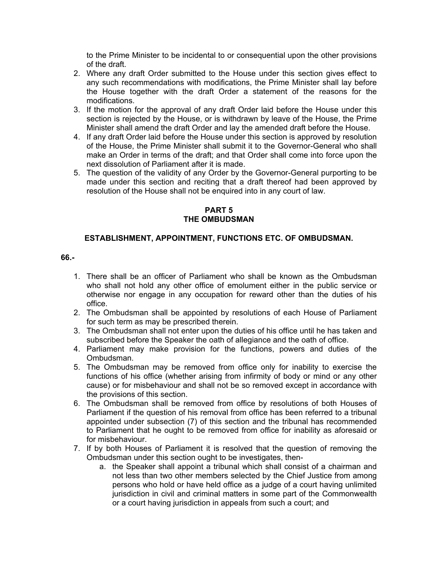to the Prime Minister to be incidental to or consequential upon the other provisions of the draft.

- 2. Where any draft Order submitted to the House under this section gives effect to any such recommendations with modifications, the Prime Minister shall lay before the House together with the draft Order a statement of the reasons for the modifications.
- 3. If the motion for the approval of any draft Order laid before the House under this section is rejected by the House, or is withdrawn by leave of the House, the Prime Minister shall amend the draft Order and lay the amended draft before the House.
- 4. If any draft Order laid before the House under this section is approved by resolution of the House, the Prime Minister shall submit it to the Governor-General who shall make an Order in terms of the draft; and that Order shall come into force upon the next dissolution of Parliament after it is made.
- 5. The question of the validity of any Order by the Governor-General purporting to be made under this section and reciting that a draft thereof had been approved by resolution of the House shall not be enquired into in any court of law.

### **PART 5 THE OMBUDSMAN**

# **ESTABLISHMENT, APPOINTMENT, FUNCTIONS ETC. OF OMBUDSMAN.**

- 1. There shall be an officer of Parliament who shall be known as the Ombudsman who shall not hold any other office of emolument either in the public service or otherwise nor engage in any occupation for reward other than the duties of his office.
- 2. The Ombudsman shall be appointed by resolutions of each House of Parliament for such term as may be prescribed therein.
- 3. The Ombudsman shall not enter upon the duties of his office until he has taken and subscribed before the Speaker the oath of allegiance and the oath of office.
- 4. Parliament may make provision for the functions, powers and duties of the Ombudsman.
- 5. The Ombudsman may be removed from office only for inability to exercise the functions of his office (whether arising from infirmity of body or mind or any other cause) or for misbehaviour and shall not be so removed except in accordance with the provisions of this section.
- 6. The Ombudsman shall be removed from office by resolutions of both Houses of Parliament if the question of his removal from office has been referred to a tribunal appointed under subsection (7) of this section and the tribunal has recommended to Parliament that he ought to be removed from office for inability as aforesaid or for misbehaviour.
- 7. If by both Houses of Parliament it is resolved that the question of removing the Ombudsman under this section ought to be investigates, then
	- a. the Speaker shall appoint a tribunal which shall consist of a chairman and not less than two other members selected by the Chief Justice from among persons who hold or have held office as a judge of a court having unlimited jurisdiction in civil and criminal matters in some part of the Commonwealth or a court having jurisdiction in appeals from such a court; and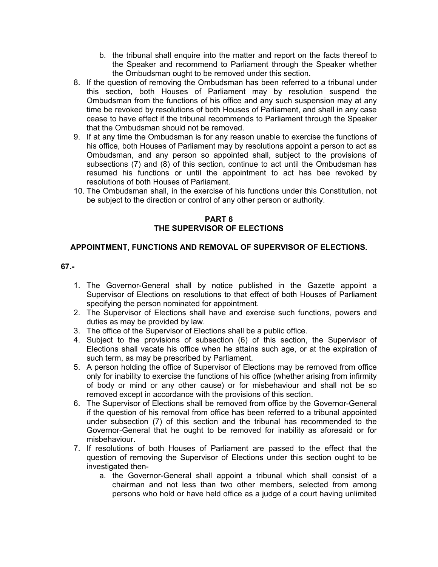- b. the tribunal shall enquire into the matter and report on the facts thereof to the Speaker and recommend to Parliament through the Speaker whether the Ombudsman ought to be removed under this section.
- 8. If the question of removing the Ombudsman has been referred to a tribunal under this section, both Houses of Parliament may by resolution suspend the Ombudsman from the functions of his office and any such suspension may at any time be revoked by resolutions of both Houses of Parliament, and shall in any case cease to have effect if the tribunal recommends to Parliament through the Speaker that the Ombudsman should not be removed.
- 9. If at any time the Ombudsman is for any reason unable to exercise the functions of his office, both Houses of Parliament may by resolutions appoint a person to act as Ombudsman, and any person so appointed shall, subject to the provisions of subsections (7) and (8) of this section, continue to act until the Ombudsman has resumed his functions or until the appointment to act has bee revoked by resolutions of both Houses of Parliament.
- 10. The Ombudsman shall, in the exercise of his functions under this Constitution, not be subject to the direction or control of any other person or authority.

### **PART 6 THE SUPERVISOR OF ELECTIONS**

# **APPOINTMENT, FUNCTIONS AND REMOVAL OF SUPERVISOR OF ELECTIONS.**

- 1. The Governor-General shall by notice published in the Gazette appoint a Supervisor of Elections on resolutions to that effect of both Houses of Parliament specifying the person nominated for appointment.
- 2. The Supervisor of Elections shall have and exercise such functions, powers and duties as may be provided by law.
- 3. The office of the Supervisor of Elections shall be a public office.
- 4. Subject to the provisions of subsection (6) of this section, the Supervisor of Elections shall vacate his office when he attains such age, or at the expiration of such term, as may be prescribed by Parliament.
- 5. A person holding the office of Supervisor of Elections may be removed from office only for inability to exercise the functions of his office (whether arising from infirmity of body or mind or any other cause) or for misbehaviour and shall not be so removed except in accordance with the provisions of this section.
- 6. The Supervisor of Elections shall be removed from office by the Governor-General if the question of his removal from office has been referred to a tribunal appointed under subsection (7) of this section and the tribunal has recommended to the Governor-General that he ought to be removed for inability as aforesaid or for misbehaviour.
- 7. If resolutions of both Houses of Parliament are passed to the effect that the question of removing the Supervisor of Elections under this section ought to be investigated then
	- a. the Governor-General shall appoint a tribunal which shall consist of a chairman and not less than two other members, selected from among persons who hold or have held office as a judge of a court having unlimited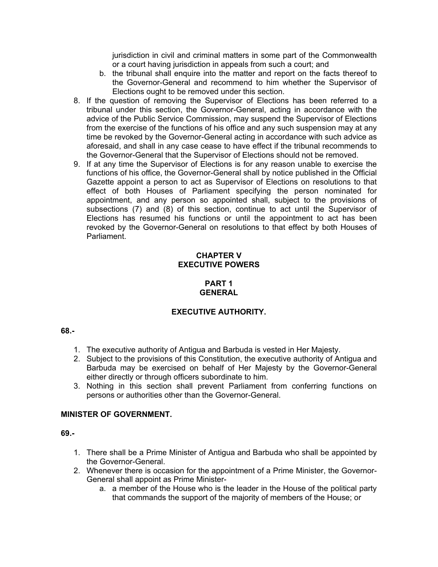jurisdiction in civil and criminal matters in some part of the Commonwealth or a court having jurisdiction in appeals from such a court; and

- b. the tribunal shall enquire into the matter and report on the facts thereof to the Governor-General and recommend to him whether the Supervisor of Elections ought to be removed under this section.
- 8. If the question of removing the Supervisor of Elections has been referred to a tribunal under this section, the Governor-General, acting in accordance with the advice of the Public Service Commission, may suspend the Supervisor of Elections from the exercise of the functions of his office and any such suspension may at any time be revoked by the Governor-General acting in accordance with such advice as aforesaid, and shall in any case cease to have effect if the tribunal recommends to the Governor-General that the Supervisor of Elections should not be removed.
- 9. If at any time the Supervisor of Elections is for any reason unable to exercise the functions of his office, the Governor-General shall by notice published in the Official Gazette appoint a person to act as Supervisor of Elections on resolutions to that effect of both Houses of Parliament specifying the person nominated for appointment, and any person so appointed shall, subject to the provisions of subsections (7) and (8) of this section, continue to act until the Supervisor of Elections has resumed his functions or until the appointment to act has been revoked by the Governor-General on resolutions to that effect by both Houses of Parliament.

# **CHAPTER V EXECUTIVE POWERS**

#### **PART 1 GENERAL**

# **EXECUTIVE AUTHORITY.**

# **68.-**

- 1. The executive authority of Antigua and Barbuda is vested in Her Majesty.
- 2. Subject to the provisions of this Constitution, the executive authority of Antigua and Barbuda may be exercised on behalf of Her Majesty by the Governor-General either directly or through officers subordinate to him.
- 3. Nothing in this section shall prevent Parliament from conferring functions on persons or authorities other than the Governor-General.

### **MINISTER OF GOVERNMENT.**

- 1. There shall be a Prime Minister of Antigua and Barbuda who shall be appointed by the Governor-General.
- 2. Whenever there is occasion for the appointment of a Prime Minister, the Governor-General shall appoint as Prime Minister
	- a. a member of the House who is the leader in the House of the political party that commands the support of the majority of members of the House; or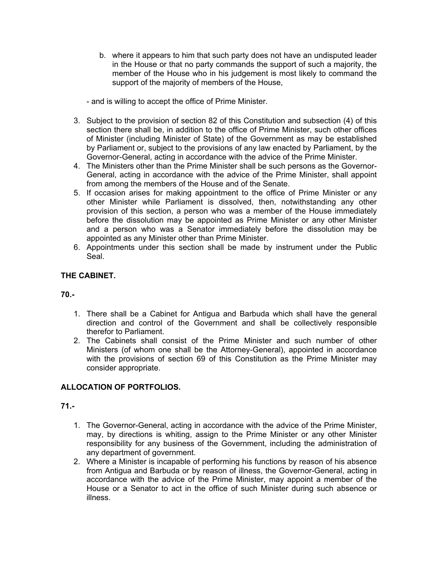- b. where it appears to him that such party does not have an undisputed leader in the House or that no party commands the support of such a majority, the member of the House who in his judgement is most likely to command the support of the majority of members of the House,
- and is willing to accept the office of Prime Minister.
- 3. Subject to the provision of section 82 of this Constitution and subsection (4) of this section there shall be, in addition to the office of Prime Minister, such other offices of Minister (including Minister of State) of the Government as may be established by Parliament or, subject to the provisions of any law enacted by Parliament, by the Governor-General, acting in accordance with the advice of the Prime Minister.
- 4. The Ministers other than the Prime Minister shall be such persons as the Governor-General, acting in accordance with the advice of the Prime Minister, shall appoint from among the members of the House and of the Senate.
- 5. If occasion arises for making appointment to the office of Prime Minister or any other Minister while Parliament is dissolved, then, notwithstanding any other provision of this section, a person who was a member of the House immediately before the dissolution may be appointed as Prime Minister or any other Minister and a person who was a Senator immediately before the dissolution may be appointed as any Minister other than Prime Minister.
- 6. Appointments under this section shall be made by instrument under the Public Seal.

# **THE CABINET.**

### **70.-**

- 1. There shall be a Cabinet for Antigua and Barbuda which shall have the general direction and control of the Government and shall be collectively responsible therefor to Parliament.
- 2. The Cabinets shall consist of the Prime Minister and such number of other Ministers (of whom one shall be the Attorney-General), appointed in accordance with the provisions of section 69 of this Constitution as the Prime Minister may consider appropriate.

# **ALLOCATION OF PORTFOLIOS.**

- 1. The Governor-General, acting in accordance with the advice of the Prime Minister, may, by directions is whiting, assign to the Prime Minister or any other Minister responsibility for any business of the Government, including the administration of any department of government.
- 2. Where a Minister is incapable of performing his functions by reason of his absence from Antigua and Barbuda or by reason of illness, the Governor-General, acting in accordance with the advice of the Prime Minister, may appoint a member of the House or a Senator to act in the office of such Minister during such absence or illness.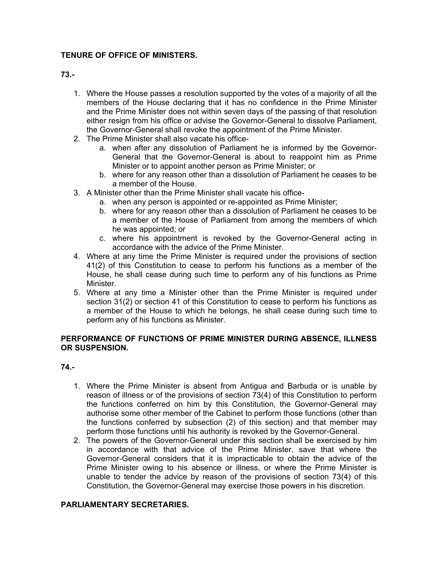# **TENURE OF OFFICE OF MINISTERS.**

## **73.-**

- 1. Where the House passes a resolution supported by the votes of a majority of all the members of the House declaring that it has no confidence in the Prime Minister and the Prime Minister does not within seven days of the passing of that resolution either resign from his office or advise the Governor-General to dissolve Parliament, the Governor-General shall revoke the appointment of the Prime Minister.
- 2. The Prime Minister shall also vacate his office
	- a. when after any dissolution of Parliament he is informed by the Governor-General that the Governor-General is about to reappoint him as Prime Minister or to appoint another person as Prime Minister; or
	- b. where for any reason other than a dissolution of Parliament he ceases to be a member of the House.
- 3. A Minister other than the Prime Minister shall vacate his office
	- a. when any person is appointed or re-appointed as Prime Minister;
	- b. where for any reason other than a dissolution of Parliament he ceases to be a member of the House of Parliament from among the members of which he was appointed; or
	- c. where his appointment is revoked by the Governor-General acting in accordance with the advice of the Prime Minister.
- 4. Where at any time the Prime Minister is required under the provisions of section 41(2) of this Constitution to cease to perform his functions as a member of the House, he shall cease during such time to perform any of his functions as Prime Minister.
- 5. Where at any time a Minister other than the Prime Minister is required under section 31(2) or section 41 of this Constitution to cease to perform his functions as a member of the House to which he belongs, he shall cease during such time to perform any of his functions as Minister.

### **PERFORMANCE OF FUNCTIONS OF PRIME MINISTER DURING ABSENCE, ILLNESS OR SUSPENSION.**

### **74.-**

- 1. Where the Prime Minister is absent from Antigua and Barbuda or is unable by reason of illness or of the provisions of section 73(4) of this Constitution to perform the functions conferred on him by this Constitution, the Governor-General may authorise some other member of the Cabinet to perform those functions (other than the functions conferred by subsection (2) of this section) and that member may perform those functions until his authority is revoked by the Governor-General.
- 2. The powers of the Governor-General under this section shall be exercised by him in accordance with that advice of the Prime Minister, save that where the Governor-General considers that it is impracticable to obtain the advice of the Prime Minister owing to his absence or illness, or where the Prime Minister is unable to tender the advice by reason of the provisions of section 73(4) of this Constitution, the Governor-General may exercise those powers in his discretion.

## **PARLIAMENTARY SECRETARIES.**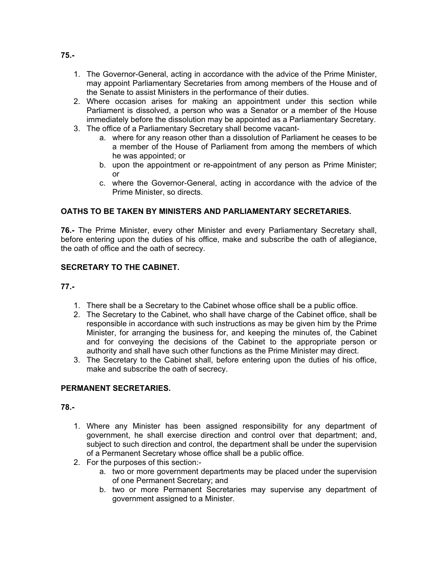- 1. The Governor-General, acting in accordance with the advice of the Prime Minister, may appoint Parliamentary Secretaries from among members of the House and of the Senate to assist Ministers in the performance of their duties.
- 2. Where occasion arises for making an appointment under this section while Parliament is dissolved, a person who was a Senator or a member of the House immediately before the dissolution may be appointed as a Parliamentary Secretary.
- 3. The office of a Parliamentary Secretary shall become vacant
	- a. where for any reason other than a dissolution of Parliament he ceases to be a member of the House of Parliament from among the members of which he was appointed; or
	- b. upon the appointment or re-appointment of any person as Prime Minister; or
	- c. where the Governor-General, acting in accordance with the advice of the Prime Minister, so directs.

# **OATHS TO BE TAKEN BY MINISTERS AND PARLIAMENTARY SECRETARIES.**

**76.-** The Prime Minister, every other Minister and every Parliamentary Secretary shall, before entering upon the duties of his office, make and subscribe the oath of allegiance, the oath of office and the oath of secrecy.

# **SECRETARY TO THE CABINET.**

## **77.-**

- 1. There shall be a Secretary to the Cabinet whose office shall be a public office.
- 2. The Secretary to the Cabinet, who shall have charge of the Cabinet office, shall be responsible in accordance with such instructions as may be given him by the Prime Minister, for arranging the business for, and keeping the minutes of, the Cabinet and for conveying the decisions of the Cabinet to the appropriate person or authority and shall have such other functions as the Prime Minister may direct.
- 3. The Secretary to the Cabinet shall, before entering upon the duties of his office, make and subscribe the oath of secrecy.

# **PERMANENT SECRETARIES.**

### **78.-**

- 1. Where any Minister has been assigned responsibility for any department of government, he shall exercise direction and control over that department; and, subject to such direction and control, the department shall be under the supervision of a Permanent Secretary whose office shall be a public office.
- 2. For the purposes of this section:
	- a. two or more government departments may be placed under the supervision of one Permanent Secretary; and
	- b. two or more Permanent Secretaries may supervise any department of government assigned to a Minister.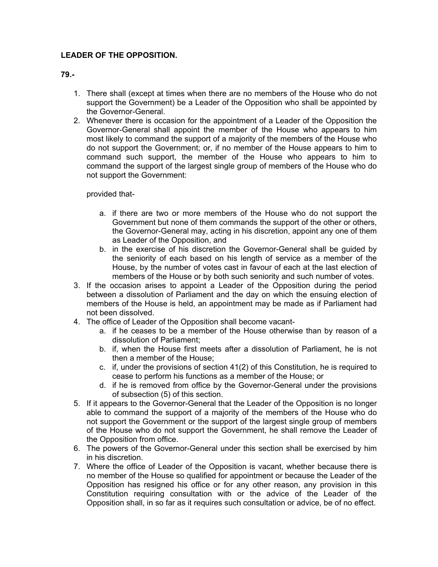# **LEADER OF THE OPPOSITION.**

### **79.-**

- 1. There shall (except at times when there are no members of the House who do not support the Government) be a Leader of the Opposition who shall be appointed by the Governor-General.
- 2. Whenever there is occasion for the appointment of a Leader of the Opposition the Governor-General shall appoint the member of the House who appears to him most likely to command the support of a majority of the members of the House who do not support the Government; or, if no member of the House appears to him to command such support, the member of the House who appears to him to command the support of the largest single group of members of the House who do not support the Government:

### provided that-

- a. if there are two or more members of the House who do not support the Government but none of them commands the support of the other or others, the Governor-General may, acting in his discretion, appoint any one of them as Leader of the Opposition, and
- b. in the exercise of his discretion the Governor-General shall be guided by the seniority of each based on his length of service as a member of the House, by the number of votes cast in favour of each at the last election of members of the House or by both such seniority and such number of votes.
- 3. If the occasion arises to appoint a Leader of the Opposition during the period between a dissolution of Parliament and the day on which the ensuing election of members of the House is held, an appointment may be made as if Parliament had not been dissolved.
- 4. The office of Leader of the Opposition shall become vacant
	- a. if he ceases to be a member of the House otherwise than by reason of a dissolution of Parliament;
	- b. if, when the House first meets after a dissolution of Parliament, he is not then a member of the House;
	- c. if, under the provisions of section 41(2) of this Constitution, he is required to cease to perform his functions as a member of the House; or
	- d. if he is removed from office by the Governor-General under the provisions of subsection (5) of this section.
- 5. If it appears to the Governor-General that the Leader of the Opposition is no longer able to command the support of a majority of the members of the House who do not support the Government or the support of the largest single group of members of the House who do not support the Government, he shall remove the Leader of the Opposition from office.
- 6. The powers of the Governor-General under this section shall be exercised by him in his discretion.
- 7. Where the office of Leader of the Opposition is vacant, whether because there is no member of the House so qualified for appointment or because the Leader of the Opposition has resigned his office or for any other reason, any provision in this Constitution requiring consultation with or the advice of the Leader of the Opposition shall, in so far as it requires such consultation or advice, be of no effect.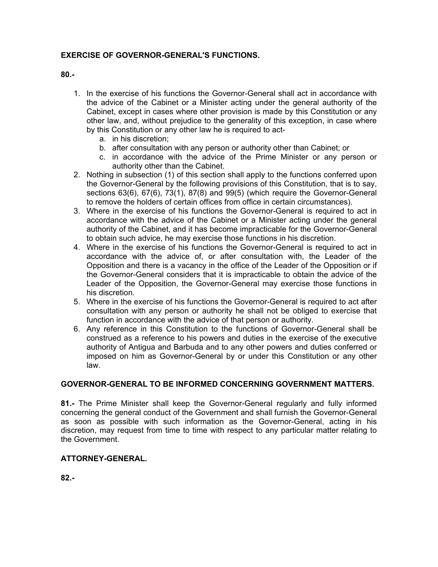# **EXERCISE OF GOVERNOR-GENERAL'S FUNCTIONS.**

### **80.-**

- 1. In the exercise of his functions the Governor-General shall act in accordance with the advice of the Cabinet or a Minister acting under the general authority of the Cabinet, except in cases where other provision is made by this Constitution or any other law, and, without prejudice to the generality of this exception, in case where by this Constitution or any other law he is required to act
	- a. in his discretion;
	- b. after consultation with any person or authority other than Cabinet; or
	- c. in accordance with the advice of the Prime Minister or any person or authority other than the Cabinet.
- 2. Nothing in subsection (1) of this section shall apply to the functions conferred upon the Governor-General by the following provisions of this Constitution, that is to say, sections 63(6), 67(6), 73(1), 87(8) and 99(5) (which require the Governor-General to remove the holders of certain offices from office in certain circumstances).
- 3. Where in the exercise of his functions the Governor-General is required to act in accordance with the advice of the Cabinet or a Minister acting under the general authority of the Cabinet, and it has become impracticable for the Governor-General to obtain such advice, he may exercise those functions in his discretion.
- 4. Where in the exercise of his functions the Governor-General is required to act in accordance with the advice of, or after consultation with, the Leader of the Opposition and there is a vacancy in the office of the Leader of the Opposition or if the Governor-General considers that it is impracticable to obtain the advice of the Leader of the Opposition, the Governor-General may exercise those functions in his discretion.
- 5. Where in the exercise of his functions the Governor-General is required to act after consultation with any person or authority he shall not be obliged to exercise that function in accordance with the advice of that person or authority.
- 6. Any reference in this Constitution to the functions of Governor-General shall be construed as a reference to his powers and duties in the exercise of the executive authority of Antigua and Barbuda and to any other powers and duties conferred or imposed on him as Governor-General by or under this Constitution or any other law.

### **GOVERNOR-GENERAL TO BE INFORMED CONCERNING GOVERNMENT MATTERS.**

**81.-** The Prime Minister shall keep the Governor-General regularly and fully informed concerning the general conduct of the Government and shall furnish the Governor-General as soon as possible with such information as the Governor-General, acting in his discretion, may request from time to time with respect to any particular matter relating to the Government.

## **ATTORNEY-GENERAL.**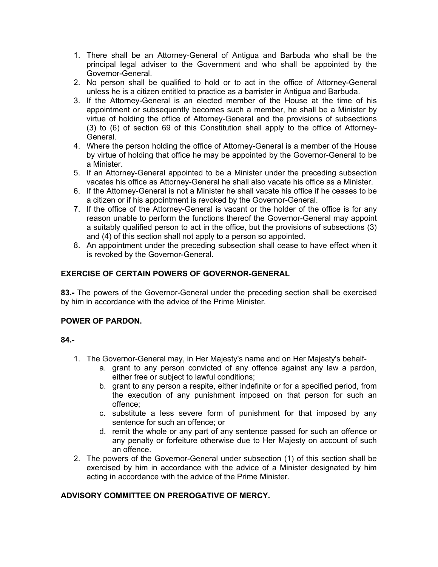- 1. There shall be an Attorney-General of Antigua and Barbuda who shall be the principal legal adviser to the Government and who shall be appointed by the Governor-General.
- 2. No person shall be qualified to hold or to act in the office of Attorney-General unless he is a citizen entitled to practice as a barrister in Antigua and Barbuda.
- 3. If the Attorney-General is an elected member of the House at the time of his appointment or subsequently becomes such a member, he shall be a Minister by virtue of holding the office of Attorney-General and the provisions of subsections (3) to (6) of section 69 of this Constitution shall apply to the office of Attorney-General.
- 4. Where the person holding the office of Attorney-General is a member of the House by virtue of holding that office he may be appointed by the Governor-General to be a Minister.
- 5. If an Attorney-General appointed to be a Minister under the preceding subsection vacates his office as Attorney-General he shall also vacate his office as a Minister.
- 6. If the Attorney-General is not a Minister he shall vacate his office if he ceases to be a citizen or if his appointment is revoked by the Governor-General.
- 7. If the office of the Attorney-General is vacant or the holder of the office is for any reason unable to perform the functions thereof the Governor-General may appoint a suitably qualified person to act in the office, but the provisions of subsections (3) and (4) of this section shall not apply to a person so appointed.
- 8. An appointment under the preceding subsection shall cease to have effect when it is revoked by the Governor-General.

# **EXERCISE OF CERTAIN POWERS OF GOVERNOR-GENERAL**

**83.-** The powers of the Governor-General under the preceding section shall be exercised by him in accordance with the advice of the Prime Minister.

### **POWER OF PARDON.**

#### **84.-**

- 1. The Governor-General may, in Her Majesty's name and on Her Majesty's behalf
	- a. grant to any person convicted of any offence against any law a pardon, either free or subject to lawful conditions;
	- b. grant to any person a respite, either indefinite or for a specified period, from the execution of any punishment imposed on that person for such an offence;
	- c. substitute a less severe form of punishment for that imposed by any sentence for such an offence; or
	- d. remit the whole or any part of any sentence passed for such an offence or any penalty or forfeiture otherwise due to Her Majesty on account of such an offence.
- 2. The powers of the Governor-General under subsection (1) of this section shall be exercised by him in accordance with the advice of a Minister designated by him acting in accordance with the advice of the Prime Minister.

## **ADVISORY COMMITTEE ON PREROGATIVE OF MERCY.**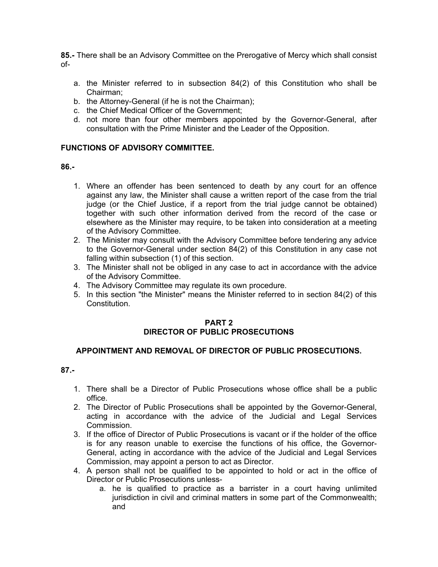**85.-** There shall be an Advisory Committee on the Prerogative of Mercy which shall consist of-

- a. the Minister referred to in subsection 84(2) of this Constitution who shall be Chairman;
- b. the Attorney-General (if he is not the Chairman);
- c. the Chief Medical Officer of the Government;
- d. not more than four other members appointed by the Governor-General, after consultation with the Prime Minister and the Leader of the Opposition.

# **FUNCTIONS OF ADVISORY COMMITTEE.**

### **86.-**

- 1. Where an offender has been sentenced to death by any court for an offence against any law, the Minister shall cause a written report of the case from the trial judge (or the Chief Justice, if a report from the trial judge cannot be obtained) together with such other information derived from the record of the case or elsewhere as the Minister may require, to be taken into consideration at a meeting of the Advisory Committee.
- 2. The Minister may consult with the Advisory Committee before tendering any advice to the Governor-General under section 84(2) of this Constitution in any case not falling within subsection (1) of this section.
- 3. The Minister shall not be obliged in any case to act in accordance with the advice of the Advisory Committee.
- 4. The Advisory Committee may regulate its own procedure.
- 5. In this section "the Minister" means the Minister referred to in section 84(2) of this Constitution.

#### **PART 2 DIRECTOR OF PUBLIC PROSECUTIONS**

### **APPOINTMENT AND REMOVAL OF DIRECTOR OF PUBLIC PROSECUTIONS.**

- 1. There shall be a Director of Public Prosecutions whose office shall be a public office.
- 2. The Director of Public Prosecutions shall be appointed by the Governor-General, acting in accordance with the advice of the Judicial and Legal Services Commission.
- 3. If the office of Director of Public Prosecutions is vacant or if the holder of the office is for any reason unable to exercise the functions of his office, the Governor-General, acting in accordance with the advice of the Judicial and Legal Services Commission, may appoint a person to act as Director.
- 4. A person shall not be qualified to be appointed to hold or act in the office of Director or Public Prosecutions unless
	- a. he is qualified to practice as a barrister in a court having unlimited jurisdiction in civil and criminal matters in some part of the Commonwealth; and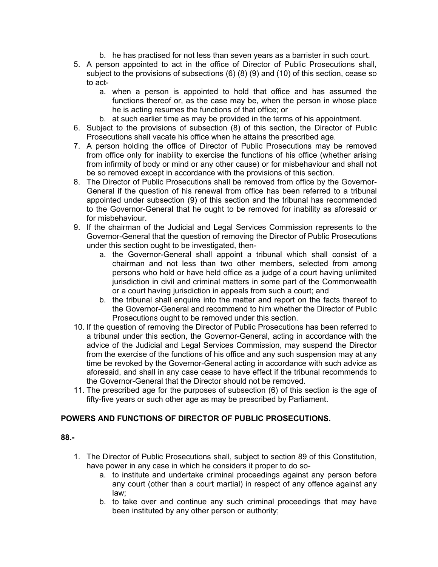- b. he has practised for not less than seven years as a barrister in such court.
- 5. A person appointed to act in the office of Director of Public Prosecutions shall, subject to the provisions of subsections (6) (8) (9) and (10) of this section, cease so to act
	- a. when a person is appointed to hold that office and has assumed the functions thereof or, as the case may be, when the person in whose place he is acting resumes the functions of that office; or
	- b. at such earlier time as may be provided in the terms of his appointment.
- 6. Subject to the provisions of subsection (8) of this section, the Director of Public Prosecutions shall vacate his office when he attains the prescribed age.
- 7. A person holding the office of Director of Public Prosecutions may be removed from office only for inability to exercise the functions of his office (whether arising from infirmity of body or mind or any other cause) or for misbehaviour and shall not be so removed except in accordance with the provisions of this section.
- 8. The Director of Public Prosecutions shall be removed from office by the Governor-General if the question of his renewal from office has been referred to a tribunal appointed under subsection (9) of this section and the tribunal has recommended to the Governor-General that he ought to be removed for inability as aforesaid or for misbehaviour.
- 9. If the chairman of the Judicial and Legal Services Commission represents to the Governor-General that the question of removing the Director of Public Prosecutions under this section ought to be investigated, then
	- a. the Governor-General shall appoint a tribunal which shall consist of a chairman and not less than two other members, selected from among persons who hold or have held office as a judge of a court having unlimited jurisdiction in civil and criminal matters in some part of the Commonwealth or a court having jurisdiction in appeals from such a court; and
	- b. the tribunal shall enquire into the matter and report on the facts thereof to the Governor-General and recommend to him whether the Director of Public Prosecutions ought to be removed under this section.
- 10. If the question of removing the Director of Public Prosecutions has been referred to a tribunal under this section, the Governor-General, acting in accordance with the advice of the Judicial and Legal Services Commission, may suspend the Director from the exercise of the functions of his office and any such suspension may at any time be revoked by the Governor-General acting in accordance with such advice as aforesaid, and shall in any case cease to have effect if the tribunal recommends to the Governor-General that the Director should not be removed.
- 11. The prescribed age for the purposes of subsection (6) of this section is the age of fifty-five years or such other age as may be prescribed by Parliament.

# **POWERS AND FUNCTIONS OF DIRECTOR OF PUBLIC PROSECUTIONS.**

- 1. The Director of Public Prosecutions shall, subject to section 89 of this Constitution, have power in any case in which he considers it proper to do so
	- a. to institute and undertake criminal proceedings against any person before any court (other than a court martial) in respect of any offence against any law;
	- b. to take over and continue any such criminal proceedings that may have been instituted by any other person or authority;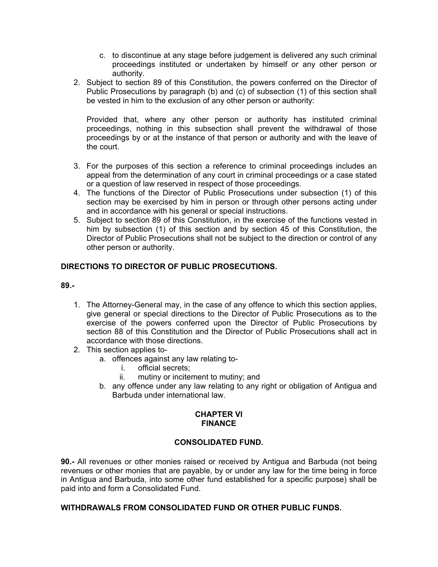- c. to discontinue at any stage before judgement is delivered any such criminal proceedings instituted or undertaken by himself or any other person or authority.
- 2. Subject to section 89 of this Constitution, the powers conferred on the Director of Public Prosecutions by paragraph (b) and (c) of subsection (1) of this section shall be vested in him to the exclusion of any other person or authority:

Provided that, where any other person or authority has instituted criminal proceedings, nothing in this subsection shall prevent the withdrawal of those proceedings by or at the instance of that person or authority and with the leave of the court.

- 3. For the purposes of this section a reference to criminal proceedings includes an appeal from the determination of any court in criminal proceedings or a case stated or a question of law reserved in respect of those proceedings.
- 4. The functions of the Director of Public Prosecutions under subsection (1) of this section may be exercised by him in person or through other persons acting under and in accordance with his general or special instructions.
- 5. Subject to section 89 of this Constitution, in the exercise of the functions vested in him by subsection (1) of this section and by section 45 of this Constitution, the Director of Public Prosecutions shall not be subject to the direction or control of any other person or authority.

# **DIRECTIONS TO DIRECTOR OF PUBLIC PROSECUTIONS.**

### **89.-**

- 1. The Attorney-General may, in the case of any offence to which this section applies, give general or special directions to the Director of Public Prosecutions as to the exercise of the powers conferred upon the Director of Public Prosecutions by section 88 of this Constitution and the Director of Public Prosecutions shall act in accordance with those directions.
- 2. This section applies to
	- a. offences against any law relating to
		- i. official secrets;
		- ii. mutiny or incitement to mutiny; and
	- b. any offence under any law relating to any right or obligation of Antigua and Barbuda under international law.

#### **CHAPTER VI FINANCE**

### **CONSOLIDATED FUND.**

**90.-** All revenues or other monies raised or received by Antigua and Barbuda (not being revenues or other monies that are payable, by or under any law for the time being in force in Antigua and Barbuda, into some other fund established for a specific purpose) shall be paid into and form a Consolidated Fund.

### **WITHDRAWALS FROM CONSOLIDATED FUND OR OTHER PUBLIC FUNDS.**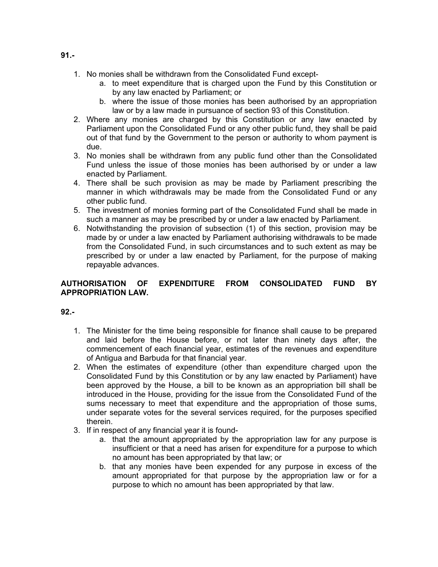- 1. No monies shall be withdrawn from the Consolidated Fund except
	- a. to meet expenditure that is charged upon the Fund by this Constitution or by any law enacted by Parliament; or
	- b. where the issue of those monies has been authorised by an appropriation law or by a law made in pursuance of section 93 of this Constitution.
- 2. Where any monies are charged by this Constitution or any law enacted by Parliament upon the Consolidated Fund or any other public fund, they shall be paid out of that fund by the Government to the person or authority to whom payment is due.
- 3. No monies shall be withdrawn from any public fund other than the Consolidated Fund unless the issue of those monies has been authorised by or under a law enacted by Parliament.
- 4. There shall be such provision as may be made by Parliament prescribing the manner in which withdrawals may be made from the Consolidated Fund or any other public fund.
- 5. The investment of monies forming part of the Consolidated Fund shall be made in such a manner as may be prescribed by or under a law enacted by Parliament.
- 6. Notwithstanding the provision of subsection (1) of this section, provision may be made by or under a law enacted by Parliament authorising withdrawals to be made from the Consolidated Fund, in such circumstances and to such extent as may be prescribed by or under a law enacted by Parliament, for the purpose of making repayable advances.

# **AUTHORISATION OF EXPENDITURE FROM CONSOLIDATED FUND BY APPROPRIATION LAW.**

### **92.-**

- 1. The Minister for the time being responsible for finance shall cause to be prepared and laid before the House before, or not later than ninety days after, the commencement of each financial year, estimates of the revenues and expenditure of Antigua and Barbuda for that financial year.
- 2. When the estimates of expenditure (other than expenditure charged upon the Consolidated Fund by this Constitution or by any law enacted by Parliament) have been approved by the House, a bill to be known as an appropriation bill shall be introduced in the House, providing for the issue from the Consolidated Fund of the sums necessary to meet that expenditure and the appropriation of those sums, under separate votes for the several services required, for the purposes specified therein.
- 3. If in respect of any financial year it is found
	- a. that the amount appropriated by the appropriation law for any purpose is insufficient or that a need has arisen for expenditure for a purpose to which no amount has been appropriated by that law; or
	- b. that any monies have been expended for any purpose in excess of the amount appropriated for that purpose by the appropriation law or for a purpose to which no amount has been appropriated by that law.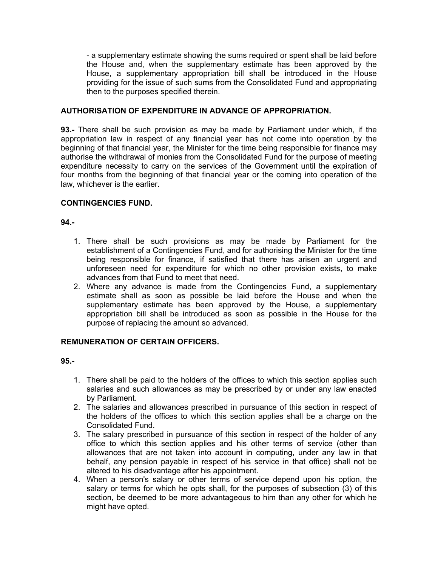- a supplementary estimate showing the sums required or spent shall be laid before the House and, when the supplementary estimate has been approved by the House, a supplementary appropriation bill shall be introduced in the House providing for the issue of such sums from the Consolidated Fund and appropriating then to the purposes specified therein.

## **AUTHORISATION OF EXPENDITURE IN ADVANCE OF APPROPRIATION.**

**93.-** There shall be such provision as may be made by Parliament under which, if the appropriation law in respect of any financial year has not come into operation by the beginning of that financial year, the Minister for the time being responsible for finance may authorise the withdrawal of monies from the Consolidated Fund for the purpose of meeting expenditure necessity to carry on the services of the Government until the expiration of four months from the beginning of that financial year or the coming into operation of the law, whichever is the earlier.

### **CONTINGENCIES FUND.**

### **94.-**

- 1. There shall be such provisions as may be made by Parliament for the establishment of a Contingencies Fund, and for authorising the Minister for the time being responsible for finance, if satisfied that there has arisen an urgent and unforeseen need for expenditure for which no other provision exists, to make advances from that Fund to meet that need.
- 2. Where any advance is made from the Contingencies Fund, a supplementary estimate shall as soon as possible be laid before the House and when the supplementary estimate has been approved by the House, a supplementary appropriation bill shall be introduced as soon as possible in the House for the purpose of replacing the amount so advanced.

### **REMUNERATION OF CERTAIN OFFICERS.**

- 1. There shall be paid to the holders of the offices to which this section applies such salaries and such allowances as may be prescribed by or under any law enacted by Parliament.
- 2. The salaries and allowances prescribed in pursuance of this section in respect of the holders of the offices to which this section applies shall be a charge on the Consolidated Fund.
- 3. The salary prescribed in pursuance of this section in respect of the holder of any office to which this section applies and his other terms of service (other than allowances that are not taken into account in computing, under any law in that behalf, any pension payable in respect of his service in that office) shall not be altered to his disadvantage after his appointment.
- 4. When a person's salary or other terms of service depend upon his option, the salary or terms for which he opts shall, for the purposes of subsection (3) of this section, be deemed to be more advantageous to him than any other for which he might have opted.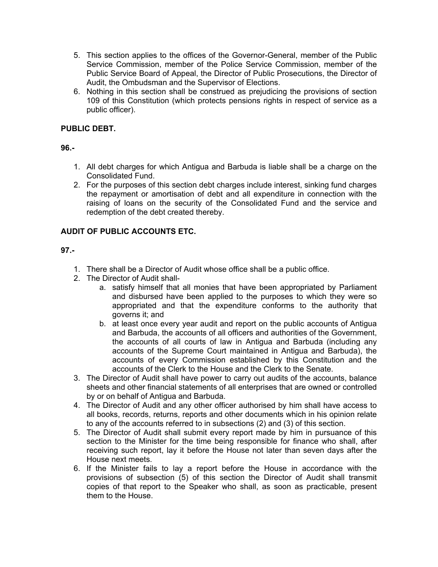- 5. This section applies to the offices of the Governor-General, member of the Public Service Commission, member of the Police Service Commission, member of the Public Service Board of Appeal, the Director of Public Prosecutions, the Director of Audit, the Ombudsman and the Supervisor of Elections.
- 6. Nothing in this section shall be construed as prejudicing the provisions of section 109 of this Constitution (which protects pensions rights in respect of service as a public officer).

## **PUBLIC DEBT.**

### **96.-**

- 1. All debt charges for which Antigua and Barbuda is liable shall be a charge on the Consolidated Fund.
- 2. For the purposes of this section debt charges include interest, sinking fund charges the repayment or amortisation of debt and all expenditure in connection with the raising of loans on the security of the Consolidated Fund and the service and redemption of the debt created thereby.

# **AUDIT OF PUBLIC ACCOUNTS ETC.**

- 1. There shall be a Director of Audit whose office shall be a public office.
- 2. The Director of Audit shall
	- a. satisfy himself that all monies that have been appropriated by Parliament and disbursed have been applied to the purposes to which they were so appropriated and that the expenditure conforms to the authority that governs it; and
	- b. at least once every year audit and report on the public accounts of Antigua and Barbuda, the accounts of all officers and authorities of the Government, the accounts of all courts of law in Antigua and Barbuda (including any accounts of the Supreme Court maintained in Antigua and Barbuda), the accounts of every Commission established by this Constitution and the accounts of the Clerk to the House and the Clerk to the Senate.
- 3. The Director of Audit shall have power to carry out audits of the accounts, balance sheets and other financial statements of all enterprises that are owned or controlled by or on behalf of Antigua and Barbuda.
- 4. The Director of Audit and any other officer authorised by him shall have access to all books, records, returns, reports and other documents which in his opinion relate to any of the accounts referred to in subsections (2) and (3) of this section.
- 5. The Director of Audit shall submit every report made by him in pursuance of this section to the Minister for the time being responsible for finance who shall, after receiving such report, lay it before the House not later than seven days after the House next meets.
- 6. If the Minister fails to lay a report before the House in accordance with the provisions of subsection (5) of this section the Director of Audit shall transmit copies of that report to the Speaker who shall, as soon as practicable, present them to the House.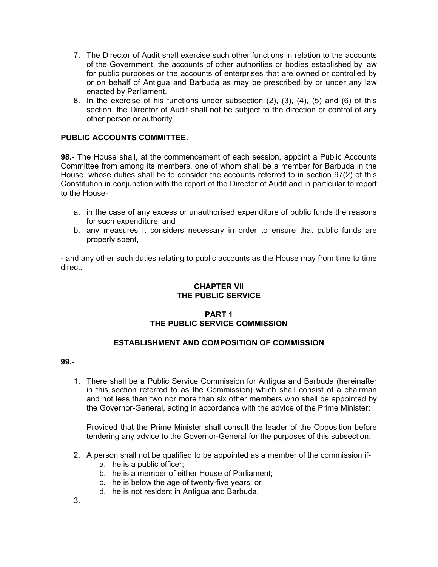- 7. The Director of Audit shall exercise such other functions in relation to the accounts of the Government, the accounts of other authorities or bodies established by law for public purposes or the accounts of enterprises that are owned or controlled by or on behalf of Antigua and Barbuda as may be prescribed by or under any law enacted by Parliament.
- 8. In the exercise of his functions under subsection (2), (3), (4), (5) and (6) of this section, the Director of Audit shall not be subject to the direction or control of any other person or authority.

## **PUBLIC ACCOUNTS COMMITTEE.**

**98.-** The House shall, at the commencement of each session, appoint a Public Accounts Committee from among its members, one of whom shall be a member for Barbuda in the House, whose duties shall be to consider the accounts referred to in section 97(2) of this Constitution in conjunction with the report of the Director of Audit and in particular to report to the House-

- a. in the case of any excess or unauthorised expenditure of public funds the reasons for such expenditure; and
- b. any measures it considers necessary in order to ensure that public funds are properly spent,

- and any other such duties relating to public accounts as the House may from time to time direct.

# **CHAPTER VII THE PUBLIC SERVICE**

### **PART 1 THE PUBLIC SERVICE COMMISSION**

#### **ESTABLISHMENT AND COMPOSITION OF COMMISSION**

#### **99.-**

1. There shall be a Public Service Commission for Antigua and Barbuda (hereinafter in this section referred to as the Commission) which shall consist of a chairman and not less than two nor more than six other members who shall be appointed by the Governor-General, acting in accordance with the advice of the Prime Minister:

Provided that the Prime Minister shall consult the leader of the Opposition before tendering any advice to the Governor-General for the purposes of this subsection.

- 2. A person shall not be qualified to be appointed as a member of the commission if
	- a. he is a public officer;
	- b. he is a member of either House of Parliament;
	- c. he is below the age of twenty-five years; or
	- d. he is not resident in Antigua and Barbuda.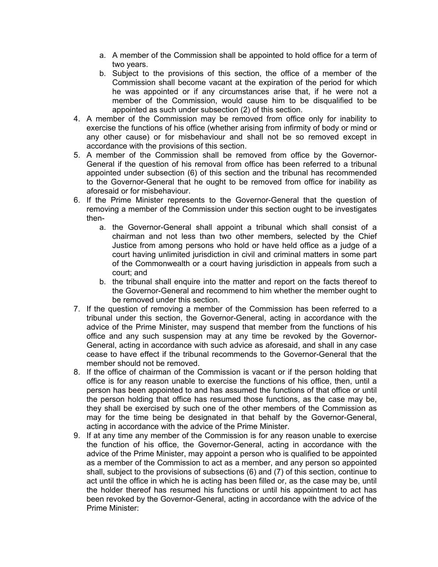- a. A member of the Commission shall be appointed to hold office for a term of two years.
- b. Subject to the provisions of this section, the office of a member of the Commission shall become vacant at the expiration of the period for which he was appointed or if any circumstances arise that, if he were not a member of the Commission, would cause him to be disqualified to be appointed as such under subsection (2) of this section.
- 4. A member of the Commission may be removed from office only for inability to exercise the functions of his office (whether arising from infirmity of body or mind or any other cause) or for misbehaviour and shall not be so removed except in accordance with the provisions of this section.
- 5. A member of the Commission shall be removed from office by the Governor-General if the question of his removal from office has been referred to a tribunal appointed under subsection (6) of this section and the tribunal has recommended to the Governor-General that he ought to be removed from office for inability as aforesaid or for misbehaviour.
- 6. If the Prime Minister represents to the Governor-General that the question of removing a member of the Commission under this section ought to be investigates then
	- a. the Governor-General shall appoint a tribunal which shall consist of a chairman and not less than two other members, selected by the Chief Justice from among persons who hold or have held office as a judge of a court having unlimited jurisdiction in civil and criminal matters in some part of the Commonwealth or a court having jurisdiction in appeals from such a court; and
	- b. the tribunal shall enquire into the matter and report on the facts thereof to the Governor-General and recommend to him whether the member ought to be removed under this section.
- 7. If the question of removing a member of the Commission has been referred to a tribunal under this section, the Governor-General, acting in accordance with the advice of the Prime Minister, may suspend that member from the functions of his office and any such suspension may at any time be revoked by the Governor-General, acting in accordance with such advice as aforesaid, and shall in any case cease to have effect if the tribunal recommends to the Governor-General that the member should not be removed.
- 8. If the office of chairman of the Commission is vacant or if the person holding that office is for any reason unable to exercise the functions of his office, then, until a person has been appointed to and has assumed the functions of that office or until the person holding that office has resumed those functions, as the case may be, they shall be exercised by such one of the other members of the Commission as may for the time being be designated in that behalf by the Governor-General, acting in accordance with the advice of the Prime Minister.
- 9. If at any time any member of the Commission is for any reason unable to exercise the function of his office, the Governor-General, acting in accordance with the advice of the Prime Minister, may appoint a person who is qualified to be appointed as a member of the Commission to act as a member, and any person so appointed shall, subject to the provisions of subsections (6) and (7) of this section, continue to act until the office in which he is acting has been filled or, as the case may be, until the holder thereof has resumed his functions or until his appointment to act has been revoked by the Governor-General, acting in accordance with the advice of the Prime Minister: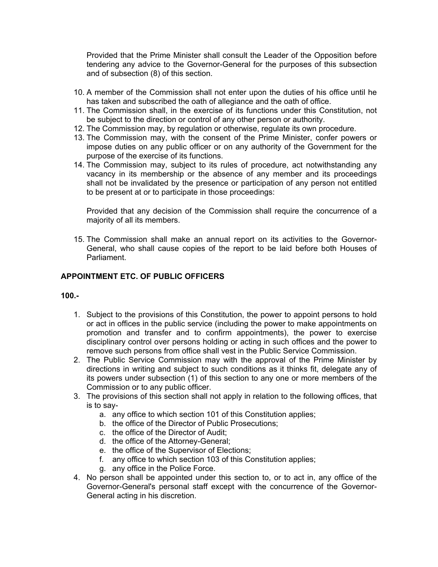Provided that the Prime Minister shall consult the Leader of the Opposition before tendering any advice to the Governor-General for the purposes of this subsection and of subsection (8) of this section.

- 10. A member of the Commission shall not enter upon the duties of his office until he has taken and subscribed the oath of allegiance and the oath of office.
- 11. The Commission shall, in the exercise of its functions under this Constitution, not be subject to the direction or control of any other person or authority.
- 12. The Commission may, by regulation or otherwise, regulate its own procedure.
- 13. The Commission may, with the consent of the Prime Minister, confer powers or impose duties on any public officer or on any authority of the Government for the purpose of the exercise of its functions.
- 14. The Commission may, subject to its rules of procedure, act notwithstanding any vacancy in its membership or the absence of any member and its proceedings shall not be invalidated by the presence or participation of any person not entitled to be present at or to participate in those proceedings:

Provided that any decision of the Commission shall require the concurrence of a majority of all its members.

15. The Commission shall make an annual report on its activities to the Governor-General, who shall cause copies of the report to be laid before both Houses of Parliament.

### **APPOINTMENT ETC. OF PUBLIC OFFICERS**

- 1. Subject to the provisions of this Constitution, the power to appoint persons to hold or act in offices in the public service (including the power to make appointments on promotion and transfer and to confirm appointments), the power to exercise disciplinary control over persons holding or acting in such offices and the power to remove such persons from office shall vest in the Public Service Commission.
- 2. The Public Service Commission may with the approval of the Prime Minister by directions in writing and subject to such conditions as it thinks fit, delegate any of its powers under subsection (1) of this section to any one or more members of the Commission or to any public officer.
- 3. The provisions of this section shall not apply in relation to the following offices, that is to say
	- a. any office to which section 101 of this Constitution applies;
	- b. the office of the Director of Public Prosecutions;
	- c. the office of the Director of Audit;
	- d. the office of the Attorney-General;
	- e. the office of the Supervisor of Elections;
	- f. any office to which section 103 of this Constitution applies;
	- g. any office in the Police Force.
- 4. No person shall be appointed under this section to, or to act in, any office of the Governor-General's personal staff except with the concurrence of the Governor-General acting in his discretion.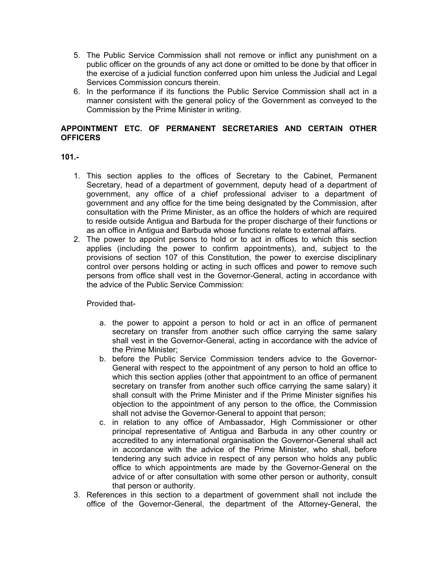- 5. The Public Service Commission shall not remove or inflict any punishment on a public officer on the grounds of any act done or omitted to be done by that officer in the exercise of a judicial function conferred upon him unless the Judicial and Legal Services Commission concurs therein.
- 6. In the performance if its functions the Public Service Commission shall act in a manner consistent with the general policy of the Government as conveyed to the Commission by the Prime Minister in writing.

### **APPOINTMENT ETC. OF PERMANENT SECRETARIES AND CERTAIN OTHER OFFICERS**

### **101.-**

- 1. This section applies to the offices of Secretary to the Cabinet, Permanent Secretary, head of a department of government, deputy head of a department of government, any office of a chief professional adviser to a department of government and any office for the time being designated by the Commission, after consultation with the Prime Minister, as an office the holders of which are required to reside outside Antigua and Barbuda for the proper discharge of their functions or as an office in Antigua and Barbuda whose functions relate to external affairs.
- 2. The power to appoint persons to hold or to act in offices to which this section applies (including the power to confirm appointments), and, subject to the provisions of section 107 of this Constitution, the power to exercise disciplinary control over persons holding or acting in such offices and power to remove such persons from office shall vest in the Governor-General, acting in accordance with the advice of the Public Service Commission:

Provided that-

- a. the power to appoint a person to hold or act in an office of permanent secretary on transfer from another such office carrying the same salary shall vest in the Governor-General, acting in accordance with the advice of the Prime Minister;
- b. before the Public Service Commission tenders advice to the Governor-General with respect to the appointment of any person to hold an office to which this section applies (other that appointment to an office of permanent secretary on transfer from another such office carrying the same salary) it shall consult with the Prime Minister and if the Prime Minister signifies his objection to the appointment of any person to the office, the Commission shall not advise the Governor-General to appoint that person;
- c. in relation to any office of Ambassador, High Commissioner or other principal representative of Antigua and Barbuda in any other country or accredited to any international organisation the Governor-General shall act in accordance with the advice of the Prime Minister, who shall, before tendering any such advice in respect of any person who holds any public office to which appointments are made by the Governor-General on the advice of or after consultation with some other person or authority, consult that person or authority.
- 3. References in this section to a department of government shall not include the office of the Governor-General, the department of the Attorney-General, the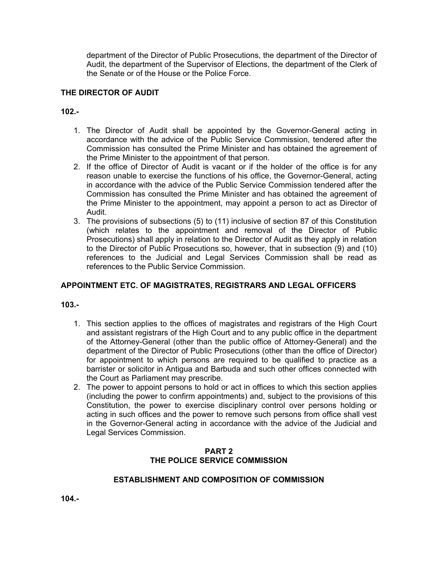department of the Director of Public Prosecutions, the department of the Director of Audit, the department of the Supervisor of Elections, the department of the Clerk of the Senate or of the House or the Police Force.

## **THE DIRECTOR OF AUDIT**

### **102.-**

- 1. The Director of Audit shall be appointed by the Governor-General acting in accordance with the advice of the Public Service Commission, tendered after the Commission has consulted the Prime Minister and has obtained the agreement of the Prime Minister to the appointment of that person.
- 2. If the office of Director of Audit is vacant or if the holder of the office is for any reason unable to exercise the functions of his office, the Governor-General, acting in accordance with the advice of the Public Service Commission tendered after the Commission has consulted the Prime Minister and has obtained the agreement of the Prime Minister to the appointment, may appoint a person to act as Director of Audit.
- 3. The provisions of subsections (5) to (11) inclusive of section 87 of this Constitution (which relates to the appointment and removal of the Director of Public Prosecutions) shall apply in relation to the Director of Audit as they apply in relation to the Director of Public Prosecutions so, however, that in subsection (9) and (10) references to the Judicial and Legal Services Commission shall be read as references to the Public Service Commission.

# **APPOINTMENT ETC. OF MAGISTRATES, REGISTRARS AND LEGAL OFFICERS**

### **103.-**

- 1. This section applies to the offices of magistrates and registrars of the High Court and assistant registrars of the High Court and to any public office in the department of the Attorney-General (other than the public office of Attorney-General) and the department of the Director of Public Prosecutions (other than the office of Director) for appointment to which persons are required to be qualified to practice as a barrister or solicitor in Antigua and Barbuda and such other offices connected with the Court as Parliament may prescribe.
- 2. The power to appoint persons to hold or act in offices to which this section applies (including the power to confirm appointments) and, subject to the provisions of this Constitution, the power to exercise disciplinary control over persons holding or acting in such offices and the power to remove such persons from office shall vest in the Governor-General acting in accordance with the advice of the Judicial and Legal Services Commission.

### **PART 2 THE POLICE SERVICE COMMISSION**

### **ESTABLISHMENT AND COMPOSITION OF COMMISSION**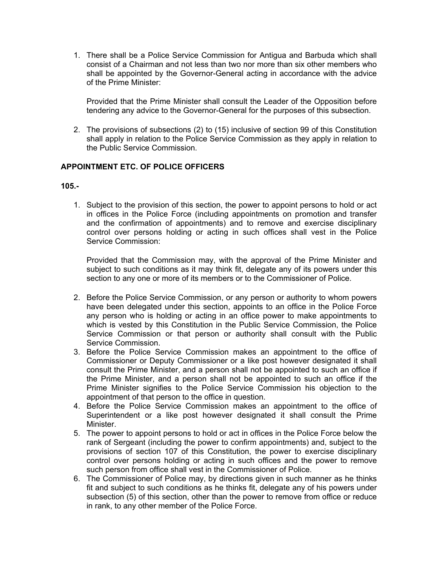1. There shall be a Police Service Commission for Antigua and Barbuda which shall consist of a Chairman and not less than two nor more than six other members who shall be appointed by the Governor-General acting in accordance with the advice of the Prime Minister:

Provided that the Prime Minister shall consult the Leader of the Opposition before tendering any advice to the Governor-General for the purposes of this subsection.

2. The provisions of subsections (2) to (15) inclusive of section 99 of this Constitution shall apply in relation to the Police Service Commission as they apply in relation to the Public Service Commission.

## **APPOINTMENT ETC. OF POLICE OFFICERS**

#### **105.-**

1. Subject to the provision of this section, the power to appoint persons to hold or act in offices in the Police Force (including appointments on promotion and transfer and the confirmation of appointments) and to remove and exercise disciplinary control over persons holding or acting in such offices shall vest in the Police Service Commission:

Provided that the Commission may, with the approval of the Prime Minister and subject to such conditions as it may think fit, delegate any of its powers under this section to any one or more of its members or to the Commissioner of Police.

- 2. Before the Police Service Commission, or any person or authority to whom powers have been delegated under this section, appoints to an office in the Police Force any person who is holding or acting in an office power to make appointments to which is vested by this Constitution in the Public Service Commission, the Police Service Commission or that person or authority shall consult with the Public Service Commission.
- 3. Before the Police Service Commission makes an appointment to the office of Commissioner or Deputy Commissioner or a like post however designated it shall consult the Prime Minister, and a person shall not be appointed to such an office if the Prime Minister, and a person shall not be appointed to such an office if the Prime Minister signifies to the Police Service Commission his objection to the appointment of that person to the office in question.
- 4. Before the Police Service Commission makes an appointment to the office of Superintendent or a like post however designated it shall consult the Prime Minister.
- 5. The power to appoint persons to hold or act in offices in the Police Force below the rank of Sergeant (including the power to confirm appointments) and, subject to the provisions of section 107 of this Constitution, the power to exercise disciplinary control over persons holding or acting in such offices and the power to remove such person from office shall vest in the Commissioner of Police.
- 6. The Commissioner of Police may, by directions given in such manner as he thinks fit and subject to such conditions as he thinks fit, delegate any of his powers under subsection (5) of this section, other than the power to remove from office or reduce in rank, to any other member of the Police Force.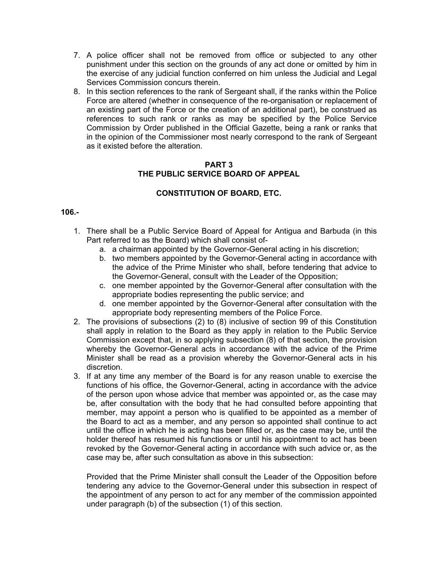- 7. A police officer shall not be removed from office or subjected to any other punishment under this section on the grounds of any act done or omitted by him in the exercise of any judicial function conferred on him unless the Judicial and Legal Services Commission concurs therein.
- 8. In this section references to the rank of Sergeant shall, if the ranks within the Police Force are altered (whether in consequence of the re-organisation or replacement of an existing part of the Force or the creation of an additional part), be construed as references to such rank or ranks as may be specified by the Police Service Commission by Order published in the Official Gazette, being a rank or ranks that in the opinion of the Commissioner most nearly correspond to the rank of Sergeant as it existed before the alteration.

## **PART 3 THE PUBLIC SERVICE BOARD OF APPEAL**

# **CONSTITUTION OF BOARD, ETC.**

### **106.-**

- 1. There shall be a Public Service Board of Appeal for Antigua and Barbuda (in this Part referred to as the Board) which shall consist of
	- a. a chairman appointed by the Governor-General acting in his discretion;
	- b. two members appointed by the Governor-General acting in accordance with the advice of the Prime Minister who shall, before tendering that advice to the Governor-General, consult with the Leader of the Opposition;
	- c. one member appointed by the Governor-General after consultation with the appropriate bodies representing the public service; and
	- d. one member appointed by the Governor-General after consultation with the appropriate body representing members of the Police Force.
- 2. The provisions of subsections (2) to (8) inclusive of section 99 of this Constitution shall apply in relation to the Board as they apply in relation to the Public Service Commission except that, in so applying subsection (8) of that section, the provision whereby the Governor-General acts in accordance with the advice of the Prime Minister shall be read as a provision whereby the Governor-General acts in his discretion.
- 3. If at any time any member of the Board is for any reason unable to exercise the functions of his office, the Governor-General, acting in accordance with the advice of the person upon whose advice that member was appointed or, as the case may be, after consultation with the body that he had consulted before appointing that member, may appoint a person who is qualified to be appointed as a member of the Board to act as a member, and any person so appointed shall continue to act until the office in which he is acting has been filled or, as the case may be, until the holder thereof has resumed his functions or until his appointment to act has been revoked by the Governor-General acting in accordance with such advice or, as the case may be, after such consultation as above in this subsection:

Provided that the Prime Minister shall consult the Leader of the Opposition before tendering any advice to the Governor-General under this subsection in respect of the appointment of any person to act for any member of the commission appointed under paragraph (b) of the subsection (1) of this section.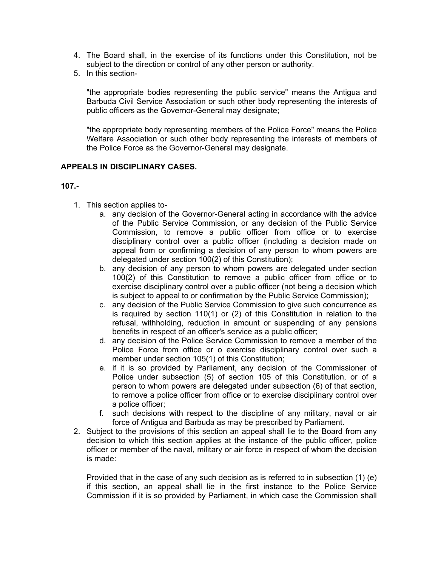- 4. The Board shall, in the exercise of its functions under this Constitution, not be subject to the direction or control of any other person or authority.
- 5. In this section-

"the appropriate bodies representing the public service" means the Antigua and Barbuda Civil Service Association or such other body representing the interests of public officers as the Governor-General may designate;

"the appropriate body representing members of the Police Force" means the Police Welfare Association or such other body representing the interests of members of the Police Force as the Governor-General may designate.

### **APPEALS IN DISCIPLINARY CASES.**

### **107.-**

- 1. This section applies to
	- a. any decision of the Governor-General acting in accordance with the advice of the Public Service Commission, or any decision of the Public Service Commission, to remove a public officer from office or to exercise disciplinary control over a public officer (including a decision made on appeal from or confirming a decision of any person to whom powers are delegated under section 100(2) of this Constitution);
	- b. any decision of any person to whom powers are delegated under section 100(2) of this Constitution to remove a public officer from office or to exercise disciplinary control over a public officer (not being a decision which is subject to appeal to or confirmation by the Public Service Commission);
	- c. any decision of the Public Service Commission to give such concurrence as is required by section 110(1) or (2) of this Constitution in relation to the refusal, withholding, reduction in amount or suspending of any pensions benefits in respect of an officer's service as a public officer;
	- d. any decision of the Police Service Commission to remove a member of the Police Force from office or o exercise disciplinary control over such a member under section 105(1) of this Constitution;
	- e. if it is so provided by Parliament, any decision of the Commissioner of Police under subsection (5) of section 105 of this Constitution, or of a person to whom powers are delegated under subsection (6) of that section, to remove a police officer from office or to exercise disciplinary control over a police officer;
	- f. such decisions with respect to the discipline of any military, naval or air force of Antigua and Barbuda as may be prescribed by Parliament.
- 2. Subject to the provisions of this section an appeal shall lie to the Board from any decision to which this section applies at the instance of the public officer, police officer or member of the naval, military or air force in respect of whom the decision is made:

Provided that in the case of any such decision as is referred to in subsection (1) (e) if this section, an appeal shall lie in the first instance to the Police Service Commission if it is so provided by Parliament, in which case the Commission shall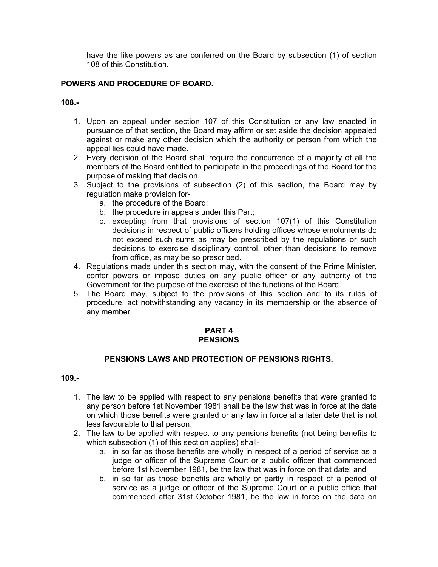have the like powers as are conferred on the Board by subsection (1) of section 108 of this Constitution.

## **POWERS AND PROCEDURE OF BOARD.**

### **108.-**

- 1. Upon an appeal under section 107 of this Constitution or any law enacted in pursuance of that section, the Board may affirm or set aside the decision appealed against or make any other decision which the authority or person from which the appeal lies could have made.
- 2. Every decision of the Board shall require the concurrence of a majority of all the members of the Board entitled to participate in the proceedings of the Board for the purpose of making that decision.
- 3. Subject to the provisions of subsection (2) of this section, the Board may by regulation make provision for
	- a. the procedure of the Board;
	- b. the procedure in appeals under this Part;
	- c. excepting from that provisions of section 107(1) of this Constitution decisions in respect of public officers holding offices whose emoluments do not exceed such sums as may be prescribed by the regulations or such decisions to exercise disciplinary control, other than decisions to remove from office, as may be so prescribed.
- 4. Regulations made under this section may, with the consent of the Prime Minister, confer powers or impose duties on any public officer or any authority of the Government for the purpose of the exercise of the functions of the Board.
- 5. The Board may, subject to the provisions of this section and to its rules of procedure, act notwithstanding any vacancy in its membership or the absence of any member.

#### **PART 4 PENSIONS**

### **PENSIONS LAWS AND PROTECTION OF PENSIONS RIGHTS.**

- 1. The law to be applied with respect to any pensions benefits that were granted to any person before 1st November 1981 shall be the law that was in force at the date on which those benefits were granted or any law in force at a later date that is not less favourable to that person.
- 2. The law to be applied with respect to any pensions benefits (not being benefits to which subsection (1) of this section applies) shall
	- a. in so far as those benefits are wholly in respect of a period of service as a judge or officer of the Supreme Court or a public officer that commenced before 1st November 1981, be the law that was in force on that date; and
	- b. in so far as those benefits are wholly or partly in respect of a period of service as a judge or officer of the Supreme Court or a public office that commenced after 31st October 1981, be the law in force on the date on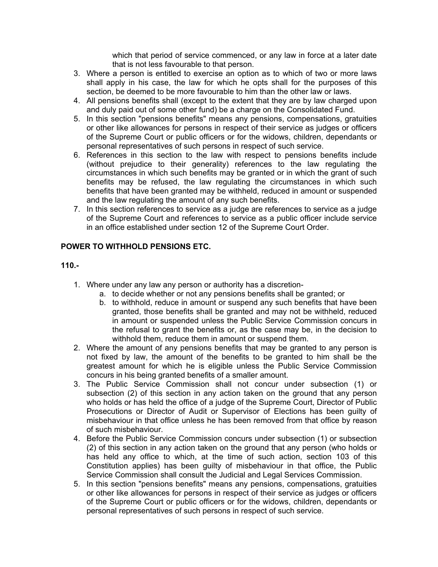which that period of service commenced, or any law in force at a later date that is not less favourable to that person.

- 3. Where a person is entitled to exercise an option as to which of two or more laws shall apply in his case, the law for which he opts shall for the purposes of this section, be deemed to be more favourable to him than the other law or laws.
- 4. All pensions benefits shall (except to the extent that they are by law charged upon and duly paid out of some other fund) be a charge on the Consolidated Fund.
- 5. In this section "pensions benefits" means any pensions, compensations, gratuities or other like allowances for persons in respect of their service as judges or officers of the Supreme Court or public officers or for the widows, children, dependants or personal representatives of such persons in respect of such service.
- 6. References in this section to the law with respect to pensions benefits include (without prejudice to their generality) references to the law regulating the circumstances in which such benefits may be granted or in which the grant of such benefits may be refused, the law regulating the circumstances in which such benefits that have been granted may be withheld, reduced in amount or suspended and the law regulating the amount of any such benefits.
- 7. In this section references to service as a judge are references to service as a judge of the Supreme Court and references to service as a public officer include service in an office established under section 12 of the Supreme Court Order.

# **POWER TO WITHHOLD PENSIONS ETC.**

- 1. Where under any law any person or authority has a discretion
	- a. to decide whether or not any pensions benefits shall be granted; or
	- b. to withhold, reduce in amount or suspend any such benefits that have been granted, those benefits shall be granted and may not be withheld, reduced in amount or suspended unless the Public Service Commission concurs in the refusal to grant the benefits or, as the case may be, in the decision to withhold them, reduce them in amount or suspend them.
- 2. Where the amount of any pensions benefits that may be granted to any person is not fixed by law, the amount of the benefits to be granted to him shall be the greatest amount for which he is eligible unless the Public Service Commission concurs in his being granted benefits of a smaller amount.
- 3. The Public Service Commission shall not concur under subsection (1) or subsection (2) of this section in any action taken on the ground that any person who holds or has held the office of a judge of the Supreme Court, Director of Public Prosecutions or Director of Audit or Supervisor of Elections has been guilty of misbehaviour in that office unless he has been removed from that office by reason of such misbehaviour.
- 4. Before the Public Service Commission concurs under subsection (1) or subsection (2) of this section in any action taken on the ground that any person (who holds or has held any office to which, at the time of such action, section 103 of this Constitution applies) has been guilty of misbehaviour in that office, the Public Service Commission shall consult the Judicial and Legal Services Commission.
- 5. In this section "pensions benefits" means any pensions, compensations, gratuities or other like allowances for persons in respect of their service as judges or officers of the Supreme Court or public officers or for the widows, children, dependants or personal representatives of such persons in respect of such service.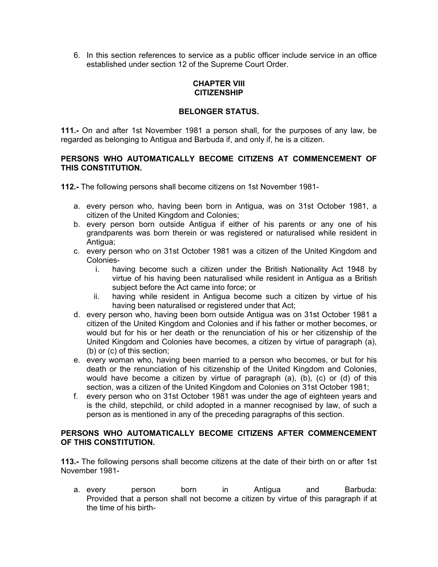6. In this section references to service as a public officer include service in an office established under section 12 of the Supreme Court Order.

## **CHAPTER VIII CITIZENSHIP**

## **BELONGER STATUS.**

**111.-** On and after 1st November 1981 a person shall, for the purposes of any law, be regarded as belonging to Antigua and Barbuda if, and only if, he is a citizen.

### **PERSONS WHO AUTOMATICALLY BECOME CITIZENS AT COMMENCEMENT OF THIS CONSTITUTION.**

**112.-** The following persons shall become citizens on 1st November 1981-

- a. every person who, having been born in Antigua, was on 31st October 1981, a citizen of the United Kingdom and Colonies;
- b. every person born outside Antigua if either of his parents or any one of his grandparents was born therein or was registered or naturalised while resident in Antigua:
- c. every person who on 31st October 1981 was a citizen of the United Kingdom and Colonies
	- i. having become such a citizen under the British Nationality Act 1948 by virtue of his having been naturalised while resident in Antigua as a British subject before the Act came into force; or
	- ii. having while resident in Antigua become such a citizen by virtue of his having been naturalised or registered under that Act;
- d. every person who, having been born outside Antigua was on 31st October 1981 a citizen of the United Kingdom and Colonies and if his father or mother becomes, or would but for his or her death or the renunciation of his or her citizenship of the United Kingdom and Colonies have becomes, a citizen by virtue of paragraph (a), (b) or (c) of this section;
- e. every woman who, having been married to a person who becomes, or but for his death or the renunciation of his citizenship of the United Kingdom and Colonies, would have become a citizen by virtue of paragraph (a), (b), (c) or (d) of this section, was a citizen of the United Kingdom and Colonies on 31st October 1981;
- f. every person who on 31st October 1981 was under the age of eighteen years and is the child, stepchild, or child adopted in a manner recognised by law, of such a person as is mentioned in any of the preceding paragraphs of this section.

## **PERSONS WHO AUTOMATICALLY BECOME CITIZENS AFTER COMMENCEMENT OF THIS CONSTITUTION.**

**113.-** The following persons shall become citizens at the date of their birth on or after 1st November 1981-

a. every person born in Antigua and Barbuda: Provided that a person shall not become a citizen by virtue of this paragraph if at the time of his birth-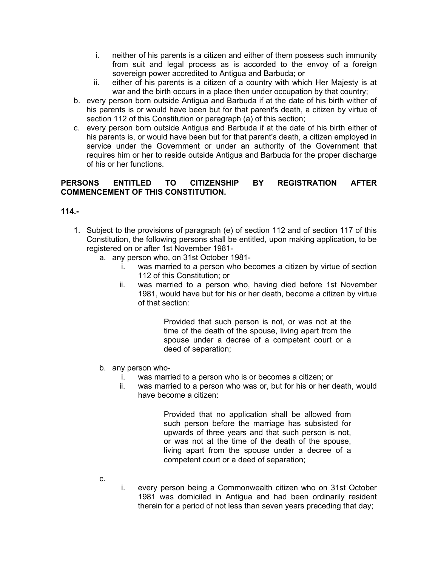- i. neither of his parents is a citizen and either of them possess such immunity from suit and legal process as is accorded to the envoy of a foreign sovereign power accredited to Antigua and Barbuda; or
- ii. either of his parents is a citizen of a country with which Her Majesty is at war and the birth occurs in a place then under occupation by that country;
- b. every person born outside Antigua and Barbuda if at the date of his birth wither of his parents is or would have been but for that parent's death, a citizen by virtue of section 112 of this Constitution or paragraph (a) of this section;
- c. every person born outside Antigua and Barbuda if at the date of his birth either of his parents is, or would have been but for that parent's death, a citizen employed in service under the Government or under an authority of the Government that requires him or her to reside outside Antigua and Barbuda for the proper discharge of his or her functions.

# **PERSONS ENTITLED TO CITIZENSHIP BY REGISTRATION AFTER COMMENCEMENT OF THIS CONSTITUTION.**

# **114.-**

- 1. Subject to the provisions of paragraph (e) of section 112 and of section 117 of this Constitution, the following persons shall be entitled, upon making application, to be registered on or after 1st November 1981
	- a. any person who, on 31st October 1981
		- i. was married to a person who becomes a citizen by virtue of section 112 of this Constitution; or
		- ii. was married to a person who, having died before 1st November 1981, would have but for his or her death, become a citizen by virtue of that section:

Provided that such person is not, or was not at the time of the death of the spouse, living apart from the spouse under a decree of a competent court or a deed of separation;

- b. any person who
	- i. was married to a person who is or becomes a citizen; or
	- ii. was married to a person who was or, but for his or her death, would have become a citizen:

Provided that no application shall be allowed from such person before the marriage has subsisted for upwards of three years and that such person is not, or was not at the time of the death of the spouse, living apart from the spouse under a decree of a competent court or a deed of separation;

- c.
- i. every person being a Commonwealth citizen who on 31st October 1981 was domiciled in Antigua and had been ordinarily resident therein for a period of not less than seven years preceding that day;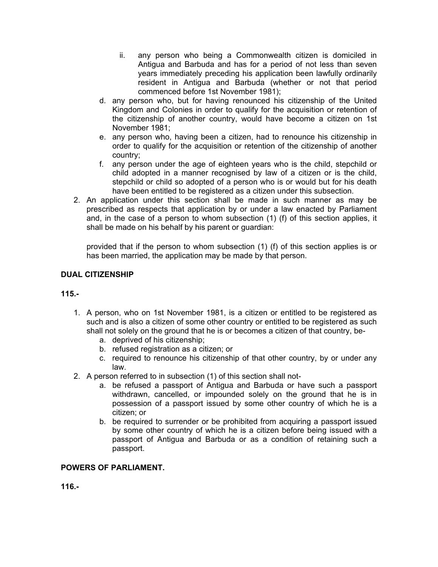- ii. any person who being a Commonwealth citizen is domiciled in Antigua and Barbuda and has for a period of not less than seven years immediately preceding his application been lawfully ordinarily resident in Antigua and Barbuda (whether or not that period commenced before 1st November 1981);
- d. any person who, but for having renounced his citizenship of the United Kingdom and Colonies in order to qualify for the acquisition or retention of the citizenship of another country, would have become a citizen on 1st November 1981;
- e. any person who, having been a citizen, had to renounce his citizenship in order to qualify for the acquisition or retention of the citizenship of another country;
- f. any person under the age of eighteen years who is the child, stepchild or child adopted in a manner recognised by law of a citizen or is the child, stepchild or child so adopted of a person who is or would but for his death have been entitled to be registered as a citizen under this subsection.
- 2. An application under this section shall be made in such manner as may be prescribed as respects that application by or under a law enacted by Parliament and, in the case of a person to whom subsection (1) (f) of this section applies, it shall be made on his behalf by his parent or guardian:

provided that if the person to whom subsection (1) (f) of this section applies is or has been married, the application may be made by that person.

## **DUAL CITIZENSHIP**

## **115.-**

- 1. A person, who on 1st November 1981, is a citizen or entitled to be registered as such and is also a citizen of some other country or entitled to be registered as such shall not solely on the ground that he is or becomes a citizen of that country, be
	- a. deprived of his citizenship;
	- b. refused registration as a citizen; or
	- c. required to renounce his citizenship of that other country, by or under any law.
- 2. A person referred to in subsection (1) of this section shall not
	- a. be refused a passport of Antigua and Barbuda or have such a passport withdrawn, cancelled, or impounded solely on the ground that he is in possession of a passport issued by some other country of which he is a citizen; or
	- b. be required to surrender or be prohibited from acquiring a passport issued by some other country of which he is a citizen before being issued with a passport of Antigua and Barbuda or as a condition of retaining such a passport.

## **POWERS OF PARLIAMENT.**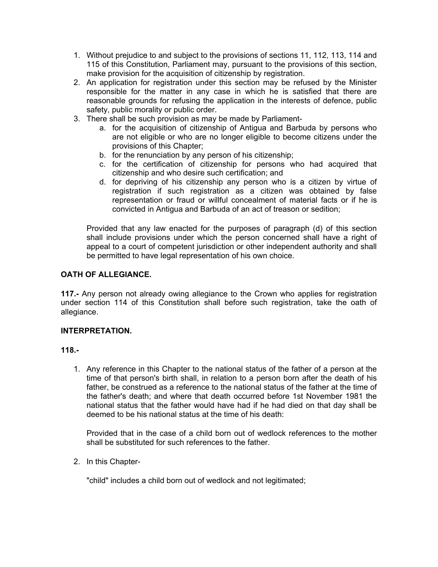- 1. Without prejudice to and subject to the provisions of sections 11, 112, 113, 114 and 115 of this Constitution, Parliament may, pursuant to the provisions of this section, make provision for the acquisition of citizenship by registration.
- 2. An application for registration under this section may be refused by the Minister responsible for the matter in any case in which he is satisfied that there are reasonable grounds for refusing the application in the interests of defence, public safety, public morality or public order.
- 3. There shall be such provision as may be made by Parliament
	- a. for the acquisition of citizenship of Antigua and Barbuda by persons who are not eligible or who are no longer eligible to become citizens under the provisions of this Chapter;
	- b. for the renunciation by any person of his citizenship;
	- c. for the certification of citizenship for persons who had acquired that citizenship and who desire such certification; and
	- d. for depriving of his citizenship any person who is a citizen by virtue of registration if such registration as a citizen was obtained by false representation or fraud or willful concealment of material facts or if he is convicted in Antigua and Barbuda of an act of treason or sedition;

Provided that any law enacted for the purposes of paragraph (d) of this section shall include provisions under which the person concerned shall have a right of appeal to a court of competent jurisdiction or other independent authority and shall be permitted to have legal representation of his own choice.

### **OATH OF ALLEGIANCE.**

**117.-** Any person not already owing allegiance to the Crown who applies for registration under section 114 of this Constitution shall before such registration, take the oath of allegiance.

### **INTERPRETATION.**

### **118.-**

1. Any reference in this Chapter to the national status of the father of a person at the time of that person's birth shall, in relation to a person born after the death of his father, be construed as a reference to the national status of the father at the time of the father's death; and where that death occurred before 1st November 1981 the national status that the father would have had if he had died on that day shall be deemed to be his national status at the time of his death:

Provided that in the case of a child born out of wedlock references to the mother shall be substituted for such references to the father.

2. In this Chapter-

"child" includes a child born out of wedlock and not legitimated;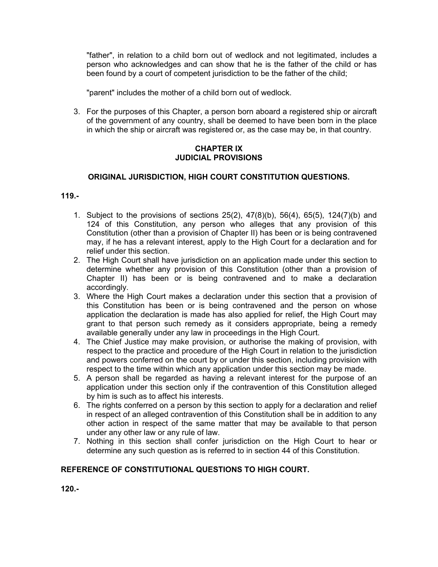"father", in relation to a child born out of wedlock and not legitimated, includes a person who acknowledges and can show that he is the father of the child or has been found by a court of competent jurisdiction to be the father of the child;

"parent" includes the mother of a child born out of wedlock.

3. For the purposes of this Chapter, a person born aboard a registered ship or aircraft of the government of any country, shall be deemed to have been born in the place in which the ship or aircraft was registered or, as the case may be, in that country.

## **CHAPTER IX JUDICIAL PROVISIONS**

## **ORIGINAL JURISDICTION, HIGH COURT CONSTITUTION QUESTIONS.**

#### **119.-**

- 1. Subject to the provisions of sections 25(2), 47(8)(b), 56(4), 65(5), 124(7)(b) and 124 of this Constitution, any person who alleges that any provision of this Constitution (other than a provision of Chapter II) has been or is being contravened may, if he has a relevant interest, apply to the High Court for a declaration and for relief under this section.
- 2. The High Court shall have jurisdiction on an application made under this section to determine whether any provision of this Constitution (other than a provision of Chapter II) has been or is being contravened and to make a declaration accordingly.
- 3. Where the High Court makes a declaration under this section that a provision of this Constitution has been or is being contravened and the person on whose application the declaration is made has also applied for relief, the High Court may grant to that person such remedy as it considers appropriate, being a remedy available generally under any law in proceedings in the High Court.
- 4. The Chief Justice may make provision, or authorise the making of provision, with respect to the practice and procedure of the High Court in relation to the jurisdiction and powers conferred on the court by or under this section, including provision with respect to the time within which any application under this section may be made.
- 5. A person shall be regarded as having a relevant interest for the purpose of an application under this section only if the contravention of this Constitution alleged by him is such as to affect his interests.
- 6. The rights conferred on a person by this section to apply for a declaration and relief in respect of an alleged contravention of this Constitution shall be in addition to any other action in respect of the same matter that may be available to that person under any other law or any rule of law.
- 7. Nothing in this section shall confer jurisdiction on the High Court to hear or determine any such question as is referred to in section 44 of this Constitution.

## **REFERENCE OF CONSTITUTIONAL QUESTIONS TO HIGH COURT.**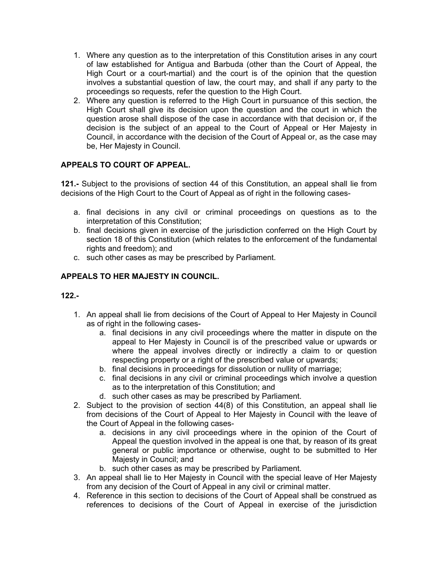- 1. Where any question as to the interpretation of this Constitution arises in any court of law established for Antigua and Barbuda (other than the Court of Appeal, the High Court or a court-martial) and the court is of the opinion that the question involves a substantial question of law, the court may, and shall if any party to the proceedings so requests, refer the question to the High Court.
- 2. Where any question is referred to the High Court in pursuance of this section, the High Court shall give its decision upon the question and the court in which the question arose shall dispose of the case in accordance with that decision or, if the decision is the subject of an appeal to the Court of Appeal or Her Majesty in Council, in accordance with the decision of the Court of Appeal or, as the case may be, Her Majesty in Council.

# **APPEALS TO COURT OF APPEAL.**

**121.-** Subject to the provisions of section 44 of this Constitution, an appeal shall lie from decisions of the High Court to the Court of Appeal as of right in the following cases-

- a. final decisions in any civil or criminal proceedings on questions as to the interpretation of this Constitution;
- b. final decisions given in exercise of the jurisdiction conferred on the High Court by section 18 of this Constitution (which relates to the enforcement of the fundamental rights and freedom); and
- c. such other cases as may be prescribed by Parliament.

# **APPEALS TO HER MAJESTY IN COUNCIL.**

- 1. An appeal shall lie from decisions of the Court of Appeal to Her Majesty in Council as of right in the following cases
	- a. final decisions in any civil proceedings where the matter in dispute on the appeal to Her Majesty in Council is of the prescribed value or upwards or where the appeal involves directly or indirectly a claim to or question respecting property or a right of the prescribed value or upwards;
	- b. final decisions in proceedings for dissolution or nullity of marriage;
	- c. final decisions in any civil or criminal proceedings which involve a question as to the interpretation of this Constitution; and
	- d. such other cases as may be prescribed by Parliament.
- 2. Subject to the provision of section 44(8) of this Constitution, an appeal shall lie from decisions of the Court of Appeal to Her Majesty in Council with the leave of the Court of Appeal in the following cases
	- a. decisions in any civil proceedings where in the opinion of the Court of Appeal the question involved in the appeal is one that, by reason of its great general or public importance or otherwise, ought to be submitted to Her Majesty in Council; and
	- b. such other cases as may be prescribed by Parliament.
- 3. An appeal shall lie to Her Majesty in Council with the special leave of Her Majesty from any decision of the Court of Appeal in any civil or criminal matter.
- 4. Reference in this section to decisions of the Court of Appeal shall be construed as references to decisions of the Court of Appeal in exercise of the jurisdiction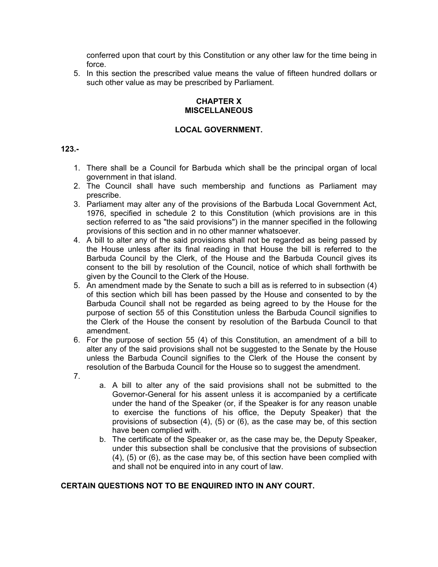conferred upon that court by this Constitution or any other law for the time being in force.

5. In this section the prescribed value means the value of fifteen hundred dollars or such other value as may be prescribed by Parliament.

## **CHAPTER X MISCELLANEOUS**

## **LOCAL GOVERNMENT.**

#### **123.-**

- 1. There shall be a Council for Barbuda which shall be the principal organ of local government in that island.
- 2. The Council shall have such membership and functions as Parliament may prescribe.
- 3. Parliament may alter any of the provisions of the Barbuda Local Government Act, 1976, specified in schedule 2 to this Constitution (which provisions are in this section referred to as "the said provisions") in the manner specified in the following provisions of this section and in no other manner whatsoever.
- 4. A bill to alter any of the said provisions shall not be regarded as being passed by the House unless after its final reading in that House the bill is referred to the Barbuda Council by the Clerk, of the House and the Barbuda Council gives its consent to the bill by resolution of the Council, notice of which shall forthwith be given by the Council to the Clerk of the House.
- 5. An amendment made by the Senate to such a bill as is referred to in subsection (4) of this section which bill has been passed by the House and consented to by the Barbuda Council shall not be regarded as being agreed to by the House for the purpose of section 55 of this Constitution unless the Barbuda Council signifies to the Clerk of the House the consent by resolution of the Barbuda Council to that amendment.
- 6. For the purpose of section 55 (4) of this Constitution, an amendment of a bill to alter any of the said provisions shall not be suggested to the Senate by the House unless the Barbuda Council signifies to the Clerk of the House the consent by resolution of the Barbuda Council for the House so to suggest the amendment.
- 7.
- a. A bill to alter any of the said provisions shall not be submitted to the Governor-General for his assent unless it is accompanied by a certificate under the hand of the Speaker (or, if the Speaker is for any reason unable to exercise the functions of his office, the Deputy Speaker) that the provisions of subsection (4), (5) or (6), as the case may be, of this section have been complied with.
- b. The certificate of the Speaker or, as the case may be, the Deputy Speaker, under this subsection shall be conclusive that the provisions of subsection (4), (5) or (6), as the case may be, of this section have been complied with and shall not be enquired into in any court of law.

## **CERTAIN QUESTIONS NOT TO BE ENQUIRED INTO IN ANY COURT.**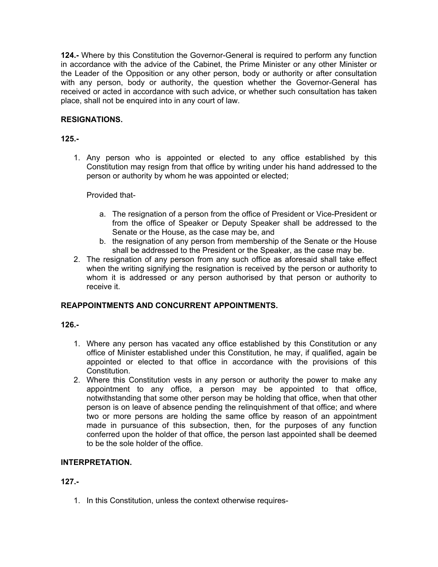**124.-** Where by this Constitution the Governor-General is required to perform any function in accordance with the advice of the Cabinet, the Prime Minister or any other Minister or the Leader of the Opposition or any other person, body or authority or after consultation with any person, body or authority, the question whether the Governor-General has received or acted in accordance with such advice, or whether such consultation has taken place, shall not be enquired into in any court of law.

## **RESIGNATIONS.**

### **125.-**

1. Any person who is appointed or elected to any office established by this Constitution may resign from that office by writing under his hand addressed to the person or authority by whom he was appointed or elected;

### Provided that-

- a. The resignation of a person from the office of President or Vice-President or from the office of Speaker or Deputy Speaker shall be addressed to the Senate or the House, as the case may be, and
- b. the resignation of any person from membership of the Senate or the House shall be addressed to the President or the Speaker, as the case may be.
- 2. The resignation of any person from any such office as aforesaid shall take effect when the writing signifying the resignation is received by the person or authority to whom it is addressed or any person authorised by that person or authority to receive it.

## **REAPPOINTMENTS AND CONCURRENT APPOINTMENTS.**

### **126.-**

- 1. Where any person has vacated any office established by this Constitution or any office of Minister established under this Constitution, he may, if qualified, again be appointed or elected to that office in accordance with the provisions of this Constitution.
- 2. Where this Constitution vests in any person or authority the power to make any appointment to any office, a person may be appointed to that office, notwithstanding that some other person may be holding that office, when that other person is on leave of absence pending the relinquishment of that office; and where two or more persons are holding the same office by reason of an appointment made in pursuance of this subsection, then, for the purposes of any function conferred upon the holder of that office, the person last appointed shall be deemed to be the sole holder of the office.

## **INTERPRETATION.**

## **127.-**

1. In this Constitution, unless the context otherwise requires-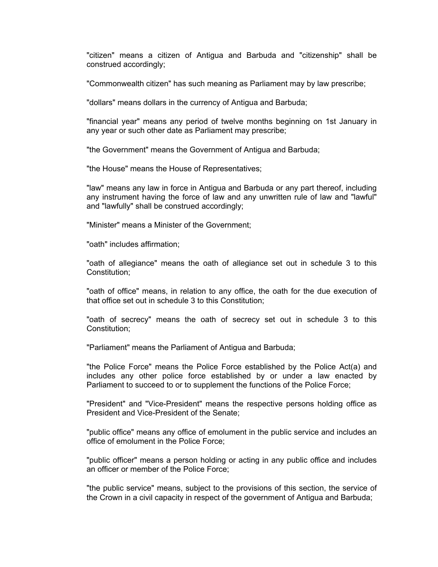"citizen" means a citizen of Antigua and Barbuda and "citizenship" shall be construed accordingly;

"Commonwealth citizen" has such meaning as Parliament may by law prescribe;

"dollars" means dollars in the currency of Antigua and Barbuda;

"financial year" means any period of twelve months beginning on 1st January in any year or such other date as Parliament may prescribe;

"the Government" means the Government of Antigua and Barbuda;

"the House" means the House of Representatives;

"law" means any law in force in Antigua and Barbuda or any part thereof, including any instrument having the force of law and any unwritten rule of law and "lawful" and "lawfully" shall be construed accordingly;

"Minister" means a Minister of the Government;

"oath" includes affirmation;

"oath of allegiance" means the oath of allegiance set out in schedule 3 to this Constitution;

"oath of office" means, in relation to any office, the oath for the due execution of that office set out in schedule 3 to this Constitution;

"oath of secrecy" means the oath of secrecy set out in schedule 3 to this Constitution;

"Parliament" means the Parliament of Antigua and Barbuda;

"the Police Force" means the Police Force established by the Police Act(a) and includes any other police force established by or under a law enacted by Parliament to succeed to or to supplement the functions of the Police Force;

"President" and "Vice-President" means the respective persons holding office as President and Vice-President of the Senate;

"public office" means any office of emolument in the public service and includes an office of emolument in the Police Force;

"public officer" means a person holding or acting in any public office and includes an officer or member of the Police Force;

"the public service" means, subject to the provisions of this section, the service of the Crown in a civil capacity in respect of the government of Antigua and Barbuda;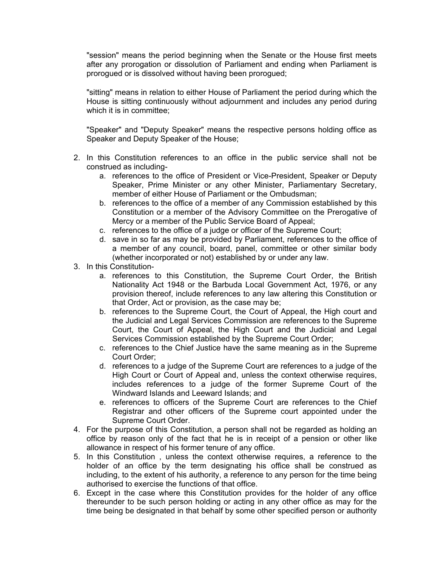"session" means the period beginning when the Senate or the House first meets after any prorogation or dissolution of Parliament and ending when Parliament is prorogued or is dissolved without having been prorogued;

"sitting" means in relation to either House of Parliament the period during which the House is sitting continuously without adjournment and includes any period during which it is in committee;

"Speaker" and "Deputy Speaker" means the respective persons holding office as Speaker and Deputy Speaker of the House;

- 2. In this Constitution references to an office in the public service shall not be construed as including
	- a. references to the office of President or Vice-President, Speaker or Deputy Speaker, Prime Minister or any other Minister, Parliamentary Secretary, member of either House of Parliament or the Ombudsman;
	- b. references to the office of a member of any Commission established by this Constitution or a member of the Advisory Committee on the Prerogative of Mercy or a member of the Public Service Board of Appeal;
	- c. references to the office of a judge or officer of the Supreme Court;
	- d. save in so far as may be provided by Parliament, references to the office of a member of any council, board, panel, committee or other similar body (whether incorporated or not) established by or under any law.
- 3. In this Constitution
	- a. references to this Constitution, the Supreme Court Order, the British Nationality Act 1948 or the Barbuda Local Government Act, 1976, or any provision thereof, include references to any law altering this Constitution or that Order, Act or provision, as the case may be;
	- b. references to the Supreme Court, the Court of Appeal, the High court and the Judicial and Legal Services Commission are references to the Supreme Court, the Court of Appeal, the High Court and the Judicial and Legal Services Commission established by the Supreme Court Order;
	- c. references to the Chief Justice have the same meaning as in the Supreme Court Order;
	- d. references to a judge of the Supreme Court are references to a judge of the High Court or Court of Appeal and, unless the context otherwise requires, includes references to a judge of the former Supreme Court of the Windward Islands and Leeward Islands; and
	- e. references to officers of the Supreme Court are references to the Chief Registrar and other officers of the Supreme court appointed under the Supreme Court Order.
- 4. For the purpose of this Constitution, a person shall not be regarded as holding an office by reason only of the fact that he is in receipt of a pension or other like allowance in respect of his former tenure of any office.
- 5. In this Constitution , unless the context otherwise requires, a reference to the holder of an office by the term designating his office shall be construed as including, to the extent of his authority, a reference to any person for the time being authorised to exercise the functions of that office.
- 6. Except in the case where this Constitution provides for the holder of any office thereunder to be such person holding or acting in any other office as may for the time being be designated in that behalf by some other specified person or authority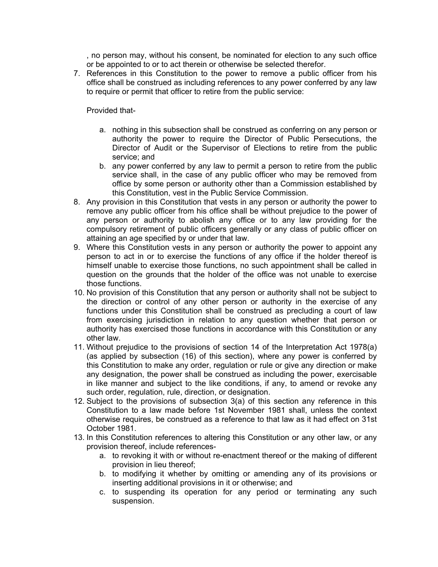, no person may, without his consent, be nominated for election to any such office or be appointed to or to act therein or otherwise be selected therefor.

7. References in this Constitution to the power to remove a public officer from his office shall be construed as including references to any power conferred by any law to require or permit that officer to retire from the public service:

Provided that-

- a. nothing in this subsection shall be construed as conferring on any person or authority the power to require the Director of Public Persecutions, the Director of Audit or the Supervisor of Elections to retire from the public service; and
- b. any power conferred by any law to permit a person to retire from the public service shall, in the case of any public officer who may be removed from office by some person or authority other than a Commission established by this Constitution, vest in the Public Service Commission.
- 8. Any provision in this Constitution that vests in any person or authority the power to remove any public officer from his office shall be without prejudice to the power of any person or authority to abolish any office or to any law providing for the compulsory retirement of public officers generally or any class of public officer on attaining an age specified by or under that law.
- 9. Where this Constitution vests in any person or authority the power to appoint any person to act in or to exercise the functions of any office if the holder thereof is himself unable to exercise those functions, no such appointment shall be called in question on the grounds that the holder of the office was not unable to exercise those functions.
- 10. No provision of this Constitution that any person or authority shall not be subject to the direction or control of any other person or authority in the exercise of any functions under this Constitution shall be construed as precluding a court of law from exercising jurisdiction in relation to any question whether that person or authority has exercised those functions in accordance with this Constitution or any other law.
- 11. Without prejudice to the provisions of section 14 of the Interpretation Act 1978(a) (as applied by subsection (16) of this section), where any power is conferred by this Constitution to make any order, regulation or rule or give any direction or make any designation, the power shall be construed as including the power, exercisable in like manner and subject to the like conditions, if any, to amend or revoke any such order, regulation, rule, direction, or designation.
- 12. Subject to the provisions of subsection 3(a) of this section any reference in this Constitution to a law made before 1st November 1981 shall, unless the context otherwise requires, be construed as a reference to that law as it had effect on 31st October 1981.
- 13. In this Constitution references to altering this Constitution or any other law, or any provision thereof, include references
	- a. to revoking it with or without re-enactment thereof or the making of different provision in lieu thereof;
	- b. to modifying it whether by omitting or amending any of its provisions or inserting additional provisions in it or otherwise; and
	- c. to suspending its operation for any period or terminating any such suspension.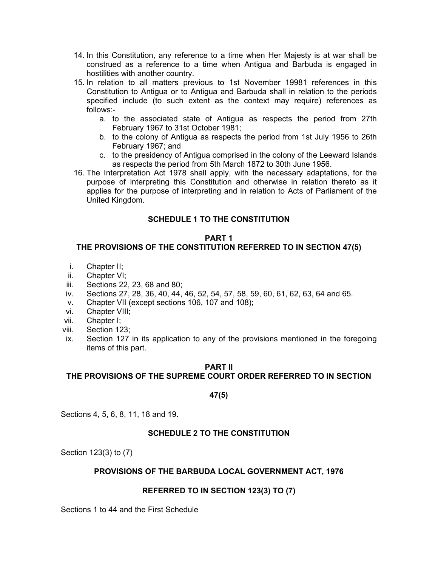- 14. In this Constitution, any reference to a time when Her Majesty is at war shall be construed as a reference to a time when Antigua and Barbuda is engaged in hostilities with another country.
- 15. In relation to all matters previous to 1st November 19981 references in this Constitution to Antigua or to Antigua and Barbuda shall in relation to the periods specified include (to such extent as the context may require) references as follows:
	- a. to the associated state of Antigua as respects the period from 27th February 1967 to 31st October 1981;
	- b. to the colony of Antigua as respects the period from 1st July 1956 to 26th February 1967; and
	- c. to the presidency of Antigua comprised in the colony of the Leeward Islands as respects the period from 5th March 1872 to 30th June 1956.
- 16. The Interpretation Act 1978 shall apply, with the necessary adaptations, for the purpose of interpreting this Constitution and otherwise in relation thereto as it applies for the purpose of interpreting and in relation to Acts of Parliament of the United Kingdom.

## **SCHEDULE 1 TO THE CONSTITUTION**

### **PART 1**

## **THE PROVISIONS OF THE CONSTITUTION REFERRED TO IN SECTION 47(5)**

- i. Chapter II;
- ii. Chapter VI;
- iii. Sections 22, 23, 68 and 80;
- iv. Sections 27, 28, 36, 40, 44, 46, 52, 54, 57, 58, 59, 60, 61, 62, 63, 64 and 65.
- v. Chapter VII (except sections 106, 107 and 108);
- vi. Chapter VIII;
- vii. Chapter I;
- viii. Section 123;
- ix. Section 127 in its application to any of the provisions mentioned in the foregoing items of this part.

### **PART II THE PROVISIONS OF THE SUPREME COURT ORDER REFERRED TO IN SECTION**

### **47(5)**

Sections 4, 5, 6, 8, 11, 18 and 19.

## **SCHEDULE 2 TO THE CONSTITUTION**

Section 123(3) to (7)

### **PROVISIONS OF THE BARBUDA LOCAL GOVERNMENT ACT, 1976**

### **REFERRED TO IN SECTION 123(3) TO (7)**

Sections 1 to 44 and the First Schedule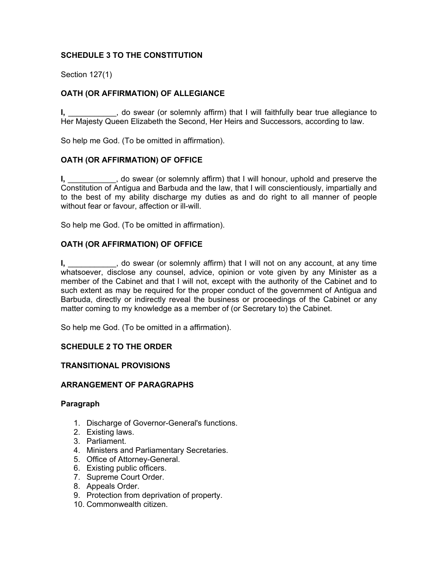# **SCHEDULE 3 TO THE CONSTITUTION**

Section 127(1)

## **OATH (OR AFFIRMATION) OF ALLEGIANCE**

**I,** \_\_\_\_\_\_\_\_\_\_\_, do swear (or solemnly affirm) that I will faithfully bear true allegiance to Her Majesty Queen Elizabeth the Second, Her Heirs and Successors, according to law.

So help me God. (To be omitted in affirmation).

## **OATH (OR AFFIRMATION) OF OFFICE**

, do swear (or solemnly affirm) that I will honour, uphold and preserve the Constitution of Antigua and Barbuda and the law, that I will conscientiously, impartially and to the best of my ability discharge my duties as and do right to all manner of people without fear or favour, affection or ill-will.

So help me God. (To be omitted in affirmation).

## **OATH (OR AFFIRMATION) OF OFFICE**

**I,** do swear (or solemnly affirm) that I will not on any account, at any time whatsoever, disclose any counsel, advice, opinion or vote given by any Minister as a member of the Cabinet and that I will not, except with the authority of the Cabinet and to such extent as may be required for the proper conduct of the government of Antigua and Barbuda, directly or indirectly reveal the business or proceedings of the Cabinet or any matter coming to my knowledge as a member of (or Secretary to) the Cabinet.

So help me God. (To be omitted in a affirmation).

## **SCHEDULE 2 TO THE ORDER**

### **TRANSITIONAL PROVISIONS**

### **ARRANGEMENT OF PARAGRAPHS**

### **Paragraph**

- 1. Discharge of Governor-General's functions.
- 2. Existing laws.
- 3. Parliament.
- 4. Ministers and Parliamentary Secretaries.
- 5. Office of Attorney-General.
- 6. Existing public officers.
- 7. Supreme Court Order.
- 8. Appeals Order.
- 9. Protection from deprivation of property.
- 10. Commonwealth citizen.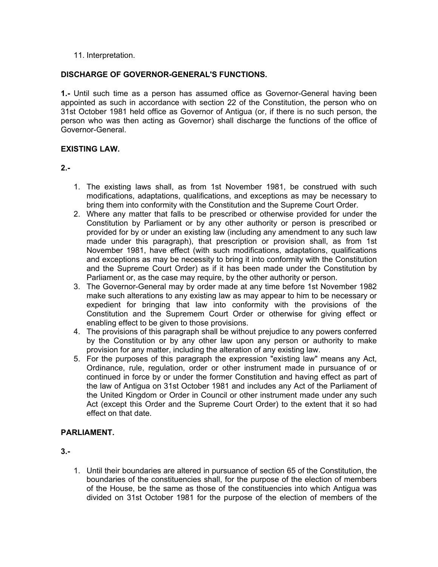11. Interpretation.

## **DISCHARGE OF GOVERNOR-GENERAL'S FUNCTIONS.**

**1.-** Until such time as a person has assumed office as Governor-General having been appointed as such in accordance with section 22 of the Constitution, the person who on 31st October 1981 held office as Governor of Antigua (or, if there is no such person, the person who was then acting as Governor) shall discharge the functions of the office of Governor-General.

## **EXISTING LAW.**

## **2.-**

- 1. The existing laws shall, as from 1st November 1981, be construed with such modifications, adaptations, qualifications, and exceptions as may be necessary to bring them into conformity with the Constitution and the Supreme Court Order.
- 2. Where any matter that falls to be prescribed or otherwise provided for under the Constitution by Parliament or by any other authority or person is prescribed or provided for by or under an existing law (including any amendment to any such law made under this paragraph), that prescription or provision shall, as from 1st November 1981, have effect (with such modifications, adaptations, qualifications and exceptions as may be necessity to bring it into conformity with the Constitution and the Supreme Court Order) as if it has been made under the Constitution by Parliament or, as the case may require, by the other authority or person.
- 3. The Governor-General may by order made at any time before 1st November 1982 make such alterations to any existing law as may appear to him to be necessary or expedient for bringing that law into conformity with the provisions of the Constitution and the Supremem Court Order or otherwise for giving effect or enabling effect to be given to those provisions.
- 4. The provisions of this paragraph shall be without prejudice to any powers conferred by the Constitution or by any other law upon any person or authority to make provision for any matter, including the alteration of any existing law.
- 5. For the purposes of this paragraph the expression "existing law" means any Act, Ordinance, rule, regulation, order or other instrument made in pursuance of or continued in force by or under the former Constitution and having effect as part of the law of Antigua on 31st October 1981 and includes any Act of the Parliament of the United Kingdom or Order in Council or other instrument made under any such Act (except this Order and the Supreme Court Order) to the extent that it so had effect on that date.

# **PARLIAMENT.**

## **3.-**

1. Until their boundaries are altered in pursuance of section 65 of the Constitution, the boundaries of the constituencies shall, for the purpose of the election of members of the House, be the same as those of the constituencies into which Antigua was divided on 31st October 1981 for the purpose of the election of members of the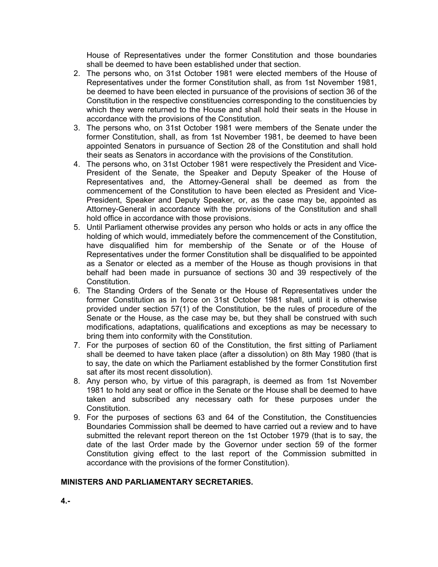House of Representatives under the former Constitution and those boundaries shall be deemed to have been established under that section.

- 2. The persons who, on 31st October 1981 were elected members of the House of Representatives under the former Constitution shall, as from 1st November 1981, be deemed to have been elected in pursuance of the provisions of section 36 of the Constitution in the respective constituencies corresponding to the constituencies by which they were returned to the House and shall hold their seats in the House in accordance with the provisions of the Constitution.
- 3. The persons who, on 31st October 1981 were members of the Senate under the former Constitution, shall, as from 1st November 1981, be deemed to have been appointed Senators in pursuance of Section 28 of the Constitution and shall hold their seats as Senators in accordance with the provisions of the Constitution.
- 4. The persons who, on 31st October 1981 were respectively the President and Vice-President of the Senate, the Speaker and Deputy Speaker of the House of Representatives and, the Attorney-General shall be deemed as from the commencement of the Constitution to have been elected as President and Vice-President, Speaker and Deputy Speaker, or, as the case may be, appointed as Attorney-General in accordance with the provisions of the Constitution and shall hold office in accordance with those provisions.
- 5. Until Parliament otherwise provides any person who holds or acts in any office the holding of which would, immediately before the commencement of the Constitution, have disqualified him for membership of the Senate or of the House of Representatives under the former Constitution shall be disqualified to be appointed as a Senator or elected as a member of the House as though provisions in that behalf had been made in pursuance of sections 30 and 39 respectively of the Constitution.
- 6. The Standing Orders of the Senate or the House of Representatives under the former Constitution as in force on 31st October 1981 shall, until it is otherwise provided under section 57(1) of the Constitution, be the rules of procedure of the Senate or the House, as the case may be, but they shall be construed with such modifications, adaptations, qualifications and exceptions as may be necessary to bring them into conformity with the Constitution.
- 7. For the purposes of section 60 of the Constitution, the first sitting of Parliament shall be deemed to have taken place (after a dissolution) on 8th May 1980 (that is to say, the date on which the Parliament established by the former Constitution first sat after its most recent dissolution).
- 8. Any person who, by virtue of this paragraph, is deemed as from 1st November 1981 to hold any seat or office in the Senate or the House shall be deemed to have taken and subscribed any necessary oath for these purposes under the Constitution.
- 9. For the purposes of sections 63 and 64 of the Constitution, the Constituencies Boundaries Commission shall be deemed to have carried out a review and to have submitted the relevant report thereon on the 1st October 1979 (that is to say, the date of the last Order made by the Governor under section 59 of the former Constitution giving effect to the last report of the Commission submitted in accordance with the provisions of the former Constitution).

## **MINISTERS AND PARLIAMENTARY SECRETARIES.**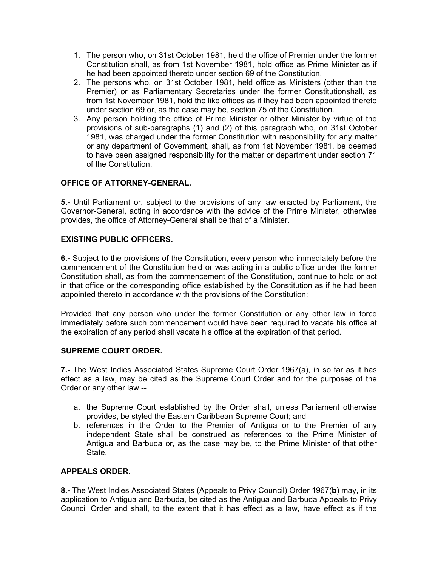- 1. The person who, on 31st October 1981, held the office of Premier under the former Constitution shall, as from 1st November 1981, hold office as Prime Minister as if he had been appointed thereto under section 69 of the Constitution.
- 2. The persons who, on 31st October 1981, held office as Ministers (other than the Premier) or as Parliamentary Secretaries under the former Constitutionshall, as from 1st November 1981, hold the like offices as if they had been appointed thereto under section 69 or, as the case may be, section 75 of the Constitution.
- 3. Any person holding the office of Prime Minister or other Minister by virtue of the provisions of sub-paragraphs (1) and (2) of this paragraph who, on 31st October 1981, was charged under the former Constitution with responsibility for any matter or any department of Government, shall, as from 1st November 1981, be deemed to have been assigned responsibility for the matter or department under section 71 of the Constitution.

# **OFFICE OF ATTORNEY-GENERAL.**

**5.-** Until Parliament or, subject to the provisions of any law enacted by Parliament, the Governor-General, acting in accordance with the advice of the Prime Minister, otherwise provides, the office of Attorney-General shall be that of a Minister.

### **EXISTING PUBLIC OFFICERS.**

**6.-** Subject to the provisions of the Constitution, every person who immediately before the commencement of the Constitution held or was acting in a public office under the former Constitution shall, as from the commencement of the Constitution, continue to hold or act in that office or the corresponding office established by the Constitution as if he had been appointed thereto in accordance with the provisions of the Constitution:

Provided that any person who under the former Constitution or any other law in force immediately before such commencement would have been required to vacate his office at the expiration of any period shall vacate his office at the expiration of that period.

### **SUPREME COURT ORDER.**

**7.-** The West Indies Associated States Supreme Court Order 1967(a), in so far as it has effect as a law, may be cited as the Supreme Court Order and for the purposes of the Order or any other law --

- a. the Supreme Court established by the Order shall, unless Parliament otherwise provides, be styled the Eastern Caribbean Supreme Court; and
- b. references in the Order to the Premier of Antigua or to the Premier of any independent State shall be construed as references to the Prime Minister of Antigua and Barbuda or, as the case may be, to the Prime Minister of that other State.

### **APPEALS ORDER.**

**8.-** The West Indies Associated States (Appeals to Privy Council) Order 1967(**b**) may, in its application to Antigua and Barbuda, be cited as the Antigua and Barbuda Appeals to Privy Council Order and shall, to the extent that it has effect as a law, have effect as if the